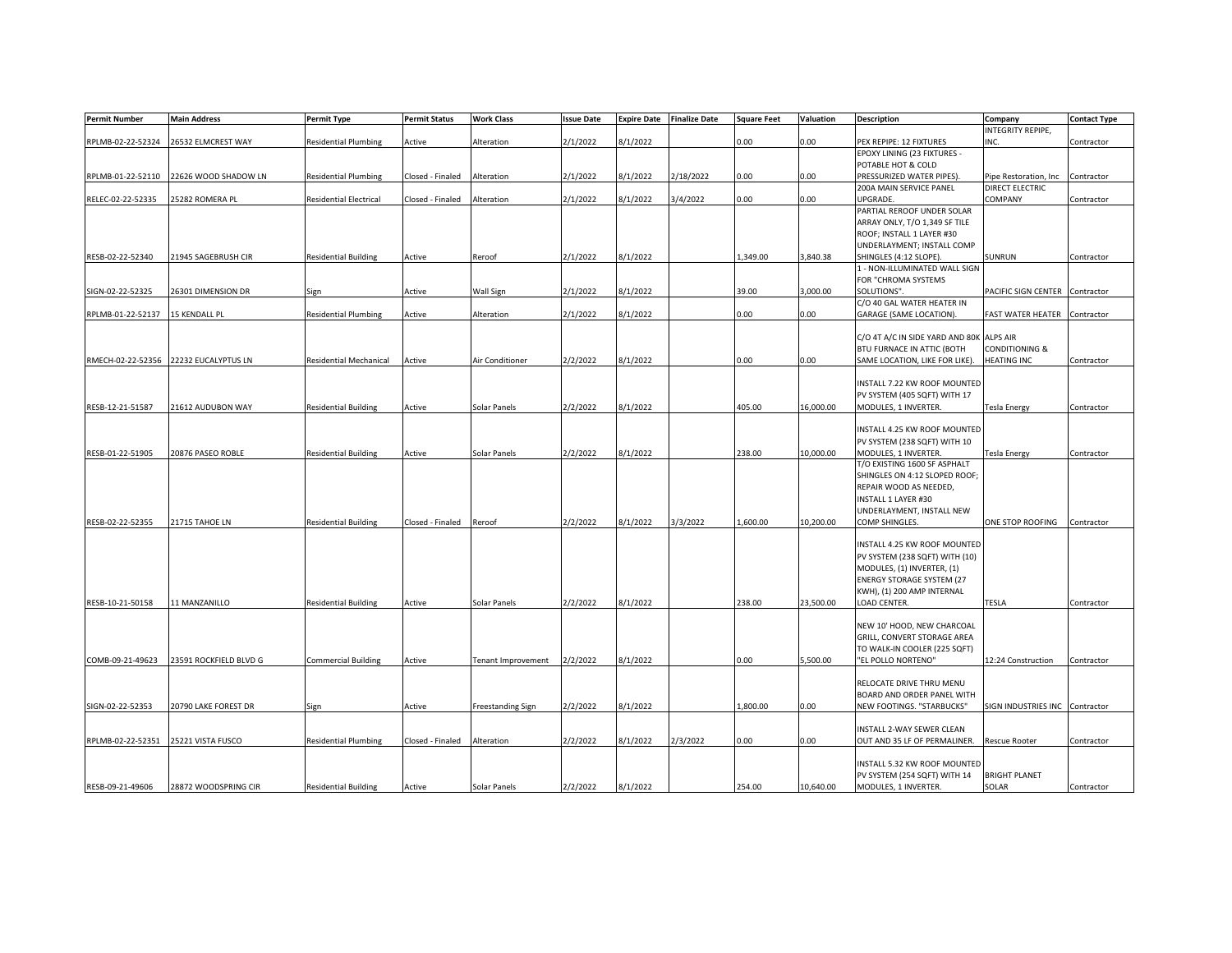| <b>Permit Number</b> | <b>Main Address</b>                   | <b>Permit Type</b>            | <b>Permit Status</b> | <b>Work Class</b>         | <b>Issue Date</b> | <b>Expire Date</b> | <b>Finalize Date</b> | <b>Square Feet</b> | Valuation | Description                              | Company                        | <b>Contact Type</b> |
|----------------------|---------------------------------------|-------------------------------|----------------------|---------------------------|-------------------|--------------------|----------------------|--------------------|-----------|------------------------------------------|--------------------------------|---------------------|
|                      |                                       |                               |                      |                           |                   |                    |                      |                    |           |                                          | INTEGRITY REPIPE,              |                     |
| RPLMB-02-22-52324    | 26532 ELMCREST WAY                    | <b>Residential Plumbing</b>   | Active               | Alteration                | 2/1/2022          | 8/1/2022           |                      | 0.00               | 0.00      | PEX REPIPE: 12 FIXTURES                  | INC.                           | Contractor          |
|                      |                                       |                               |                      |                           |                   |                    |                      |                    |           | EPOXY LINING (23 FIXTURES -              |                                |                     |
|                      |                                       |                               |                      |                           |                   |                    |                      |                    |           | POTABLE HOT & COLD                       |                                |                     |
| RPLMB-01-22-52110    | 22626 WOOD SHADOW LN                  | <b>Residential Plumbing</b>   | Closed - Finaled     | Alteration                | 2/1/2022          | 8/1/2022           | 2/18/2022            | 0.00               | 0.00      | PRESSURIZED WATER PIPES).                | Pipe Restoration, Inc          | Contractor          |
|                      |                                       |                               |                      |                           |                   |                    |                      |                    |           | 200A MAIN SERVICE PANEL                  | DIRECT ELECTRIC                |                     |
| RELEC-02-22-52335    | 25282 ROMERA PL                       | <b>Residential Electrical</b> | Closed - Finaled     | Alteration                | 2/1/2022          | 8/1/2022           | 3/4/2022             | 0.00               | 0.00      | UPGRADE.                                 | <b>COMPANY</b>                 | Contractor          |
|                      |                                       |                               |                      |                           |                   |                    |                      |                    |           | PARTIAL REROOF UNDER SOLAR               |                                |                     |
|                      |                                       |                               |                      |                           |                   |                    |                      |                    |           | ARRAY ONLY, T/O 1,349 SF TILE            |                                |                     |
|                      |                                       |                               |                      |                           |                   |                    |                      |                    |           | ROOF; INSTALL 1 LAYER #30                |                                |                     |
|                      |                                       |                               |                      |                           |                   |                    |                      |                    |           |                                          |                                |                     |
|                      |                                       |                               |                      |                           |                   |                    |                      |                    |           | UNDERLAYMENT; INSTALL COMP               |                                |                     |
| RESB-02-22-52340     | 21945 SAGEBRUSH CIR                   | <b>Residential Building</b>   | Active               | Reroof                    | 2/1/2022          | 8/1/2022           |                      | 1,349.00           | 3,840.38  | SHINGLES (4:12 SLOPE).                   | <b>SUNRUN</b>                  | Contractor          |
|                      |                                       |                               |                      |                           |                   |                    |                      |                    |           | 1 - NON-ILLUMINATED WALL SIGN            |                                |                     |
|                      |                                       |                               |                      |                           |                   |                    |                      |                    |           | FOR "CHROMA SYSTEMS                      |                                |                     |
| SIGN-02-22-52325     | 26301 DIMENSION DR                    | Sign                          | Active               | Wall Sign                 | 2/1/2022          | 8/1/2022           |                      | 39.00              | 3,000.00  | SOLUTIONS".                              | PACIFIC SIGN CENTER            | Contractor          |
|                      |                                       |                               |                      |                           |                   |                    |                      |                    |           | C/O 40 GAL WATER HEATER IN               |                                |                     |
| RPLMB-01-22-52137    | 15 KENDALL PL                         | <b>Residential Plumbing</b>   | Active               | Alteration                | 2/1/2022          | 8/1/2022           |                      | 0.00               | 0.00      | <b>GARAGE (SAME LOCATION)</b>            | <b>FAST WATER HEATER</b>       | Contractor          |
|                      |                                       |                               |                      |                           |                   |                    |                      |                    |           |                                          |                                |                     |
|                      |                                       |                               |                      |                           |                   |                    |                      |                    |           | C/O 4T A/C IN SIDE YARD AND 80K ALPS AIR |                                |                     |
|                      |                                       |                               |                      |                           |                   |                    |                      |                    |           | BTU FURNACE IN ATTIC (BOTH               | <b>CONDITIONING &amp;</b>      |                     |
|                      | RMECH-02-22-52356 22232 EUCALYPTUS LN | <b>Residential Mechanical</b> | Active               | Air Conditioner           | 2/2/2022          | 8/1/2022           |                      | 0.00               | 0.00      | SAME LOCATION, LIKE FOR LIKE).           | <b>HEATING INC</b>             | Contractor          |
|                      |                                       |                               |                      |                           |                   |                    |                      |                    |           |                                          |                                |                     |
|                      |                                       |                               |                      |                           |                   |                    |                      |                    |           | INSTALL 7.22 KW ROOF MOUNTED             |                                |                     |
|                      |                                       |                               |                      |                           |                   |                    |                      |                    |           | PV SYSTEM (405 SQFT) WITH 17             |                                |                     |
| RESB-12-21-51587     | 21612 AUDUBON WAY                     | <b>Residential Building</b>   | Active               | Solar Panels              | 2/2/2022          | 8/1/2022           |                      | 405.00             | 16,000.00 | MODULES, 1 INVERTER.                     | <b>Tesla Energy</b>            | Contractor          |
|                      |                                       |                               |                      |                           |                   |                    |                      |                    |           |                                          |                                |                     |
|                      |                                       |                               |                      |                           |                   |                    |                      |                    |           | INSTALL 4.25 KW ROOF MOUNTED             |                                |                     |
|                      |                                       |                               |                      |                           |                   |                    |                      |                    |           | PV SYSTEM (238 SQFT) WITH 10             |                                |                     |
| RESB-01-22-51905     | 20876 PASEO ROBLE                     | <b>Residential Building</b>   | Active               | Solar Panels              | 2/2/2022          | 8/1/2022           |                      | 238.00             | 10,000.00 | MODULES, 1 INVERTER.                     | <b>Tesla Energy</b>            | Contractor          |
|                      |                                       |                               |                      |                           |                   |                    |                      |                    |           | T/O EXISTING 1600 SF ASPHALT             |                                |                     |
|                      |                                       |                               |                      |                           |                   |                    |                      |                    |           | SHINGLES ON 4:12 SLOPED ROOF;            |                                |                     |
|                      |                                       |                               |                      |                           |                   |                    |                      |                    |           | REPAIR WOOD AS NEEDED,                   |                                |                     |
|                      |                                       |                               |                      |                           |                   |                    |                      |                    |           | <b>INSTALL 1 LAYER #30</b>               |                                |                     |
|                      |                                       |                               |                      |                           |                   |                    |                      |                    |           |                                          |                                |                     |
|                      |                                       |                               |                      |                           |                   |                    |                      |                    |           | UNDERLAYMENT, INSTALL NEW                |                                |                     |
| RESB-02-22-52355     | 21715 TAHOE LN                        | <b>Residential Building</b>   | Closed - Finaled     | Reroof                    | 2/2/2022          | 8/1/2022           | 3/3/2022             | 1,600.00           | 10,200.00 | COMP SHINGLES.                           | ONE STOP ROOFING               | Contractor          |
|                      |                                       |                               |                      |                           |                   |                    |                      |                    |           |                                          |                                |                     |
|                      |                                       |                               |                      |                           |                   |                    |                      |                    |           | INSTALL 4.25 KW ROOF MOUNTED             |                                |                     |
|                      |                                       |                               |                      |                           |                   |                    |                      |                    |           | PV SYSTEM (238 SQFT) WITH (10)           |                                |                     |
|                      |                                       |                               |                      |                           |                   |                    |                      |                    |           | MODULES, (1) INVERTER, (1)               |                                |                     |
|                      |                                       |                               |                      |                           |                   |                    |                      |                    |           | <b>ENERGY STORAGE SYSTEM (27</b>         |                                |                     |
|                      |                                       |                               |                      |                           |                   |                    |                      |                    |           | KWH), (1) 200 AMP INTERNAL               |                                |                     |
| RESB-10-21-50158     | 11 MANZANILLO                         | <b>Residential Building</b>   | Active               | Solar Panels              | 2/2/2022          | 8/1/2022           |                      | 238.00             | 23,500.00 | LOAD CENTER.                             | <b>TESLA</b>                   | Contractor          |
|                      |                                       |                               |                      |                           |                   |                    |                      |                    |           |                                          |                                |                     |
|                      |                                       |                               |                      |                           |                   |                    |                      |                    |           | NEW 10' HOOD, NEW CHARCOAL               |                                |                     |
|                      |                                       |                               |                      |                           |                   |                    |                      |                    |           | GRILL, CONVERT STORAGE AREA              |                                |                     |
|                      |                                       |                               |                      |                           |                   |                    |                      |                    |           | TO WALK-IN COOLER (225 SQFT)             |                                |                     |
| COMB-09-21-49623     | 23591 ROCKFIELD BLVD G                | <b>Commercial Building</b>    | Active               | <b>Tenant Improvement</b> | 2/2/2022          | 8/1/2022           |                      | 0.00               | 5,500.00  | "EL POLLO NORTENO"                       | 12:24 Construction             | Contractor          |
|                      |                                       |                               |                      |                           |                   |                    |                      |                    |           |                                          |                                |                     |
|                      |                                       |                               |                      |                           |                   |                    |                      |                    |           | RELOCATE DRIVE THRU MENU                 |                                |                     |
|                      |                                       |                               |                      |                           |                   |                    |                      |                    |           | BOARD AND ORDER PANEL WITH               |                                |                     |
| SIGN-02-22-52353     | 20790 LAKE FOREST DR                  | Sign                          | Active               | Freestanding Sign         | 2/2/2022          | 8/1/2022           |                      | 1,800.00           | 0.00      | NEW FOOTINGS. "STARBUCKS"                | SIGN INDUSTRIES INC Contractor |                     |
|                      |                                       |                               |                      |                           |                   |                    |                      |                    |           |                                          |                                |                     |
|                      |                                       |                               |                      |                           |                   |                    |                      |                    |           | INSTALL 2-WAY SEWER CLEAN                |                                |                     |
| RPLMB-02-22-52351    | 25221 VISTA FUSCO                     | <b>Residential Plumbing</b>   | Closed - Finaled     | Alteration                | 2/2/2022          | 8/1/2022           | 2/3/2022             | 0.00               | 0.00      | OUT AND 35 LF OF PERMALINER.             | <b>Rescue Rooter</b>           | Contractor          |
|                      |                                       |                               |                      |                           |                   |                    |                      |                    |           |                                          |                                |                     |
|                      |                                       |                               |                      |                           |                   |                    |                      |                    |           | INSTALL 5.32 KW ROOF MOUNTED             |                                |                     |
|                      |                                       |                               |                      |                           |                   |                    |                      |                    |           | PV SYSTEM (254 SQFT) WITH 14             | <b>BRIGHT PLANET</b>           |                     |
| RESB-09-21-49606     | 28872 WOODSPRING CIR                  | <b>Residential Building</b>   | Active               | <b>Solar Panels</b>       | 2/2/2022          | 8/1/2022           |                      | 254.00             | 10,640.00 | MODULES, 1 INVERTER.                     | SOLAR                          | Contractor          |
|                      |                                       |                               |                      |                           |                   |                    |                      |                    |           |                                          |                                |                     |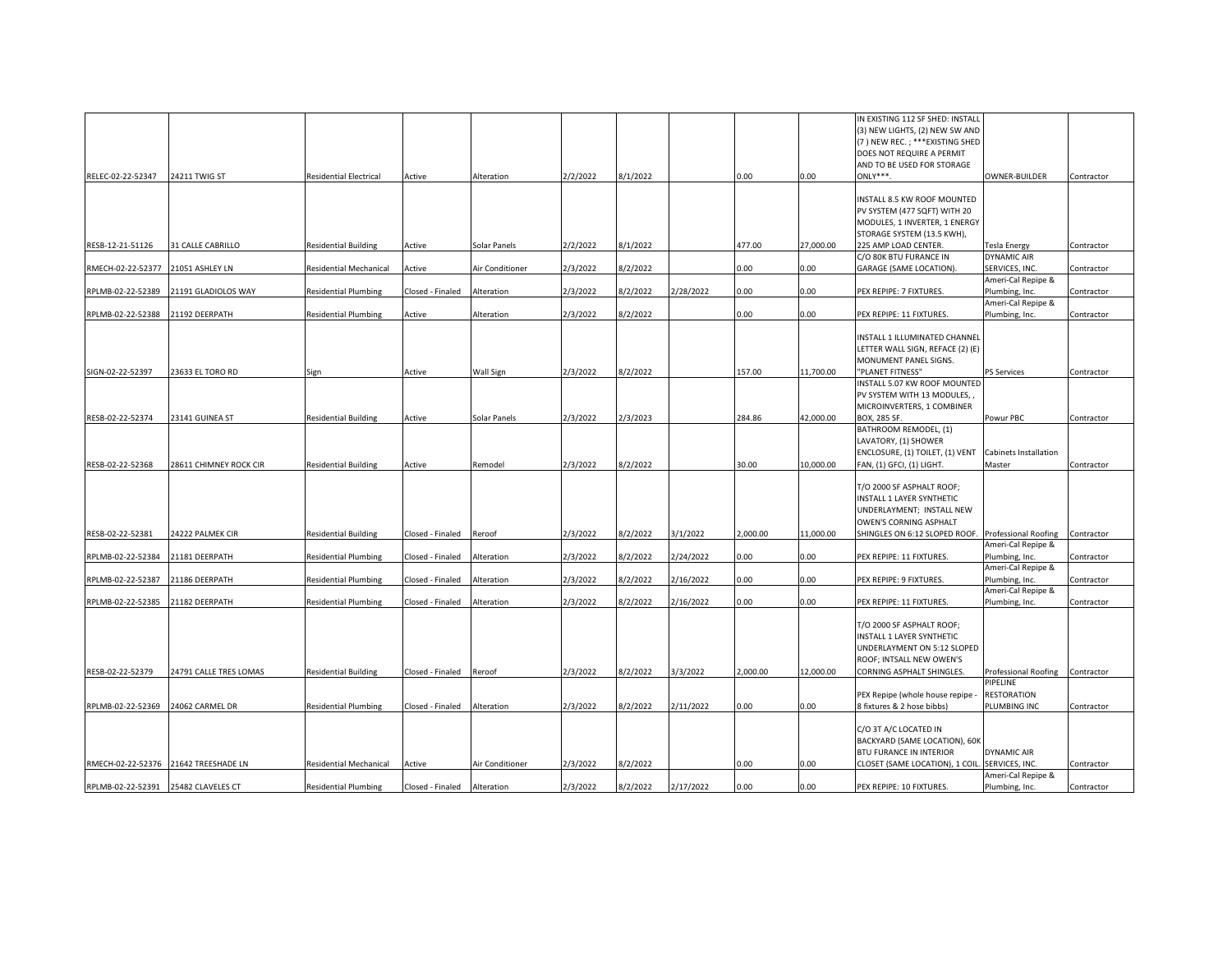| RELEC-02-22-52347                 | 24211 TWIG ST                        | <b>Residential Electrical</b> | Active           | Alteration      | 2/2/2022 | 3/1/2022            |           | 0.00     | 0.00      | IN EXISTING 112 SF SHED: INSTALI<br>(3) NEW LIGHTS, (2) NEW SW AND<br>(7) NEW REC.; *** EXISTING SHED<br>DOES NOT REQUIRE A PERMIT<br>AND TO BE USED FOR STORAGE<br>ONLY***. | OWNER-BUILDER                               | Contractor |
|-----------------------------------|--------------------------------------|-------------------------------|------------------|-----------------|----------|---------------------|-----------|----------|-----------|------------------------------------------------------------------------------------------------------------------------------------------------------------------------------|---------------------------------------------|------------|
| RESB-12-21-51126                  | 31 CALLE CABRILLO                    | <b>Residential Building</b>   | Active           | Solar Panels    | 2/2/2022 | 3/1/2022            |           | 477.00   | 27,000.00 | INSTALL 8.5 KW ROOF MOUNTED<br>PV SYSTEM (477 SQFT) WITH 20<br>MODULES, 1 INVERTER, 1 ENERGY<br>STORAGE SYSTEM (13.5 KWH),<br>225 AMP LOAD CENTER.                           | <b>Tesla Energy</b>                         | Contractor |
| RMECH-02-22-52377                 | 21051 ASHLEY LN                      | <b>Residential Mechanical</b> | Active           | Air Conditioner | 2/3/2022 | 3/2/2022            |           | 0.00     | 0.00      | C/O 80K BTU FURANCE IN<br>GARAGE (SAME LOCATION).                                                                                                                            | <b>DYNAMIC AIR</b><br>SERVICES, INC.        | Contractor |
| RPLMB-02-22-52389                 | 21191 GLADIOLOS WAY                  | <b>Residential Plumbing</b>   | Closed - Finaled | Alteration      | 2/3/2022 | 3/2/2022            | 2/28/2022 | 0.00     | 0.00      | PEX REPIPE: 7 FIXTURES.                                                                                                                                                      | Ameri-Cal Repipe &<br>Plumbing, Inc.        | Contractor |
| RPLMB-02-22-52388                 | 21192 DEERPATH                       | <b>Residential Plumbing</b>   | Active           | Alteration      | 2/3/2022 | 3/2/2022            |           | 0.00     | 0.00      | PEX REPIPE: 11 FIXTURES.                                                                                                                                                     | Ameri-Cal Repipe &<br>Plumbing, Inc.        | Contractor |
| SIGN-02-22-52397                  | 23633 EL TORO RD                     | Sign                          | Active           | Wall Sign       | 2/3/2022 | 3/2/2022            |           | 157.00   | 11.700.00 | INSTALL 1 ILLUMINATED CHANNEL<br>LETTER WALL SIGN, REFACE (2) (E)<br>MONUMENT PANEL SIGNS.<br>"PLANET FITNESS"                                                               | <b>PS Services</b>                          | Contractor |
|                                   |                                      |                               |                  |                 |          |                     |           |          |           | INSTALL 5.07 KW ROOF MOUNTED<br>PV SYSTEM WITH 13 MODULES,<br>MICROINVERTERS, 1 COMBINER                                                                                     |                                             |            |
| RESB-02-22-52374                  | 23141 GUINEA ST                      | <b>Residential Building</b>   | Active           | Solar Panels    | 2/3/2022 | 2/3/2023            |           | 284.86   | 42,000.00 | BOX, 285 SF.<br>BATHROOM REMODEL, (1)                                                                                                                                        | Powur PBC                                   | Contractor |
| RESB-02-22-52368                  | 28611 CHIMNEY ROCK CIR               | <b>Residential Building</b>   | Active           | Remodel         | 2/3/2022 | 3/2/2022            |           | 30.00    | 10.000.00 | LAVATORY, (1) SHOWER<br>ENCLOSURE, (1) TOILET, (1) VENT<br>FAN, (1) GFCI, (1) LIGHT.                                                                                         | Cabinets Installation<br>Master             | Contractor |
|                                   |                                      |                               |                  |                 |          |                     |           |          |           | T/O 2000 SF ASPHALT ROOF;<br>INSTALL 1 LAYER SYNTHETIC<br>UNDERLAYMENT; INSTALL NEW<br>OWEN'S CORNING ASPHALT                                                                |                                             |            |
| RESB-02-22-52381                  | 24222 PALMEK CIR                     | <b>Residential Building</b>   | Closed - Finaled | Reroof          | 2/3/2022 | 3/2/2022            | 3/1/2022  | 2,000.00 | 11,000.00 | SHINGLES ON 6:12 SLOPED ROOF. Professional Roofing                                                                                                                           |                                             | Contractor |
| RPLMB-02-22-52384                 | 21181 DEERPATH                       | <b>Residential Plumbing</b>   | Closed - Finaled | Alteration      | 2/3/2022 | $\frac{1}{2}/2022$  | 2/24/2022 | 0.00     | 0.00      | PEX REPIPE: 11 FIXTURES.                                                                                                                                                     | Ameri-Cal Repipe &<br>Plumbing, Inc.        | Contractor |
| RPLMB-02-22-52387                 | 21186 DEERPATH                       | <b>Residential Plumbing</b>   | Closed - Finaled | Alteration      | 2/3/2022 | 1/2/2022            | 2/16/2022 | 0.00     | 0.00      | PEX REPIPE: 9 FIXTURES.                                                                                                                                                      | Ameri-Cal Repipe &<br>Plumbing, Inc.        | Contractor |
| RPLMB-02-22-52385                 | 21182 DEERPATH                       | <b>Residential Plumbing</b>   | Closed - Finaled | Alteration      | 2/3/2022 | $\frac{3}{2}$ /2022 | 2/16/2022 | 0.00     | 0.00      | PEX REPIPE: 11 FIXTURES.                                                                                                                                                     | Ameri-Cal Repipe &<br>Plumbing, Inc.        | Contractor |
|                                   |                                      |                               |                  |                 |          |                     |           |          |           | T/O 2000 SF ASPHALT ROOF;<br>INSTALL 1 LAYER SYNTHETIC<br>UNDERLAYMENT ON 5:12 SLOPED<br>ROOF; INTSALL NEW OWEN'S                                                            |                                             |            |
| RESB-02-22-52379                  | 24791 CALLE TRES LOMAS               | <b>Residential Building</b>   | Closed - Finaled | Reroof          | 2/3/2022 | 8/2/2022            | 3/3/2022  | 2,000.00 | 12,000.00 | CORNING ASPHALT SHINGLES.                                                                                                                                                    | Professional Roofing Contractor<br>PIPELINE |            |
| RPLMB-02-22-52369 24062 CARMEL DR |                                      | <b>Residential Plumbing</b>   | Closed - Finaled | Alteration      | 2/3/2022 | 3/2/2022            | 2/11/2022 | 0.00     | 0.00      | PEX Repipe (whole house repipe -<br>8 fixtures & 2 hose bibbs)                                                                                                               | <b>RESTORATION</b><br>PLUMBING INC          | Contractor |
|                                   | RMECH-02-22-52376 21642 TREESHADE LN | <b>Residential Mechanical</b> | Active           | Air Conditioner | 2/3/2022 | 3/2/2022            |           | 0.00     | D.OO      | C/O 3T A/C LOCATED IN<br>BACKYARD (SAME LOCATION), 60K<br>BTU FURANCE IN INTERIOR<br>CLOSET (SAME LOCATION), 1 COIL.                                                         | <b>DYNAMIC AIR</b><br>SERVICES, INC.        | Contractor |
|                                   |                                      |                               |                  |                 |          |                     |           |          |           |                                                                                                                                                                              | Ameri-Cal Repipe &                          |            |
|                                   | RPLMB-02-22-52391 25482 CLAVELES CT  | <b>Residential Plumbing</b>   | Closed - Finaled | Alteration      | 2/3/2022 | 8/2/2022            | 2/17/2022 | 0.00     | 0.00      | PEX REPIPE: 10 FIXTURES.                                                                                                                                                     | Plumbing, Inc.                              | Contractor |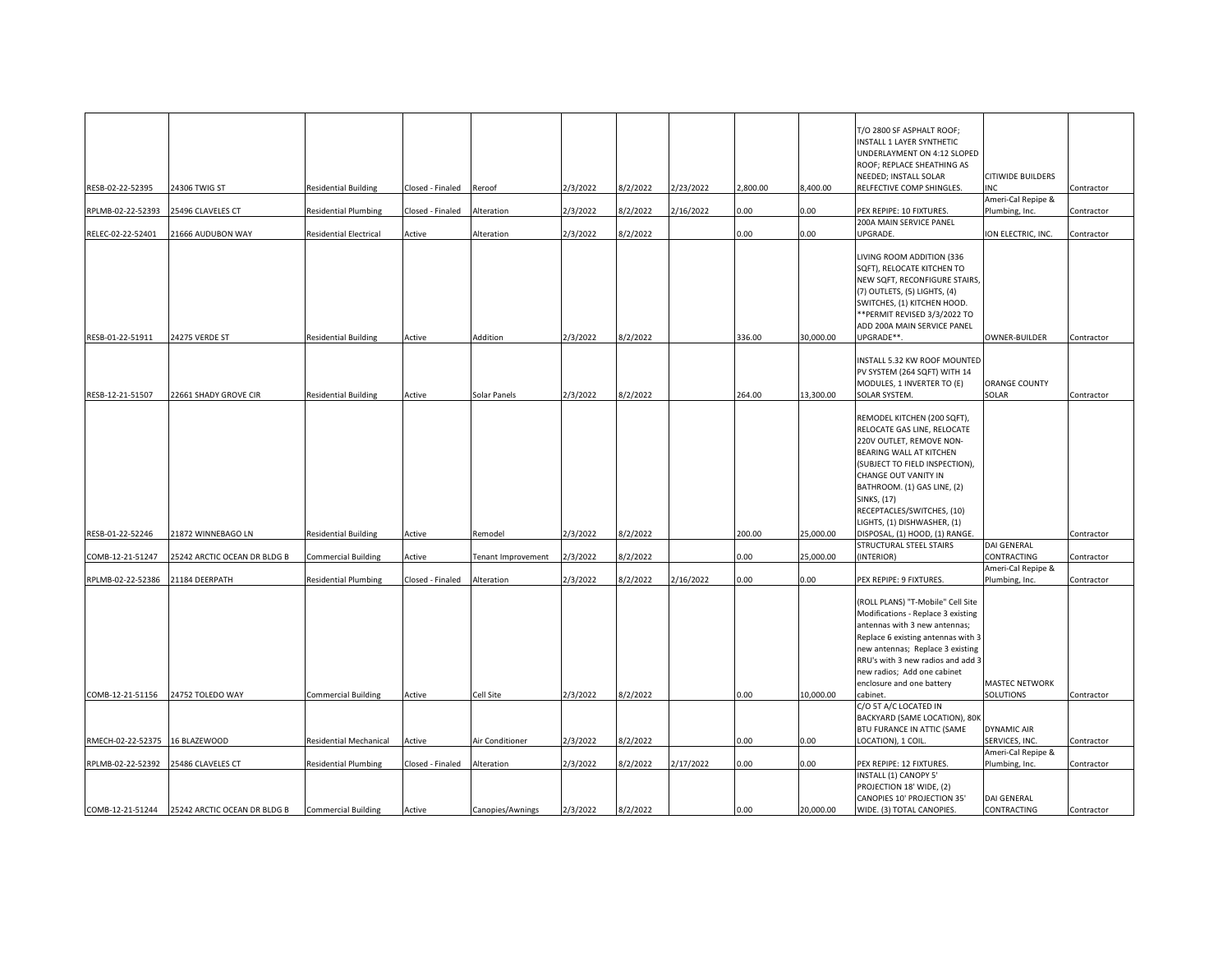|                                |                              |                               |                  |                           |          |                     |           |          |           | T/O 2800 SF ASPHALT ROOF;<br>INSTALL 1 LAYER SYNTHETIC<br>UNDERLAYMENT ON 4:12 SLOPED<br>ROOF; REPLACE SHEATHING AS<br>NEEDED; INSTALL SOLAR                                                                                                                                                  | <b>CITIWIDE BUILDERS</b><br>NC       |            |
|--------------------------------|------------------------------|-------------------------------|------------------|---------------------------|----------|---------------------|-----------|----------|-----------|-----------------------------------------------------------------------------------------------------------------------------------------------------------------------------------------------------------------------------------------------------------------------------------------------|--------------------------------------|------------|
| RESB-02-22-52395               | 24306 TWIG ST                | <b>Residential Building</b>   | Closed - Finaled | Reroof                    | 2/3/2022 | $\frac{3}{2}$ /2022 | 2/23/2022 | 2,800.00 | 8,400.00  | RELFECTIVE COMP SHINGLES.                                                                                                                                                                                                                                                                     | Ameri-Cal Repipe &                   | Contractor |
| RPLMB-02-22-52393              | 25496 CLAVELES CT            | <b>Residential Plumbing</b>   | Closed - Finaled | Alteration                | 2/3/2022 | 1/2/2022            | 2/16/2022 | 0.00     | 0.00      | PEX REPIPE: 10 FIXTURES.                                                                                                                                                                                                                                                                      | Plumbing, Inc.                       | Contractor |
| RELEC-02-22-52401              | 21666 AUDUBON WAY            | <b>Residential Electrical</b> | Active           | Alteration                | 2/3/2022 | 3/2/2022            |           | 0.00     | 0.00      | 200A MAIN SERVICE PANEL<br>UPGRADE.                                                                                                                                                                                                                                                           | ION ELECTRIC, INC.                   | Contractor |
|                                |                              |                               |                  |                           |          |                     |           |          |           | LIVING ROOM ADDITION (336<br>SQFT), RELOCATE KITCHEN TO<br>NEW SQFT, RECONFIGURE STAIRS,<br>(7) OUTLETS, (5) LIGHTS, (4)<br>SWITCHES, (1) KITCHEN HOOD.<br>** PERMIT REVISED 3/3/2022 TO<br>ADD 200A MAIN SERVICE PANEL                                                                       |                                      |            |
| RESB-01-22-51911               | 24275 VERDE ST               | <b>Residential Building</b>   | Active           | Addition                  | 2/3/2022 | 3/2/2022            |           | 336.00   | 30,000.00 | UPGRADE**.                                                                                                                                                                                                                                                                                    | OWNER-BUILDER                        | Contractor |
| RESB-12-21-51507               | 22661 SHADY GROVE CIR        | <b>Residential Building</b>   | Active           | Solar Panels              | 2/3/2022 | 3/2/2022            |           | 264.00   | 13,300.00 | INSTALL 5.32 KW ROOF MOUNTED<br>PV SYSTEM (264 SQFT) WITH 14<br>MODULES, 1 INVERTER TO (E)<br>SOLAR SYSTEM.                                                                                                                                                                                   | <b>ORANGE COUNTY</b><br>SOLAR        | Contractor |
|                                |                              |                               |                  |                           |          |                     |           |          |           | REMODEL KITCHEN (200 SQFT),<br>RELOCATE GAS LINE, RELOCATE<br>220V OUTLET, REMOVE NON-<br>BEARING WALL AT KITCHEN<br>(SUBJECT TO FIELD INSPECTION),<br>CHANGE OUT VANITY IN<br>BATHROOM. (1) GAS LINE, (2)<br><b>SINKS, (17)</b><br>RECEPTACLES/SWITCHES, (10)<br>LIGHTS, (1) DISHWASHER, (1) |                                      |            |
| RESB-01-22-52246               | 21872 WINNEBAGO LN           | <b>Residential Building</b>   | Active           | Remodel                   | 2/3/2022 | 3/2/2022            |           | 200.00   | 25,000.00 | DISPOSAL, (1) HOOD, (1) RANGE.                                                                                                                                                                                                                                                                |                                      | Contractor |
| COMB-12-21-51247               | 25242 ARCTIC OCEAN DR BLDG B | Commercial Building           | Active           | <b>Tenant Improvement</b> | 2/3/2022 | 3/2/2022            |           | 0.00     | 25,000.00 | STRUCTURAL STEEL STAIRS<br>(INTERIOR)                                                                                                                                                                                                                                                         | DAI GENERAL<br>CONTRACTING           | Contractor |
|                                |                              |                               |                  |                           |          |                     |           |          |           |                                                                                                                                                                                                                                                                                               | Ameri-Cal Repipe &                   |            |
| RPLMB-02-22-52386              | 21184 DEERPATH               | <b>Residential Plumbing</b>   | Closed - Finaled | Alteration                | 2/3/2022 | 3/2/2022            | 2/16/2022 | 0.00     | 0.00      | PEX REPIPE: 9 FIXTURES.                                                                                                                                                                                                                                                                       | Plumbing, Inc.                       | Contractor |
|                                |                              |                               |                  |                           |          |                     |           |          |           | (ROLL PLANS) "T-Mobile" Cell Site<br>Modifications - Replace 3 existing<br>antennas with 3 new antennas;<br>Replace 6 existing antennas with 3<br>new antennas; Replace 3 existing<br>RRU's with 3 new radios and add 3<br>new radios; Add one cabinet<br>enclosure and one battery           | MASTEC NETWORK                       |            |
| COMB-12-21-51156               | 24752 TOLEDO WAY             | <b>Commercial Building</b>    | Active           | Cell Site                 | 2/3/2022 | 3/2/2022            |           | 0.00     | 10,000.00 | cabinet.                                                                                                                                                                                                                                                                                      | SOLUTIONS                            | Contractor |
| RMECH-02-22-52375 16 BLAZEWOOD |                              | <b>Residential Mechanical</b> | Active           | Air Conditioner           | 2/3/2022 | 3/2/2022            |           | 0.00     | 0.00      | C/O 5T A/C LOCATED IN<br>BACKYARD (SAME LOCATION), 80K<br>BTU FURANCE IN ATTIC (SAME<br>LOCATION), 1 COIL.                                                                                                                                                                                    | <b>DYNAMIC AIR</b><br>SERVICES, INC. | Contractor |
|                                |                              |                               |                  |                           |          |                     |           |          |           |                                                                                                                                                                                                                                                                                               | Ameri-Cal Repipe &                   |            |
| RPLMB-02-22-52392              | 25486 CLAVELES CT            | <b>Residential Plumbing</b>   | Closed - Finaled | Alteration                | 2/3/2022 | 3/2/2022            | 2/17/2022 | 0.00     | 0.00      | PEX REPIPE: 12 FIXTURES.<br>INSTALL (1) CANOPY 5'<br>PROJECTION 18' WIDE, (2)<br>CANOPIES 10' PROJECTION 35'                                                                                                                                                                                  | Plumbing, Inc.<br>DAI GENERAL        | Contractor |
| COMB-12-21-51244               | 25242 ARCTIC OCEAN DR BLDG B | <b>Commercial Building</b>    | Active           | Canopies/Awnings          | 2/3/2022 | 8/2/2022            |           | 0.00     | 20,000.00 | WIDE. (3) TOTAL CANOPIES.                                                                                                                                                                                                                                                                     | CONTRACTING                          | Contractor |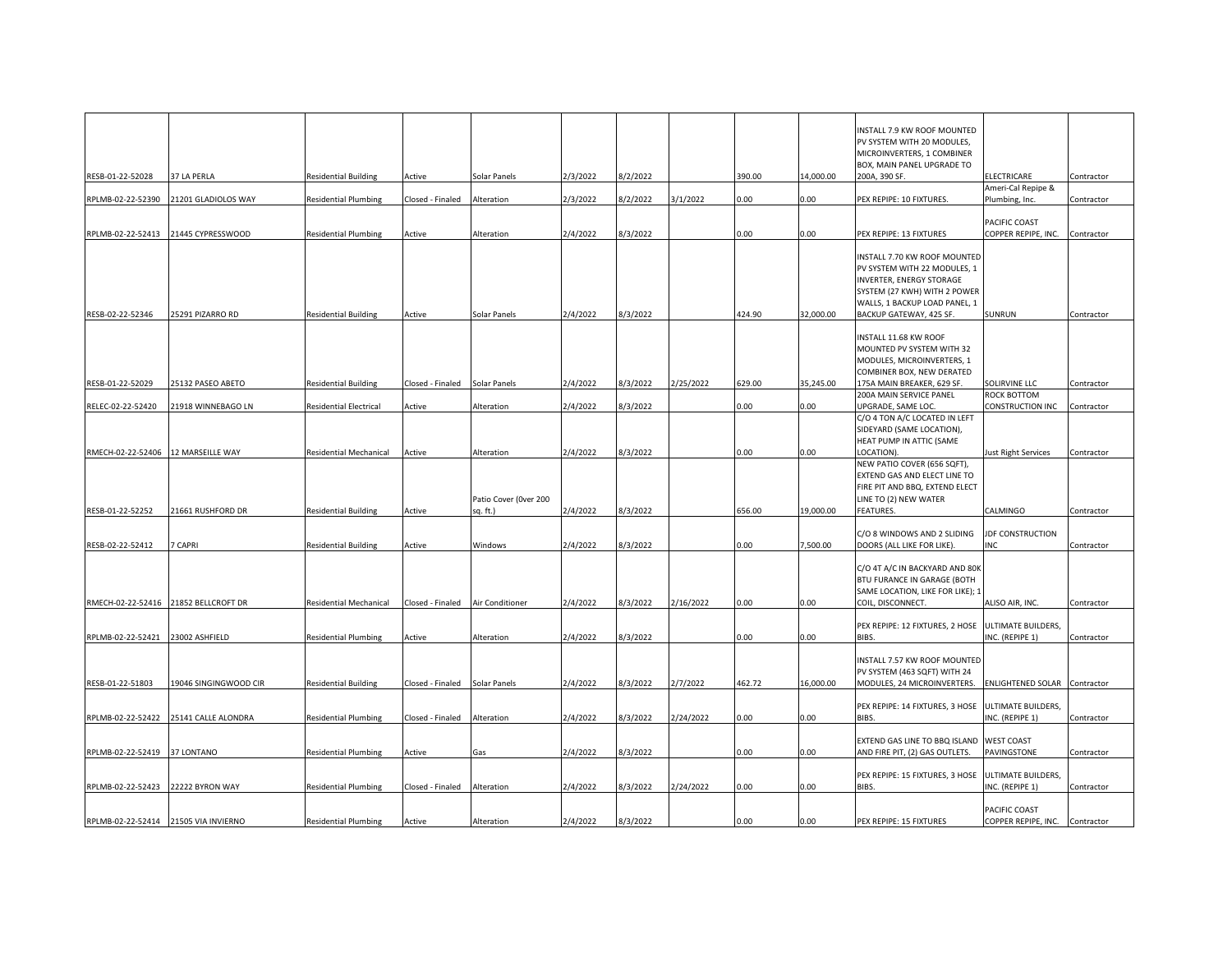|                                      |                                       |                               |                  |                       |          |          |           |          |           | INSTALL 7.9 KW ROOF MOUNTED                        |                                |            |
|--------------------------------------|---------------------------------------|-------------------------------|------------------|-----------------------|----------|----------|-----------|----------|-----------|----------------------------------------------------|--------------------------------|------------|
|                                      |                                       |                               |                  |                       |          |          |           |          |           | PV SYSTEM WITH 20 MODULES,                         |                                |            |
|                                      |                                       |                               |                  |                       |          |          |           |          |           | MICROINVERTERS, 1 COMBINER                         |                                |            |
|                                      |                                       |                               |                  |                       |          |          |           |          |           | BOX, MAIN PANEL UPGRADE TO                         |                                |            |
| RESB-01-22-52028                     | 37 LA PERLA                           | <b>Residential Building</b>   | Active           | Solar Panels          | 2/3/2022 | 3/2/2022 |           | 390.00   | 14,000.00 | 200A, 390 SF.                                      | <b>ELECTRICARE</b>             | Contractor |
|                                      |                                       |                               |                  |                       |          |          |           |          |           |                                                    | Ameri-Cal Repipe &             |            |
| RPLMB-02-22-52390                    | 21201 GLADIOLOS WAY                   | <b>Residential Plumbing</b>   | Closed - Finaled | Alteration            | 2/3/2022 | 3/2/2022 | 3/1/2022  | 0.00     | 0.00      | PEX REPIPE: 10 FIXTURES.                           | Plumbing, Inc.                 | Contractor |
|                                      |                                       |                               |                  |                       |          |          |           |          |           |                                                    |                                |            |
|                                      |                                       |                               |                  |                       |          |          |           |          |           |                                                    | PACIFIC COAST                  |            |
|                                      | RPLMB-02-22-52413 21445 CYPRESSWOOD   | <b>Residential Plumbing</b>   | Active           | Alteration            | 2/4/2022 | 3/3/2022 |           | 0.00     | 0.00      | PEX REPIPE: 13 FIXTURES                            | COPPER REPIPE, INC.            | Contractor |
|                                      |                                       |                               |                  |                       |          |          |           |          |           |                                                    |                                |            |
|                                      |                                       |                               |                  |                       |          |          |           |          |           | INSTALL 7.70 KW ROOF MOUNTED                       |                                |            |
|                                      |                                       |                               |                  |                       |          |          |           |          |           | PV SYSTEM WITH 22 MODULES, 1                       |                                |            |
|                                      |                                       |                               |                  |                       |          |          |           |          |           | INVERTER, ENERGY STORAGE                           |                                |            |
|                                      |                                       |                               |                  |                       |          |          |           |          |           | SYSTEM (27 KWH) WITH 2 POWER                       |                                |            |
|                                      |                                       |                               |                  |                       |          |          |           |          |           | WALLS, 1 BACKUP LOAD PANEL, 1                      |                                |            |
| RESB-02-22-52346                     | 25291 PIZARRO RD                      | <b>Residential Building</b>   | Active           | Solar Panels          | 2/4/2022 | 8/3/2022 |           | 424.90   | 32.000.00 | BACKUP GATEWAY, 425 SF.                            | <b>SUNRUN</b>                  | Contractor |
|                                      |                                       |                               |                  |                       |          |          |           |          |           |                                                    |                                |            |
|                                      |                                       |                               |                  |                       |          |          |           |          |           | INSTALL 11.68 KW ROOF                              |                                |            |
|                                      |                                       |                               |                  |                       |          |          |           |          |           | MOUNTED PV SYSTEM WITH 32                          |                                |            |
|                                      |                                       |                               |                  |                       |          |          |           |          |           | MODULES, MICROINVERTERS, 1                         |                                |            |
|                                      |                                       |                               |                  |                       |          |          |           |          |           | COMBINER BOX, NEW DERATED                          |                                |            |
| RESB-01-22-52029                     | 25132 PASEO ABETO                     |                               |                  |                       | 2/4/2022 | 3/3/2022 | 2/25/2022 | 629.00   | 35,245.00 | 175A MAIN BREAKER, 629 SF.                         | SOLIRVINE LLC                  |            |
|                                      |                                       | <b>Residential Building</b>   | Closed - Finaled | Solar Panels          |          |          |           |          |           | 200A MAIN SERVICE PANEL                            | ROCK BOTTOM                    | Contractor |
| RELEC-02-22-52420                    | 21918 WINNEBAGO LN                    |                               |                  |                       | 2/4/2022 | 3/3/2022 |           |          |           | UPGRADE, SAME LOC.                                 | CONSTRUCTION INC               |            |
|                                      |                                       | <b>Residential Electrical</b> | Active           | Alteration            |          |          |           | 0.00     | 0.00      |                                                    |                                | Contractor |
|                                      |                                       |                               |                  |                       |          |          |           |          |           | C/O 4 TON A/C LOCATED IN LEFT                      |                                |            |
|                                      |                                       |                               |                  |                       |          |          |           |          |           | SIDEYARD (SAME LOCATION),                          |                                |            |
|                                      |                                       |                               |                  |                       |          |          |           |          |           | HEAT PUMP IN ATTIC (SAME                           |                                |            |
|                                      | RMECH-02-22-52406 12 MARSEILLE WAY    | <b>Residential Mechanical</b> | Active           | Alteration            | 2/4/2022 | 8/3/2022 |           | 0.00     | 0.00      | LOCATION).                                         | Just Right Services            | Contractor |
|                                      |                                       |                               |                  |                       |          |          |           |          |           | NEW PATIO COVER (656 SQFT),                        |                                |            |
|                                      |                                       |                               |                  |                       |          |          |           |          |           | EXTEND GAS AND ELECT LINE TO                       |                                |            |
|                                      |                                       |                               |                  |                       |          |          |           |          |           | FIRE PIT AND BBQ, EXTEND ELECT                     |                                |            |
|                                      |                                       |                               |                  | Patio Cover (Over 200 |          |          |           |          |           | LINE TO (2) NEW WATER                              |                                |            |
| RESB-01-22-52252                     | 21661 RUSHFORD DR                     | <b>Residential Building</b>   | Active           | sq. ft.)              | 2/4/2022 | 8/3/2022 |           | 656.00   | 19,000.00 | FEATURES.                                          | CALMINGO                       | Contractor |
|                                      |                                       |                               |                  |                       |          |          |           |          |           |                                                    |                                |            |
|                                      |                                       |                               |                  |                       |          |          |           |          |           | C/O 8 WINDOWS AND 2 SLIDING                        | <b>JDF CONSTRUCTION</b>        |            |
| RESB-02-22-52412                     | 7 CAPRI                               | <b>Residential Building</b>   | Active           | Windows               | 2/4/2022 | 3/3/2022 |           | 0.00     | 7,500.00  | DOORS (ALL LIKE FOR LIKE).                         | <b>INC</b>                     | Contractor |
|                                      |                                       |                               |                  |                       |          |          |           |          |           |                                                    |                                |            |
|                                      |                                       |                               |                  |                       |          |          |           |          |           | C/O 4T A/C IN BACKYARD AND 80K                     |                                |            |
|                                      |                                       |                               |                  |                       |          |          |           |          |           | BTU FURANCE IN GARAGE (BOTH                        |                                |            |
|                                      |                                       |                               |                  |                       |          |          |           |          |           | SAME LOCATION, LIKE FOR LIKE); 1                   |                                |            |
|                                      | RMECH-02-22-52416 21852 BELLCROFT DR  | Residential Mechanical        | Closed - Finaled | Air Conditioner       | 2/4/2022 | 3/3/2022 | 2/16/2022 | 0.00     | 0.00      | COIL, DISCONNECT.                                  | ALISO AIR, INC.                | Contractor |
|                                      |                                       |                               |                  |                       |          |          |           |          |           |                                                    |                                |            |
|                                      |                                       |                               |                  |                       |          |          |           |          |           | PEX REPIPE: 12 FIXTURES, 2 HOSE ULTIMATE BUILDERS, |                                |            |
| RPLMB-02-22-52421                    | 23002 ASHFIELD                        | <b>Residential Plumbing</b>   | Active           | Alteration            | 2/4/2022 | 3/3/2022 |           | 0.00     | 0.00      | BIBS.                                              | INC. (REPIPE 1)                | Contractor |
|                                      |                                       |                               |                  |                       |          |          |           |          |           |                                                    |                                |            |
|                                      |                                       |                               |                  |                       |          |          |           |          |           | INSTALL 7.57 KW ROOF MOUNTED                       |                                |            |
|                                      |                                       |                               |                  |                       |          |          |           |          |           | PV SYSTEM (463 SQFT) WITH 24                       |                                |            |
| RESB-01-22-51803                     | 19046 SINGINGWOOD CIR                 | <b>Residential Building</b>   | Closed - Finaled | Solar Panels          | 2/4/2022 | 3/3/2022 | 2/7/2022  | 462.72   | 16,000.00 | MODULES, 24 MICROINVERTERS.                        | ENLIGHTENED SOLAR Contractor   |            |
|                                      |                                       |                               |                  |                       |          |          |           |          |           |                                                    |                                |            |
|                                      |                                       |                               |                  |                       |          |          |           |          |           | PEX REPIPE: 14 FIXTURES, 3 HOSE                    | ULTIMATE BUILDERS,             |            |
|                                      | RPLMB-02-22-52422 25141 CALLE ALONDRA | <b>Residential Plumbing</b>   | Closed - Finaled | Alteration            | 2/4/2022 | 3/3/2022 | 2/24/2022 | $0.00\,$ | 0.00      | BIBS.                                              | INC. (REPIPE 1)                | Contractor |
|                                      |                                       |                               |                  |                       |          |          |           |          |           |                                                    |                                |            |
|                                      |                                       |                               |                  |                       |          |          |           |          |           | EXTEND GAS LINE TO BBQ ISLAND                      | <b>WEST COAST</b>              |            |
| RPLMB-02-22-52419 37 LONTANO         |                                       | <b>Residential Plumbing</b>   | Active           | Gas                   | 2/4/2022 | 3/3/2022 |           | 0.00     | 0.00      | AND FIRE PIT, (2) GAS OUTLETS.                     | PAVINGSTONE                    | Contractor |
|                                      |                                       |                               |                  |                       |          |          |           |          |           |                                                    |                                |            |
|                                      |                                       |                               |                  |                       |          |          |           |          |           | PEX REPIPE: 15 FIXTURES, 3 HOSE                    | ULTIMATE BUILDERS,             |            |
|                                      | RPLMB-02-22-52423 22222 BYRON WAY     | <b>Residential Plumbing</b>   | Closed - Finaled | Alteration            | 2/4/2022 | 3/3/2022 | 2/24/2022 | 0.00     | 0.00      | BIBS.                                              | INC. (REPIPE 1)                | Contractor |
|                                      |                                       |                               |                  |                       |          |          |           |          |           |                                                    |                                |            |
|                                      |                                       |                               |                  |                       |          |          |           |          |           |                                                    | PACIFIC COAST                  |            |
| RPLMB-02-22-52414 21505 VIA INVIERNO |                                       | <b>Residential Plumbing</b>   | Active           | Alteration            | 2/4/2022 | 3/3/2022 |           | 0.00     | 0.00      | PEX REPIPE: 15 FIXTURES                            | COPPER REPIPE, INC. Contractor |            |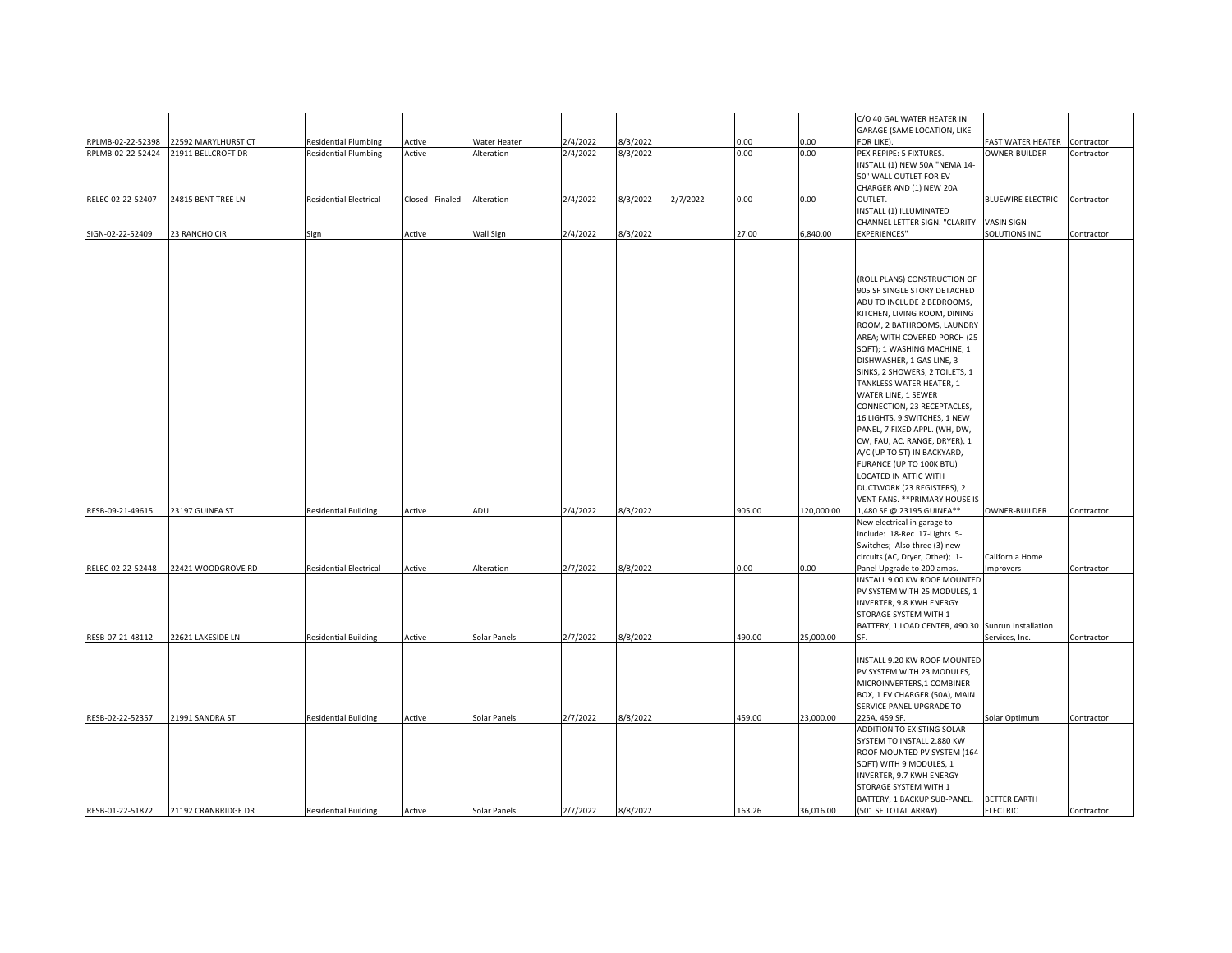|                   |                     |                               |                  |              |          |          |          |        |            | C/O 40 GAL WATER HEATER IN                         |                              |            |
|-------------------|---------------------|-------------------------------|------------------|--------------|----------|----------|----------|--------|------------|----------------------------------------------------|------------------------------|------------|
|                   |                     |                               |                  |              |          |          |          |        |            | GARAGE (SAME LOCATION, LIKE                        |                              |            |
| RPLMB-02-22-52398 | 22592 MARYLHURST CT | <b>Residential Plumbing</b>   | Active           | Water Heater | 2/4/2022 | 8/3/2022 |          | 0.00   | 0.00       | FOR LIKE).                                         | FAST WATER HEATER            | Contractor |
| RPLMB-02-22-52424 | 21911 BELLCROFT DR  | <b>Residential Plumbing</b>   | Active           | Alteration   | 2/4/2022 | 8/3/2022 |          | 0.00   | 0.00       | PEX REPIPE: 5 FIXTURES.                            | OWNER-BUILDER                | Contractor |
|                   |                     |                               |                  |              |          |          |          |        |            | INSTALL (1) NEW 50A "NEMA 14-                      |                              |            |
|                   |                     |                               |                  |              |          |          |          |        |            | 50" WALL OUTLET FOR EV                             |                              |            |
|                   |                     |                               |                  |              |          |          |          |        |            | CHARGER AND (1) NEW 20A                            |                              |            |
| RELEC-02-22-52407 | 24815 BENT TREE LN  | <b>Residential Electrical</b> | Closed - Finaled | Alteration   | 2/4/2022 | 8/3/2022 | 2/7/2022 | 0.00   | 0.00       | OUTLET.                                            | BLUEWIRE ELECTRIC Contractor |            |
|                   |                     |                               |                  |              |          |          |          |        |            | INSTALL (1) ILLUMINATED                            |                              |            |
|                   |                     |                               |                  |              |          |          |          |        |            | CHANNEL LETTER SIGN. "CLARITY                      | VASIN SIGN                   |            |
| SIGN-02-22-52409  | 23 RANCHO CIR       | Sign                          | Active           | Wall Sign    | 2/4/2022 | 8/3/2022 |          | 27.00  | 6,840.00   | EXPERIENCES"                                       | SOLUTIONS INC                | Contractor |
|                   |                     |                               |                  |              |          |          |          |        |            |                                                    |                              |            |
|                   |                     |                               |                  |              |          |          |          |        |            |                                                    |                              |            |
|                   |                     |                               |                  |              |          |          |          |        |            |                                                    |                              |            |
|                   |                     |                               |                  |              |          |          |          |        |            |                                                    |                              |            |
|                   |                     |                               |                  |              |          |          |          |        |            | (ROLL PLANS) CONSTRUCTION OF                       |                              |            |
|                   |                     |                               |                  |              |          |          |          |        |            | 905 SF SINGLE STORY DETACHED                       |                              |            |
|                   |                     |                               |                  |              |          |          |          |        |            | ADU TO INCLUDE 2 BEDROOMS,                         |                              |            |
|                   |                     |                               |                  |              |          |          |          |        |            | KITCHEN, LIVING ROOM, DINING                       |                              |            |
|                   |                     |                               |                  |              |          |          |          |        |            | ROOM, 2 BATHROOMS, LAUNDRY                         |                              |            |
|                   |                     |                               |                  |              |          |          |          |        |            | AREA; WITH COVERED PORCH (25                       |                              |            |
|                   |                     |                               |                  |              |          |          |          |        |            |                                                    |                              |            |
|                   |                     |                               |                  |              |          |          |          |        |            | SQFT); 1 WASHING MACHINE, 1                        |                              |            |
|                   |                     |                               |                  |              |          |          |          |        |            | DISHWASHER, 1 GAS LINE, 3                          |                              |            |
|                   |                     |                               |                  |              |          |          |          |        |            | SINKS, 2 SHOWERS, 2 TOILETS, 1                     |                              |            |
|                   |                     |                               |                  |              |          |          |          |        |            | TANKLESS WATER HEATER, 1                           |                              |            |
|                   |                     |                               |                  |              |          |          |          |        |            | WATER LINE, 1 SEWER                                |                              |            |
|                   |                     |                               |                  |              |          |          |          |        |            | CONNECTION, 23 RECEPTACLES,                        |                              |            |
|                   |                     |                               |                  |              |          |          |          |        |            | 16 LIGHTS, 9 SWITCHES, 1 NEW                       |                              |            |
|                   |                     |                               |                  |              |          |          |          |        |            |                                                    |                              |            |
|                   |                     |                               |                  |              |          |          |          |        |            | PANEL, 7 FIXED APPL. (WH, DW,                      |                              |            |
|                   |                     |                               |                  |              |          |          |          |        |            | CW, FAU, AC, RANGE, DRYER), 1                      |                              |            |
|                   |                     |                               |                  |              |          |          |          |        |            | A/C (UP TO 5T) IN BACKYARD,                        |                              |            |
|                   |                     |                               |                  |              |          |          |          |        |            | FURANCE (UP TO 100K BTU)                           |                              |            |
|                   |                     |                               |                  |              |          |          |          |        |            | LOCATED IN ATTIC WITH                              |                              |            |
|                   |                     |                               |                  |              |          |          |          |        |            | DUCTWORK (23 REGISTERS), 2                         |                              |            |
|                   |                     |                               |                  |              |          |          |          |        |            | VENT FANS. ** PRIMARY HOUSE IS                     |                              |            |
| RESB-09-21-49615  | 23197 GUINEA ST     | <b>Residential Building</b>   | Active           | ADU          | 2/4/2022 | 8/3/2022 |          | 905.00 | 120,000.00 | 1,480 SF @ 23195 GUINEA**                          | OWNER-BUILDER                | Contractor |
|                   |                     |                               |                  |              |          |          |          |        |            | New electrical in garage to                        |                              |            |
|                   |                     |                               |                  |              |          |          |          |        |            |                                                    |                              |            |
|                   |                     |                               |                  |              |          |          |          |        |            | include: 18-Rec 17-Lights 5-                       |                              |            |
|                   |                     |                               |                  |              |          |          |          |        |            | Switches; Also three (3) new                       |                              |            |
|                   |                     |                               |                  |              |          |          |          |        |            | circuits (AC, Dryer, Other); 1-                    | California Home              |            |
| RELEC-02-22-52448 | 22421 WOODGROVE RD  | <b>Residential Electrical</b> | Active           | Alteration   | 2/7/2022 | 8/8/2022 |          | 0.00   | 0.00       | Panel Upgrade to 200 amps.                         | <b>Improvers</b>             | Contractor |
|                   |                     |                               |                  |              |          |          |          |        |            | INSTALL 9.00 KW ROOF MOUNTED                       |                              |            |
|                   |                     |                               |                  |              |          |          |          |        |            | PV SYSTEM WITH 25 MODULES, 1                       |                              |            |
|                   |                     |                               |                  |              |          |          |          |        |            | INVERTER, 9.8 KWH ENERGY                           |                              |            |
|                   |                     |                               |                  |              |          |          |          |        |            | STORAGE SYSTEM WITH 1                              |                              |            |
|                   |                     |                               |                  |              |          |          |          |        |            |                                                    |                              |            |
|                   |                     |                               |                  |              |          |          |          |        |            | BATTERY, 1 LOAD CENTER, 490.30 Sunrun Installation |                              |            |
| RESB-07-21-48112  | 22621 LAKESIDE LN   | <b>Residential Building</b>   | Active           | Solar Panels | 2/7/2022 | 8/8/2022 |          | 490.00 | 25,000.00  | SF.                                                | Services, Inc.               | Contractor |
|                   |                     |                               |                  |              |          |          |          |        |            |                                                    |                              |            |
|                   |                     |                               |                  |              |          |          |          |        |            | INSTALL 9.20 KW ROOF MOUNTED                       |                              |            |
|                   |                     |                               |                  |              |          |          |          |        |            | PV SYSTEM WITH 23 MODULES,                         |                              |            |
|                   |                     |                               |                  |              |          |          |          |        |            | MICROINVERTERS,1 COMBINER                          |                              |            |
|                   |                     |                               |                  |              |          |          |          |        |            | BOX, 1 EV CHARGER (50A), MAIN                      |                              |            |
|                   |                     |                               |                  |              |          |          |          |        |            |                                                    |                              |            |
|                   |                     |                               |                  |              |          |          |          |        |            | SERVICE PANEL UPGRADE TO                           |                              |            |
| RESB-02-22-52357  | 21991 SANDRA ST     | <b>Residential Building</b>   | Active           | Solar Panels | 2/7/2022 | 8/8/2022 |          | 459.00 | 23,000.00  | 225A, 459 SF.                                      | Solar Optimum                | Contractor |
|                   |                     |                               |                  |              |          |          |          |        |            | ADDITION TO EXISTING SOLAR                         |                              |            |
|                   |                     |                               |                  |              |          |          |          |        |            | SYSTEM TO INSTALL 2.880 KW                         |                              |            |
|                   |                     |                               |                  |              |          |          |          |        |            | ROOF MOUNTED PV SYSTEM (164                        |                              |            |
|                   |                     |                               |                  |              |          |          |          |        |            | SQFT) WITH 9 MODULES, 1                            |                              |            |
|                   |                     |                               |                  |              |          |          |          |        |            |                                                    |                              |            |
|                   |                     |                               |                  |              |          |          |          |        |            | INVERTER, 9.7 KWH ENERGY                           |                              |            |
|                   |                     |                               |                  |              |          |          |          |        |            | STORAGE SYSTEM WITH 1                              |                              |            |
|                   |                     |                               |                  |              |          |          |          |        |            | BATTERY, 1 BACKUP SUB-PANEL.                       | <b>BETTER EARTH</b>          |            |
| RESB-01-22-51872  | 21192 CRANBRIDGE DR | <b>Residential Building</b>   | Active           | Solar Panels | 2/7/2022 | 8/8/2022 |          | 163.26 | 36,016.00  | (501 SF TOTAL ARRAY)                               | <b>ELECTRIC</b>              | Contractor |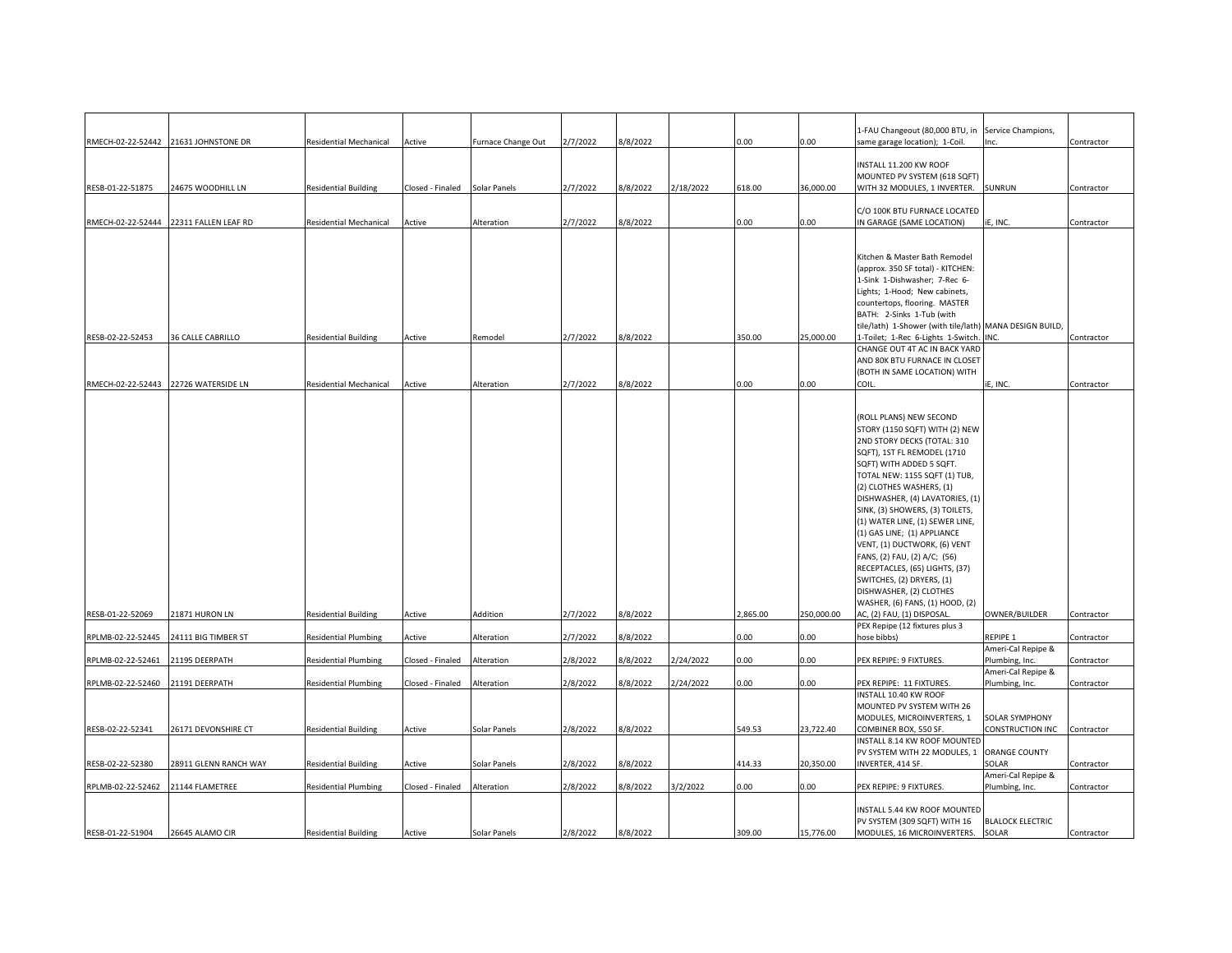|                                   |                                        |                               |                  |                    |          |          |           |          |            | 1-FAU Changeout (80,000 BTU, in                                | Service Champions,               |            |
|-----------------------------------|----------------------------------------|-------------------------------|------------------|--------------------|----------|----------|-----------|----------|------------|----------------------------------------------------------------|----------------------------------|------------|
|                                   | RMECH-02-22-52442 21631 JOHNSTONE DR   | <b>Residential Mechanical</b> | Active           | Furnace Change Out | 2/7/2022 | 8/8/2022 |           | 0.00     | 0.00       | same garage location); 1-Coil.                                 |                                  | Contractor |
|                                   |                                        |                               |                  |                    |          |          |           |          |            |                                                                |                                  |            |
|                                   |                                        |                               |                  |                    |          |          |           |          |            | INSTALL 11.200 KW ROOF                                         |                                  |            |
|                                   |                                        |                               |                  |                    |          |          |           |          |            | MOUNTED PV SYSTEM (618 SQFT)                                   |                                  |            |
| RESB-01-22-51875                  | 24675 WOODHILL LN                      | <b>Residential Building</b>   | Closed - Finaled | Solar Panels       | 2/7/2022 | 8/8/2022 | 2/18/2022 | 618.00   | 36,000.00  | WITH 32 MODULES, 1 INVERTER.                                   | SUNRUN                           | Contractor |
|                                   |                                        |                               |                  |                    |          |          |           |          |            |                                                                |                                  |            |
|                                   |                                        |                               |                  |                    |          |          |           |          |            | C/O 100K BTU FURNACE LOCATED                                   |                                  |            |
|                                   | RMECH-02-22-52444 22311 FALLEN LEAF RD | <b>Residential Mechanical</b> | Active           | Alteration         | 2/7/2022 | 8/8/2022 |           | 0.00     | 0.00       | IN GARAGE (SAME LOCATION)                                      | E, INC.                          | Contractor |
|                                   |                                        |                               |                  |                    |          |          |           |          |            |                                                                |                                  |            |
|                                   |                                        |                               |                  |                    |          |          |           |          |            | Kitchen & Master Bath Remodel                                  |                                  |            |
|                                   |                                        |                               |                  |                    |          |          |           |          |            | (approx. 350 SF total) - KITCHEN:                              |                                  |            |
|                                   |                                        |                               |                  |                    |          |          |           |          |            | 1-Sink 1-Dishwasher; 7-Rec 6-                                  |                                  |            |
|                                   |                                        |                               |                  |                    |          |          |           |          |            | Lights; 1-Hood; New cabinets,                                  |                                  |            |
|                                   |                                        |                               |                  |                    |          |          |           |          |            | countertops, flooring. MASTER                                  |                                  |            |
|                                   |                                        |                               |                  |                    |          |          |           |          |            | BATH: 2-Sinks 1-Tub (with                                      |                                  |            |
|                                   |                                        |                               |                  |                    |          |          |           |          |            | tile/lath) 1-Shower (with tile/lath) MANA DESIGN BUILD,        |                                  |            |
| RESB-02-22-52453                  | <b>36 CALLE CABRILLO</b>               | <b>Residential Building</b>   | Active           | Remodel            | 2/7/2022 | 8/8/2022 |           | 350.00   | 25,000.00  | I-Toilet; 1-Rec 6-Lights 1-Switch. INC.                        |                                  | Contractor |
|                                   |                                        |                               |                  |                    |          |          |           |          |            | CHANGE OUT 4T AC IN BACK YARD                                  |                                  |            |
|                                   |                                        |                               |                  |                    |          |          |           |          |            | AND 80K BTU FURNACE IN CLOSET                                  |                                  |            |
|                                   |                                        |                               |                  |                    |          |          |           |          |            | (BOTH IN SAME LOCATION) WITH                                   |                                  |            |
|                                   | RMECH-02-22-52443 22726 WATERSIDE LN   | <b>Residential Mechanical</b> | Active           | Alteration         | 2/7/2022 | 8/8/2022 |           | 0.00     | 0.00       | COIL.                                                          | iE, INC.                         | Contractor |
|                                   |                                        |                               |                  |                    |          |          |           |          |            |                                                                |                                  |            |
|                                   |                                        |                               |                  |                    |          |          |           |          |            |                                                                |                                  |            |
|                                   |                                        |                               |                  |                    |          |          |           |          |            | (ROLL PLANS) NEW SECOND                                        |                                  |            |
|                                   |                                        |                               |                  |                    |          |          |           |          |            | STORY (1150 SQFT) WITH (2) NEW                                 |                                  |            |
|                                   |                                        |                               |                  |                    |          |          |           |          |            | 2ND STORY DECKS (TOTAL: 310                                    |                                  |            |
|                                   |                                        |                               |                  |                    |          |          |           |          |            | SQFT), 1ST FL REMODEL (1710                                    |                                  |            |
|                                   |                                        |                               |                  |                    |          |          |           |          |            | SQFT) WITH ADDED 5 SQFT.                                       |                                  |            |
|                                   |                                        |                               |                  |                    |          |          |           |          |            | TOTAL NEW: 1155 SQFT (1) TUB,                                  |                                  |            |
|                                   |                                        |                               |                  |                    |          |          |           |          |            | (2) CLOTHES WASHERS, (1)                                       |                                  |            |
|                                   |                                        |                               |                  |                    |          |          |           |          |            | DISHWASHER, (4) LAVATORIES, (1)                                |                                  |            |
|                                   |                                        |                               |                  |                    |          |          |           |          |            | SINK, (3) SHOWERS, (3) TOILETS,                                |                                  |            |
|                                   |                                        |                               |                  |                    |          |          |           |          |            | (1) WATER LINE, (1) SEWER LINE,                                |                                  |            |
|                                   |                                        |                               |                  |                    |          |          |           |          |            | (1) GAS LINE; (1) APPLIANCE                                    |                                  |            |
|                                   |                                        |                               |                  |                    |          |          |           |          |            | VENT, (1) DUCTWORK, (6) VENT                                   |                                  |            |
|                                   |                                        |                               |                  |                    |          |          |           |          |            | FANS, (2) FAU, (2) A/C; (56)<br>RECEPTACLES, (65) LIGHTS, (37) |                                  |            |
|                                   |                                        |                               |                  |                    |          |          |           |          |            | SWITCHES, (2) DRYERS, (1)                                      |                                  |            |
|                                   |                                        |                               |                  |                    |          |          |           |          |            | DISHWASHER, (2) CLOTHES                                        |                                  |            |
|                                   |                                        |                               |                  |                    |          |          |           |          |            | WASHER, (6) FANS, (1) HOOD, (2)                                |                                  |            |
| RESB-01-22-52069                  | 21871 HURON LN                         | <b>Residential Building</b>   | Active           | Addition           | 2/7/2022 | 8/8/2022 |           | 2,865.00 | 250,000.00 | AC, (2) FAU, (1) DISPOSAL.                                     | OWNER/BUILDER                    | Contractor |
|                                   |                                        |                               |                  |                    |          |          |           |          |            | PEX Repipe (12 fixtures plus 3                                 |                                  |            |
| RPLMB-02-22-52445                 | 24111 BIG TIMBER ST                    | <b>Residential Plumbing</b>   | Active           | Alteration         | 2/7/2022 | 8/8/2022 |           | 0.00     | 0.00       | hose bibbs)                                                    | REPIPE 1                         | Contractor |
|                                   |                                        |                               |                  |                    |          |          |           |          |            |                                                                | Ameri-Cal Repipe &               |            |
| RPLMB-02-22-52461                 | 21195 DEERPATH                         | <b>Residential Plumbing</b>   | Closed - Finaled | Alteration         | 2/8/2022 | 8/8/2022 | 2/24/2022 | 0.00     | 00.0       | PEX REPIPE: 9 FIXTURES.                                        | Plumbing, Inc.                   | Contractor |
|                                   |                                        |                               |                  |                    |          |          |           |          |            |                                                                | Ameri-Cal Repipe &               |            |
| RPLMB-02-22-52460 21191 DEERPATH  |                                        | <b>Residential Plumbing</b>   | Closed - Finaled | Alteration         | 2/8/2022 | 8/8/2022 | 2/24/2022 | 0.00     | 0.00       | PEX REPIPE: 11 FIXTURES.                                       | Plumbing, Inc.                   | Contractor |
|                                   |                                        |                               |                  |                    |          |          |           |          |            | INSTALL 10.40 KW ROOF                                          |                                  |            |
|                                   |                                        |                               |                  |                    |          |          |           |          |            | MOUNTED PV SYSTEM WITH 26                                      |                                  |            |
|                                   |                                        |                               |                  |                    |          |          |           |          |            | MODULES, MICROINVERTERS, 1                                     | <b>SOLAR SYMPHONY</b>            |            |
| RESB-02-22-52341                  | 26171 DEVONSHIRE CT                    | <b>Residential Building</b>   | Active           | Solar Panels       | 2/8/2022 | 8/8/2022 |           | 549.53   | 23,722.40  | COMBINER BOX, 550 SF.                                          | CONSTRUCTION INC                 | Contractor |
|                                   |                                        |                               |                  |                    |          |          |           |          |            | INSTALL 8.14 KW ROOF MOUNTED                                   |                                  |            |
|                                   |                                        |                               |                  |                    |          |          |           |          |            | PV SYSTEM WITH 22 MODULES, 1                                   | <b>ORANGE COUNTY</b>             |            |
| RESB-02-22-52380                  | 28911 GLENN RANCH WAY                  | <b>Residential Building</b>   | Active           | Solar Panels       | 2/8/2022 | 8/8/2022 |           | 414.33   | 20,350.00  | INVERTER, 414 SF.                                              | SOLAR                            | Contractor |
|                                   |                                        |                               |                  |                    |          |          |           |          |            |                                                                | Ameri-Cal Repipe &               |            |
| RPLMB-02-22-52462 21144 FLAMETREE |                                        | <b>Residential Plumbing</b>   | Closed - Finaled | Alteration         | 2/8/2022 | 8/8/2022 | 3/2/2022  | 0.00     | 0.00       | PEX REPIPE: 9 FIXTURES.                                        | Plumbing, Inc.                   | Contractor |
|                                   |                                        |                               |                  |                    |          |          |           |          |            |                                                                |                                  |            |
|                                   |                                        |                               |                  |                    |          |          |           |          |            | INSTALL 5.44 KW ROOF MOUNTED                                   |                                  |            |
|                                   |                                        |                               |                  |                    |          |          |           |          |            | PV SYSTEM (309 SQFT) WITH 16                                   | <b>BLALOCK ELECTRIC</b><br>SOLAR |            |
| RESB-01-22-51904                  | 26645 ALAMO CIR                        | <b>Residential Building</b>   | Active           | Solar Panels       | 2/8/2022 | 8/8/2022 |           | 309.00   | 15,776.00  | MODULES, 16 MICROINVERTERS.                                    |                                  | Contractor |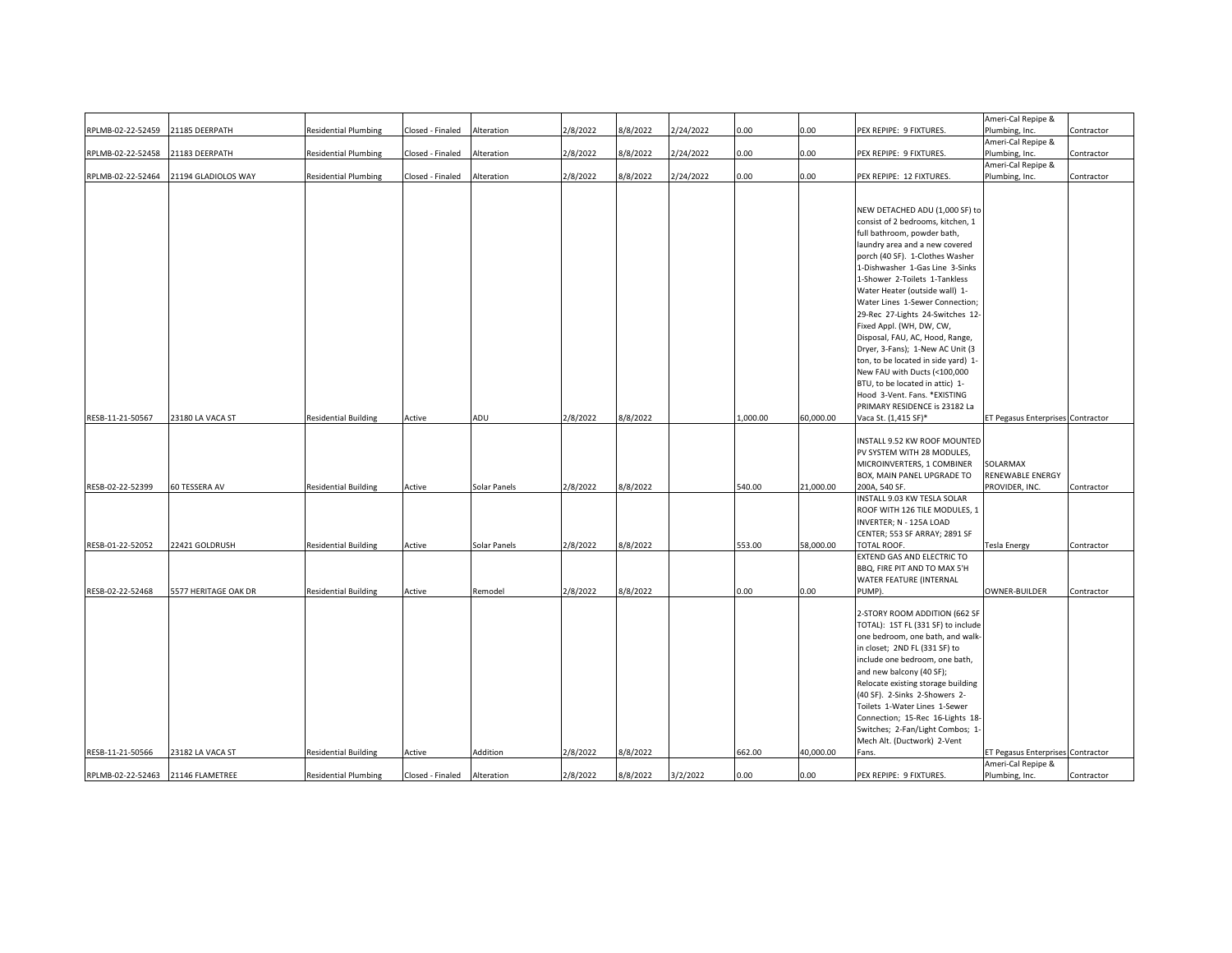|                   |                      |                             |                  |              |          |          |           |          |           |                                                                     | Ameri-Cal Repipe &                   |            |
|-------------------|----------------------|-----------------------------|------------------|--------------|----------|----------|-----------|----------|-----------|---------------------------------------------------------------------|--------------------------------------|------------|
|                   |                      |                             |                  |              |          |          |           | 0.00     |           |                                                                     |                                      |            |
| RPLMB-02-22-52459 | 21185 DEERPATH       | <b>Residential Plumbing</b> | Closed - Finaled | Alteration   | 2/8/2022 | 3/8/2022 | 2/24/2022 |          | 0.00      | PEX REPIPE: 9 FIXTURES.                                             | Plumbing, Inc.<br>Ameri-Cal Repipe & | Contractor |
|                   |                      |                             |                  |              |          |          |           |          | 0.00      |                                                                     |                                      |            |
| RPLMB-02-22-52458 | 21183 DEERPATH       | <b>Residential Plumbing</b> | Closed - Finaled | Alteration   | 2/8/2022 | 8/8/2022 | 2/24/2022 | $0.00\,$ |           | PEX REPIPE: 9 FIXTURES.                                             | Plumbing, Inc.                       | Contractor |
| RPLMB-02-22-52464 |                      | <b>Residential Plumbing</b> |                  | Alteration   | 2/8/2022 | 8/8/2022 | 2/24/2022 | 0.00     | 0.00      |                                                                     | Ameri-Cal Repipe &                   |            |
|                   | 21194 GLADIOLOS WAY  |                             | Closed - Finaled |              |          |          |           |          |           | PEX REPIPE: 12 FIXTURES.                                            | Plumbing, Inc.                       | Contractor |
|                   |                      |                             |                  |              |          |          |           |          |           |                                                                     |                                      |            |
|                   |                      |                             |                  |              |          |          |           |          |           | NEW DETACHED ADU (1,000 SF) to                                      |                                      |            |
|                   |                      |                             |                  |              |          |          |           |          |           | consist of 2 bedrooms, kitchen, 1                                   |                                      |            |
|                   |                      |                             |                  |              |          |          |           |          |           | full bathroom, powder bath,                                         |                                      |            |
|                   |                      |                             |                  |              |          |          |           |          |           | laundry area and a new covered                                      |                                      |            |
|                   |                      |                             |                  |              |          |          |           |          |           | porch (40 SF). 1-Clothes Washer                                     |                                      |            |
|                   |                      |                             |                  |              |          |          |           |          |           | 1-Dishwasher 1-Gas Line 3-Sinks                                     |                                      |            |
|                   |                      |                             |                  |              |          |          |           |          |           | 1-Shower 2-Toilets 1-Tankless                                       |                                      |            |
|                   |                      |                             |                  |              |          |          |           |          |           | Water Heater (outside wall) 1-                                      |                                      |            |
|                   |                      |                             |                  |              |          |          |           |          |           | Water Lines 1-Sewer Connection;                                     |                                      |            |
|                   |                      |                             |                  |              |          |          |           |          |           | 29-Rec 27-Lights 24-Switches 12-                                    |                                      |            |
|                   |                      |                             |                  |              |          |          |           |          |           | Fixed Appl. (WH, DW, CW,                                            |                                      |            |
|                   |                      |                             |                  |              |          |          |           |          |           | Disposal, FAU, AC, Hood, Range,                                     |                                      |            |
|                   |                      |                             |                  |              |          |          |           |          |           | Dryer, 3-Fans); 1-New AC Unit (3                                    |                                      |            |
|                   |                      |                             |                  |              |          |          |           |          |           | ton, to be located in side yard) 1-                                 |                                      |            |
|                   |                      |                             |                  |              |          |          |           |          |           | New FAU with Ducts (<100,000                                        |                                      |            |
|                   |                      |                             |                  |              |          |          |           |          |           | BTU, to be located in attic) 1-                                     |                                      |            |
|                   |                      |                             |                  |              |          |          |           |          |           | Hood 3-Vent. Fans. *EXISTING                                        |                                      |            |
|                   |                      |                             |                  |              |          |          |           |          |           | PRIMARY RESIDENCE is 23182 La                                       |                                      |            |
| RESB-11-21-50567  | 23180 LA VACA ST     | <b>Residential Building</b> | Active           | ADU          | 2/8/2022 | 8/8/2022 |           | 1,000.00 | 60,000.00 | Vaca St. (1,415 SF)*                                                | ET Pegasus Enterprises Contractor    |            |
|                   |                      |                             |                  |              |          |          |           |          |           |                                                                     |                                      |            |
|                   |                      |                             |                  |              |          |          |           |          |           | INSTALL 9.52 KW ROOF MOUNTED                                        |                                      |            |
|                   |                      |                             |                  |              |          |          |           |          |           | PV SYSTEM WITH 28 MODULES,                                          |                                      |            |
|                   |                      |                             |                  |              |          |          |           |          |           | MICROINVERTERS, 1 COMBINER                                          | SOLARMAX                             |            |
|                   |                      |                             |                  |              |          |          |           |          |           | BOX, MAIN PANEL UPGRADE TO                                          | RENEWABLE ENERGY                     |            |
| RESB-02-22-52399  | 60 TESSERA AV        | <b>Residential Building</b> | Active           | Solar Panels | 2/8/2022 | 8/8/2022 |           | 540.00   | 21,000.00 | 200A, 540 SF.                                                       | PROVIDER, INC.                       | Contractor |
|                   |                      |                             |                  |              |          |          |           |          |           | INSTALL 9.03 KW TESLA SOLAR                                         |                                      |            |
|                   |                      |                             |                  |              |          |          |           |          |           | ROOF WITH 126 TILE MODULES, 1                                       |                                      |            |
|                   |                      |                             |                  |              |          |          |           |          |           | INVERTER; N - 125A LOAD                                             |                                      |            |
|                   |                      |                             |                  |              |          |          |           |          |           | CENTER; 553 SF ARRAY; 2891 SF                                       |                                      |            |
| RESB-01-22-52052  | 22421 GOLDRUSH       | <b>Residential Building</b> | Active           | Solar Panels | 2/8/2022 | 8/8/2022 |           | 553.00   | 58,000.00 | TOTAL ROOF.                                                         | <b>Tesla Energy</b>                  | Contractor |
|                   |                      |                             |                  |              |          |          |           |          |           | EXTEND GAS AND ELECTRIC TO                                          |                                      |            |
|                   |                      |                             |                  |              |          |          |           |          |           | BBQ, FIRE PIT AND TO MAX 5'H                                        |                                      |            |
|                   |                      |                             |                  |              |          |          |           |          |           | WATER FEATURE (INTERNAL                                             |                                      |            |
| RESB-02-22-52468  | 5577 HERITAGE OAK DR | <b>Residential Building</b> | Active           | Remodel      | 2/8/2022 | 8/8/2022 |           | 0.00     | 0.00      | PUMP).                                                              | OWNER-BUILDER                        | Contractor |
|                   |                      |                             |                  |              |          |          |           |          |           |                                                                     |                                      |            |
|                   |                      |                             |                  |              |          |          |           |          |           | 2-STORY ROOM ADDITION (662 SF<br>TOTAL): 1ST FL (331 SF) to include |                                      |            |
|                   |                      |                             |                  |              |          |          |           |          |           | one bedroom, one bath, and walk-                                    |                                      |            |
|                   |                      |                             |                  |              |          |          |           |          |           | in closet; 2ND FL (331 SF) to                                       |                                      |            |
|                   |                      |                             |                  |              |          |          |           |          |           | include one bedroom, one bath,                                      |                                      |            |
|                   |                      |                             |                  |              |          |          |           |          |           | and new balcony (40 SF);                                            |                                      |            |
|                   |                      |                             |                  |              |          |          |           |          |           | Relocate existing storage building                                  |                                      |            |
|                   |                      |                             |                  |              |          |          |           |          |           | (40 SF). 2-Sinks 2-Showers 2-                                       |                                      |            |
|                   |                      |                             |                  |              |          |          |           |          |           | Toilets 1-Water Lines 1-Sewer                                       |                                      |            |
|                   |                      |                             |                  |              |          |          |           |          |           | Connection; 15-Rec 16-Lights 18-                                    |                                      |            |
|                   |                      |                             |                  |              |          |          |           |          |           | Switches; 2-Fan/Light Combos; 1-                                    |                                      |            |
|                   |                      |                             |                  |              |          |          |           |          |           | Mech Alt. (Ductwork) 2-Vent                                         |                                      |            |
| RESB-11-21-50566  | 23182 LA VACA ST     | <b>Residential Building</b> | Active           | Addition     | 2/8/2022 | 8/8/2022 |           | 662.00   | 40,000.00 | Fans.                                                               | ET Pegasus Enterprises Contractor    |            |
|                   |                      |                             |                  |              |          |          |           |          |           |                                                                     | Ameri-Cal Repipe &                   |            |
| RPLMB-02-22-52463 | 21146 FLAMETREE      | <b>Residential Plumbing</b> | Closed - Finaled | Alteration   | 2/8/2022 | 8/8/2022 | 3/2/2022  | 0.00     | 0.00      | PEX REPIPE: 9 FIXTURES.                                             | Plumbing, Inc.                       | Contractor |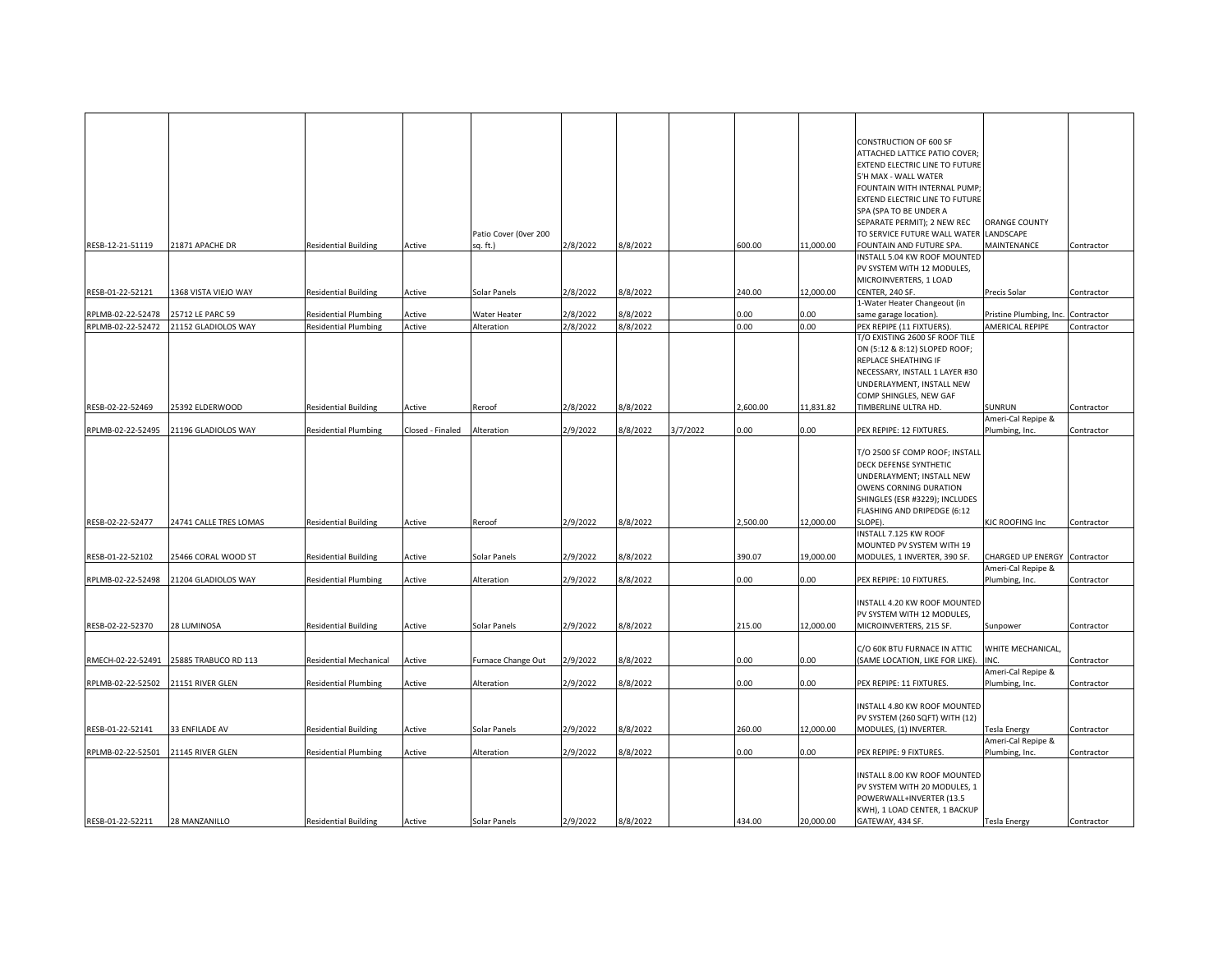|                   |                        |                               |                  |                       |          |          |          |         |           | CONSTRUCTION OF 600 SF                            |                                    |            |
|-------------------|------------------------|-------------------------------|------------------|-----------------------|----------|----------|----------|---------|-----------|---------------------------------------------------|------------------------------------|------------|
|                   |                        |                               |                  |                       |          |          |          |         |           | ATTACHED LATTICE PATIO COVER;                     |                                    |            |
|                   |                        |                               |                  |                       |          |          |          |         |           | <b>EXTEND ELECTRIC LINE TO FUTURE</b>             |                                    |            |
|                   |                        |                               |                  |                       |          |          |          |         |           | 5'H MAX - WALL WATER                              |                                    |            |
|                   |                        |                               |                  |                       |          |          |          |         |           | FOUNTAIN WITH INTERNAL PUMP                       |                                    |            |
|                   |                        |                               |                  |                       |          |          |          |         |           | EXTEND ELECTRIC LINE TO FUTURE                    |                                    |            |
|                   |                        |                               |                  |                       |          |          |          |         |           | SPA (SPA TO BE UNDER A                            |                                    |            |
|                   |                        |                               |                  |                       |          |          |          |         |           |                                                   | ORANGE COUNTY                      |            |
|                   |                        |                               |                  |                       |          |          |          |         |           | SEPARATE PERMIT); 2 NEW REC                       |                                    |            |
|                   |                        |                               |                  | Patio Cover (Over 200 |          |          |          |         |           | TO SERVICE FUTURE WALL WATER LANDSCAPE            |                                    |            |
| RESB-12-21-51119  | 21871 APACHE DR        | <b>Residential Building</b>   | Active           | sq. ft.)              | 2/8/2022 | 8/8/2022 |          | 600.00  | 11,000.00 | FOUNTAIN AND FUTURE SPA.                          | MAINTENANCE                        | Contractor |
|                   |                        |                               |                  |                       |          |          |          |         |           | INSTALL 5.04 KW ROOF MOUNTED                      |                                    |            |
|                   |                        |                               |                  |                       |          |          |          |         |           | PV SYSTEM WITH 12 MODULES,                        |                                    |            |
|                   |                        |                               |                  |                       |          |          |          |         |           | MICROINVERTERS, 1 LOAD                            |                                    |            |
| RESB-01-22-52121  | 1368 VISTA VIEJO WAY   | <b>Residential Building</b>   | Active           | Solar Panels          | 2/8/2022 | 8/8/2022 |          | 240.00  | 12,000.00 | CENTER, 240 SF.                                   | Precis Solar                       | Contractor |
|                   |                        |                               |                  |                       |          |          |          |         |           | 1-Water Heater Changeout (in                      |                                    |            |
| RPLMB-02-22-52478 | 25712 LE PARC 59       | <b>Residential Plumbing</b>   | Active           | Water Heater          | 2/8/2022 | 8/8/2022 |          | 0.00    | 0.00      | same garage location).                            | Pristine Plumbing, Inc. Contractor |            |
| RPLMB-02-22-52472 | 21152 GLADIOLOS WAY    | <b>Residential Plumbing</b>   | Active           | Alteration            | 2/8/2022 | 8/8/2022 |          | 0.00    | 0.00      | PEX REPIPE (11 FIXTUERS)                          | AMERICAL REPIPE                    | Contractor |
|                   |                        |                               |                  |                       |          |          |          |         |           | T/O EXISTING 2600 SF ROOF TILE                    |                                    |            |
|                   |                        |                               |                  |                       |          |          |          |         |           | ON (5:12 & 8:12) SLOPED ROOF;                     |                                    |            |
|                   |                        |                               |                  |                       |          |          |          |         |           | REPLACE SHEATHING IF                              |                                    |            |
|                   |                        |                               |                  |                       |          |          |          |         |           | NECESSARY, INSTALL 1 LAYER #30                    |                                    |            |
|                   |                        |                               |                  |                       |          |          |          |         |           |                                                   |                                    |            |
|                   |                        |                               |                  |                       |          |          |          |         |           | UNDERLAYMENT, INSTALL NEW                         |                                    |            |
|                   |                        |                               |                  |                       |          |          |          |         |           | COMP SHINGLES, NEW GAF                            |                                    |            |
| RESB-02-22-52469  | 25392 ELDERWOOD        | Residential Building          | Active           | Reroof                | 2/8/2022 | 8/8/2022 |          | ,600.00 | 11,831.82 | TIMBERLINE ULTRA HD.                              | SUNRUN                             | Contractor |
|                   |                        |                               |                  |                       |          |          |          |         |           |                                                   | Ameri-Cal Repipe &                 |            |
| RPLMB-02-22-52495 | 21196 GLADIOLOS WAY    | <b>Residential Plumbing</b>   | Closed - Finaled | Alteration            | 2/9/2022 | 8/8/2022 | 3/7/2022 | 0.00    | 0.00      | PEX REPIPE: 12 FIXTURES.                          | Plumbing, Inc.                     | Contractor |
|                   |                        |                               |                  |                       |          |          |          |         |           |                                                   |                                    |            |
|                   |                        |                               |                  |                       |          |          |          |         |           | T/O 2500 SF COMP ROOF; INSTALL                    |                                    |            |
|                   |                        |                               |                  |                       |          |          |          |         |           | DECK DEFENSE SYNTHETIC                            |                                    |            |
|                   |                        |                               |                  |                       |          |          |          |         |           | UNDERLAYMENT; INSTALL NEW                         |                                    |            |
|                   |                        |                               |                  |                       |          |          |          |         |           | OWENS CORNING DURATION                            |                                    |            |
|                   |                        |                               |                  |                       |          |          |          |         |           | SHINGLES (ESR #3229); INCLUDES                    |                                    |            |
|                   |                        |                               |                  |                       |          |          |          |         |           | FLASHING AND DRIPEDGE (6:12                       |                                    |            |
| RESB-02-22-52477  | 24741 CALLE TRES LOMAS | <b>Residential Building</b>   | Active           | Reroof                | 2/9/2022 | 8/8/2022 |          | ,500.00 | 12,000.00 | SLOPE).                                           | KJC ROOFING Inc                    | Contractor |
|                   |                        |                               |                  |                       |          |          |          |         |           | INSTALL 7.125 KW ROOF                             |                                    |            |
|                   |                        |                               |                  |                       |          |          |          |         |           |                                                   |                                    |            |
|                   |                        |                               |                  |                       |          |          |          |         |           | MOUNTED PV SYSTEM WITH 19                         |                                    |            |
| RESB-01-22-52102  | 25466 CORAL WOOD ST    | <b>Residential Building</b>   | Active           | Solar Panels          | 2/9/2022 | 8/8/2022 |          | 390.07  | 19,000.00 | MODULES, 1 INVERTER, 390 SF.                      | CHARGED UP ENERGY Contractor       |            |
|                   |                        |                               |                  |                       |          |          |          |         |           |                                                   | Ameri-Cal Repipe &                 |            |
| RPLMB-02-22-52498 | 21204 GLADIOLOS WAY    | <b>Residential Plumbing</b>   | Active           | Alteration            | 2/9/2022 | 8/8/2022 |          | 0.00    | 0.00      | PEX REPIPE: 10 FIXTURES.                          | Plumbing, Inc.                     | Contractor |
|                   |                        |                               |                  |                       |          |          |          |         |           |                                                   |                                    |            |
|                   |                        |                               |                  |                       |          |          |          |         |           | INSTALL 4.20 KW ROOF MOUNTED                      |                                    |            |
|                   |                        |                               |                  |                       |          |          |          |         |           | PV SYSTEM WITH 12 MODULES,                        |                                    |            |
| RESB-02-22-52370  | 28 LUMINOSA            | <b>Residential Building</b>   | Active           | Solar Panels          | 2/9/2022 | 8/8/2022 |          | 15.00   | 12,000.00 | MICROINVERTERS, 215 SF.                           | Sunpower                           | Contractor |
|                   |                        |                               |                  |                       |          |          |          |         |           |                                                   |                                    |            |
|                   |                        |                               |                  |                       |          |          |          |         |           | C/O 60K BTU FURNACE IN ATTIC                      | WHITE MECHANICAL,                  |            |
| RMECH-02-22-52491 | 25885 TRABUCO RD 113   | <b>Residential Mechanical</b> | Active           | Furnace Change Out    | 2/9/2022 | 8/8/2022 |          | 0.00    | 0.00      | (SAME LOCATION, LIKE FOR LIKE).                   | NC                                 | Contractor |
|                   |                        |                               |                  |                       |          |          |          |         |           |                                                   | Ameri-Cal Repipe &                 |            |
| RPLMB-02-22-52502 | 21151 RIVER GLEN       | <b>Residential Plumbing</b>   | Active           | Alteration            | 2/9/2022 | 8/8/2022 |          | 0.00    | 0.00      | PEX REPIPE: 11 FIXTURES.                          | Plumbing, Inc.                     | Contractor |
|                   |                        |                               |                  |                       |          |          |          |         |           |                                                   |                                    |            |
|                   |                        |                               |                  |                       |          |          |          |         |           | INSTALL 4.80 KW ROOF MOUNTED                      |                                    |            |
|                   |                        |                               |                  |                       |          |          |          |         |           | PV SYSTEM (260 SQFT) WITH (12)                    |                                    |            |
|                   | 33 ENFILADE AV         |                               |                  |                       | 2/9/2022 |          |          |         | 12,000.00 |                                                   |                                    |            |
| RESB-01-22-52141  |                        | <b>Residential Building</b>   | Active           | Solar Panels          |          | 8/8/2022 |          | 260.00  |           | MODULES, (1) INVERTER.                            | Tesla Energy<br>Ameri-Cal Repipe & | Contractor |
|                   |                        |                               |                  |                       |          |          |          |         |           |                                                   |                                    |            |
|                   |                        |                               |                  |                       |          |          |          |         |           |                                                   |                                    |            |
| RPLMB-02-22-52501 | 21145 RIVER GLEN       | <b>Residential Plumbing</b>   | Active           | Alteration            | 2/9/2022 | 8/8/2022 |          | 0.00    | 0.00      | PEX REPIPE: 9 FIXTURES.                           | Plumbing, Inc.                     | Contractor |
|                   |                        |                               |                  |                       |          |          |          |         |           |                                                   |                                    |            |
|                   |                        |                               |                  |                       |          |          |          |         |           | INSTALL 8.00 KW ROOF MOUNTED                      |                                    |            |
|                   |                        |                               |                  |                       |          |          |          |         |           | PV SYSTEM WITH 20 MODULES, 1                      |                                    |            |
|                   |                        |                               |                  |                       |          |          |          |         |           | POWERWALL+INVERTER (13.5                          |                                    |            |
| RESB-01-22-52211  | 28 MANZANILLO          | <b>Residential Building</b>   | Active           | Solar Panels          | 2/9/2022 | 8/8/2022 |          | 434.00  | 20,000.00 | KWH), 1 LOAD CENTER, 1 BACKUP<br>GATEWAY, 434 SF. | <b>Tesla Energy</b>                | Contractor |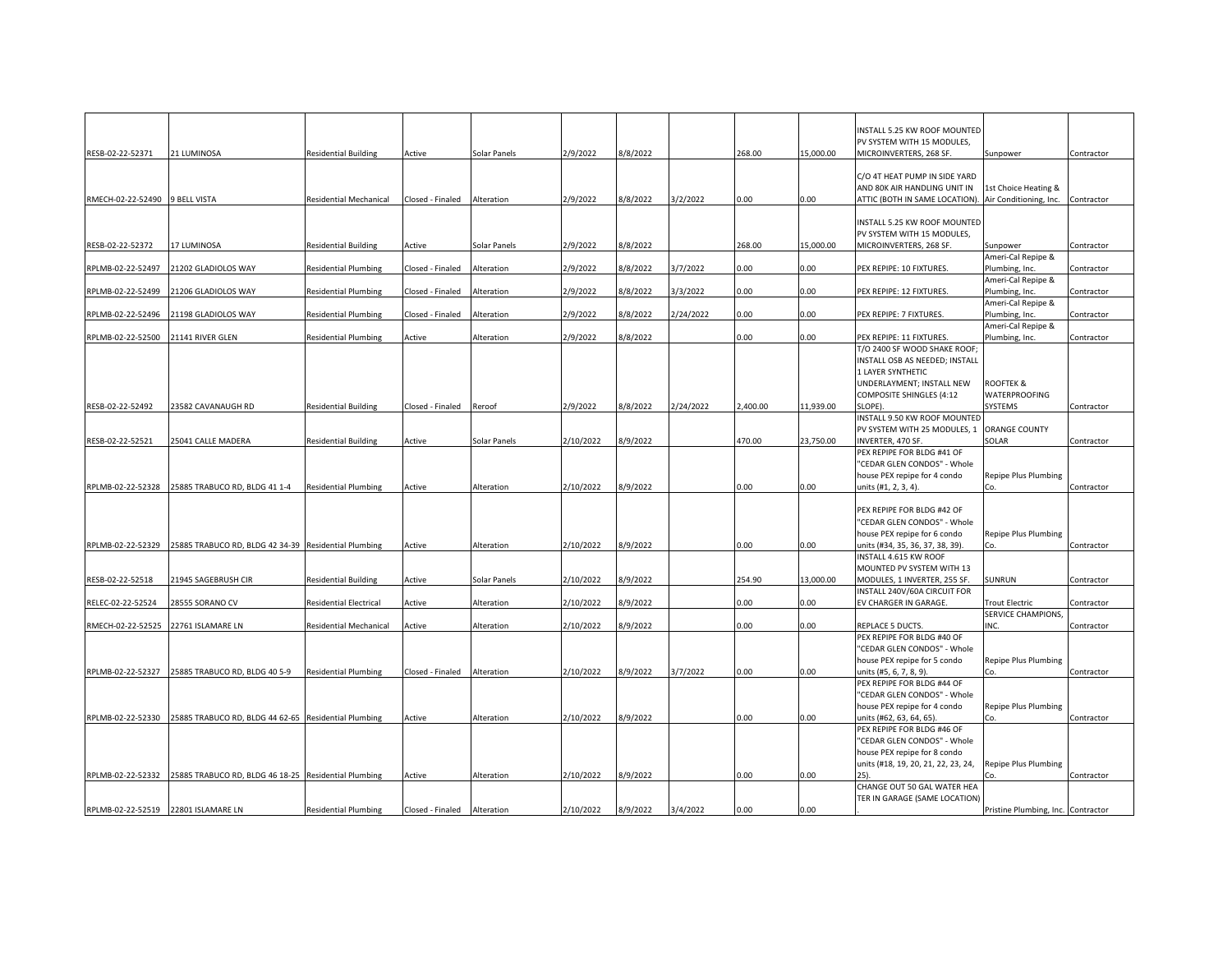|                                     |                                                      |                               |                  |              |           |          |           |          |           | INSTALL 5.25 KW ROOF MOUNTED                                 |                                    |            |
|-------------------------------------|------------------------------------------------------|-------------------------------|------------------|--------------|-----------|----------|-----------|----------|-----------|--------------------------------------------------------------|------------------------------------|------------|
|                                     |                                                      |                               |                  |              |           |          |           |          |           | PV SYSTEM WITH 15 MODULES,                                   |                                    |            |
| RESB-02-22-52371                    | 21 LUMINOSA                                          | <b>Residential Building</b>   | Active           | Solar Panels | 2/9/2022  | 8/8/2022 |           | 268.00   | 15,000.00 | MICROINVERTERS, 268 SF.                                      | Sunpower                           | Contractor |
|                                     |                                                      |                               |                  |              |           |          |           |          |           | C/O 4T HEAT PUMP IN SIDE YARD                                |                                    |            |
|                                     |                                                      |                               |                  |              |           |          |           |          |           | AND 80K AIR HANDLING UNIT IN                                 | 1st Choice Heating &               |            |
| RMECH-02-22-52490 9 BELL VISTA      |                                                      | <b>Residential Mechanical</b> | Closed - Finaled | Alteration   | 2/9/2022  | 8/8/2022 | 3/2/2022  | 0.00     | 0.00      | ATTIC (BOTH IN SAME LOCATION). Air Conditioning, Inc.        |                                    | Contractor |
|                                     |                                                      |                               |                  |              |           |          |           |          |           |                                                              |                                    |            |
|                                     |                                                      |                               |                  |              |           |          |           |          |           | INSTALL 5.25 KW ROOF MOUNTED                                 |                                    |            |
|                                     |                                                      |                               |                  |              |           |          |           |          |           | PV SYSTEM WITH 15 MODULES,                                   |                                    |            |
| RESB-02-22-52372                    | 17 LUMINOSA                                          | <b>Residential Building</b>   | Active           | Solar Panels | 2/9/2022  | 8/8/2022 |           | 268.00   | 15,000.00 | MICROINVERTERS, 268 SF.                                      | Sunpower                           | Contractor |
|                                     |                                                      |                               |                  |              |           |          |           |          |           |                                                              | Ameri-Cal Repipe &                 |            |
| RPLMB-02-22-52497                   | 21202 GLADIOLOS WAY                                  | <b>Residential Plumbing</b>   | Closed - Finaled | Alteration   | 2/9/2022  | 8/8/2022 | 3/7/2022  | 0.00     | 0.00      | PEX REPIPE: 10 FIXTURES.                                     | Plumbing, Inc.                     | Contractor |
|                                     |                                                      |                               |                  |              |           |          |           |          |           |                                                              | Ameri-Cal Repipe &                 |            |
| RPLMB-02-22-52499                   | 21206 GLADIOLOS WAY                                  | <b>Residential Plumbing</b>   | Closed - Finaled | Alteration   | 2/9/2022  | 8/8/2022 | 3/3/2022  | 0.00     | 0.00      | PEX REPIPE: 12 FIXTURES.                                     | Plumbing, Inc.                     | Contractor |
|                                     |                                                      |                               |                  |              |           |          |           |          |           |                                                              | Ameri-Cal Repipe &                 |            |
|                                     | 21198 GLADIOLOS WAY                                  |                               |                  |              | 2/9/2022  | 8/8/2022 |           | 0.00     | 0.00      | PEX REPIPE: 7 FIXTURES.                                      |                                    |            |
| RPLMB-02-22-52496                   |                                                      | <b>Residential Plumbing</b>   | Closed - Finaled | Alteration   |           |          | 2/24/2022 |          |           |                                                              | Plumbing, Inc.                     | Contractor |
|                                     |                                                      |                               |                  |              | 2/9/2022  |          |           | 0.00     | 0.00      | PEX REPIPE: 11 FIXTURES.                                     | Ameri-Cal Repipe &                 |            |
| RPLMB-02-22-52500 21141 RIVER GLEN  |                                                      | <b>Residential Plumbing</b>   | Active           | Alteration   |           | 8/8/2022 |           |          |           | T/O 2400 SF WOOD SHAKE ROOF                                  | Plumbing, Inc.                     | Contractor |
|                                     |                                                      |                               |                  |              |           |          |           |          |           | INSTALL OSB AS NEEDED; INSTALL                               |                                    |            |
|                                     |                                                      |                               |                  |              |           |          |           |          |           | 1 LAYER SYNTHETIC                                            |                                    |            |
|                                     |                                                      |                               |                  |              |           |          |           |          |           |                                                              | ROOFTEK &                          |            |
|                                     |                                                      |                               |                  |              |           |          |           |          |           | UNDERLAYMENT; INSTALL NEW<br><b>COMPOSITE SHINGLES (4:12</b> | WATERPROOFING                      |            |
|                                     |                                                      |                               |                  |              |           |          |           |          |           |                                                              |                                    |            |
| RESB-02-22-52492                    | 23582 CAVANAUGH RD                                   | <b>Residential Building</b>   | Closed - Finaled | Reroof       | 2/9/2022  | 8/8/2022 | 2/24/2022 | 2,400.00 | 11,939.00 | SLOPE).                                                      | SYSTEMS                            | Contractor |
|                                     |                                                      |                               |                  |              |           |          |           |          |           | INSTALL 9.50 KW ROOF MOUNTED                                 |                                    |            |
|                                     |                                                      |                               |                  |              |           |          |           |          |           | PV SYSTEM WITH 25 MODULES, 1                                 | <b>ORANGE COUNTY</b>               |            |
| RESB-02-22-52521                    | 25041 CALLE MADERA                                   | <b>Residential Building</b>   | Active           | Solar Panels | 2/10/2022 | 8/9/2022 |           | 470.00   | 23,750.00 | INVERTER, 470 SF.                                            | SOLAR                              | Contractor |
|                                     |                                                      |                               |                  |              |           |          |           |          |           | PEX REPIPE FOR BLDG #41 OF                                   |                                    |            |
|                                     |                                                      |                               |                  |              |           |          |           |          |           | "CEDAR GLEN CONDOS" - Whole                                  |                                    |            |
|                                     |                                                      |                               |                  |              |           |          |           |          |           | house PEX repipe for 4 condo                                 | Repipe Plus Plumbing               |            |
|                                     | RPLMB-02-22-52328 25885 TRABUCO RD, BLDG 41 1-4      | <b>Residential Plumbing</b>   | Active           | Alteration   | 2/10/2022 | 8/9/2022 |           | 0.00     | $0.00\,$  | units (#1, 2, 3, 4).                                         | Co.                                | Contractor |
|                                     |                                                      |                               |                  |              |           |          |           |          |           |                                                              |                                    |            |
|                                     |                                                      |                               |                  |              |           |          |           |          |           | PEX REPIPE FOR BLDG #42 OF                                   |                                    |            |
|                                     |                                                      |                               |                  |              |           |          |           |          |           | "CEDAR GLEN CONDOS" - Whole                                  |                                    |            |
|                                     |                                                      |                               |                  |              |           |          |           |          |           | house PEX repipe for 6 condo                                 | Repipe Plus Plumbing               |            |
| RPLMB-02-22-52329                   | 25885 TRABUCO RD, BLDG 42 34-39 Residential Plumbing |                               | Active           | Alteration   | 2/10/2022 | 8/9/2022 |           | 0.00     | 0.00      | units (#34, 35, 36, 37, 38, 39).                             | Co.                                | Contractor |
|                                     |                                                      |                               |                  |              |           |          |           |          |           | INSTALL 4.615 KW ROOF                                        |                                    |            |
|                                     |                                                      |                               |                  |              |           |          |           |          |           | MOUNTED PV SYSTEM WITH 13                                    |                                    |            |
| RESB-02-22-52518                    | 21945 SAGEBRUSH CIR                                  | <b>Residential Building</b>   | Active           | Solar Panels | 2/10/2022 | 8/9/2022 |           | 254.90   | 13,000.00 | MODULES, 1 INVERTER, 255 SF.                                 | SUNRUN                             | Contractor |
|                                     |                                                      |                               |                  |              |           |          |           |          |           | INSTALL 240V/60A CIRCUIT FOR                                 |                                    |            |
| RELEC-02-22-52524                   | 28555 SORANO CV                                      | <b>Residential Electrical</b> | Active           | Alteration   | 2/10/2022 | 8/9/2022 |           | 0.00     | 0.00      | EV CHARGER IN GARAGE                                         | Trout Electric                     | Contractor |
|                                     |                                                      |                               |                  |              |           |          |           |          |           |                                                              | SERVICE CHAMPIONS,                 |            |
|                                     | RMECH-02-22-52525 22761 ISLAMARE LN                  | Residential Mechanical        | Active           | Alteration   | 2/10/2022 | 8/9/2022 |           | 0.00     | 0.00      | REPLACE 5 DUCTS.                                             | NC                                 | Contractor |
|                                     |                                                      |                               |                  |              |           |          |           |          |           | PEX REPIPE FOR BLDG #40 OF                                   |                                    |            |
|                                     |                                                      |                               |                  |              |           |          |           |          |           | "CEDAR GLEN CONDOS" - Whole                                  |                                    |            |
|                                     |                                                      |                               |                  |              |           |          |           |          |           | house PEX repipe for 5 condo                                 | Repipe Plus Plumbing               |            |
| RPLMB-02-22-52327                   | 25885 TRABUCO RD, BLDG 40 5-9                        | <b>Residential Plumbing</b>   | Closed - Finaled | Alteration   | 2/10/2022 | 8/9/2022 | 3/7/2022  | 0.00     | 0.00      | units (#5, 6, 7, 8, 9).                                      | Co.                                | Contractor |
|                                     |                                                      |                               |                  |              |           |          |           |          |           | PEX REPIPE FOR BLDG #44 OF                                   |                                    |            |
|                                     |                                                      |                               |                  |              |           |          |           |          |           | "CEDAR GLEN CONDOS" - Whole                                  |                                    |            |
|                                     |                                                      |                               |                  |              |           |          |           |          |           | house PEX repipe for 4 condo                                 | Repipe Plus Plumbing               |            |
| RPLMB-02-22-52330                   | 25885 TRABUCO RD, BLDG 44 62-65 Residential Plumbing |                               | Active           | Alteration   | 2/10/2022 | 8/9/2022 |           | 0.00     | 0.00      | units (#62, 63, 64, 65).                                     | Co.                                | Contractor |
|                                     |                                                      |                               |                  |              |           |          |           |          |           | PEX REPIPE FOR BLDG #46 OF                                   |                                    |            |
|                                     |                                                      |                               |                  |              |           |          |           |          |           | "CEDAR GLEN CONDOS" - Whole                                  |                                    |            |
|                                     |                                                      |                               |                  |              |           |          |           |          |           | house PEX repipe for 8 condo                                 |                                    |            |
|                                     |                                                      |                               |                  |              |           |          |           |          |           | units (#18, 19, 20, 21, 22, 23, 24,                          | Repipe Plus Plumbing               |            |
| RPLMB-02-22-52332                   | 25885 TRABUCO RD, BLDG 46 18-25 Residential Plumbing |                               | Active           | Alteration   | 2/10/2022 | 8/9/2022 |           | 0.00     | 0.00      |                                                              |                                    | Contractor |
|                                     |                                                      |                               |                  |              |           |          |           |          |           | CHANGE OUT 50 GAL WATER HEA                                  |                                    |            |
|                                     |                                                      |                               |                  |              |           |          |           |          |           | TER IN GARAGE (SAME LOCATION)                                |                                    |            |
| RPLMB-02-22-52519 22801 ISLAMARE LN |                                                      | <b>Residential Plumbing</b>   | Closed - Finaled | Alteration   | 2/10/2022 | 8/9/2022 | 3/4/2022  | 0.00     | 0.00      |                                                              | Pristine Plumbing, Inc. Contractor |            |
|                                     |                                                      |                               |                  |              |           |          |           |          |           |                                                              |                                    |            |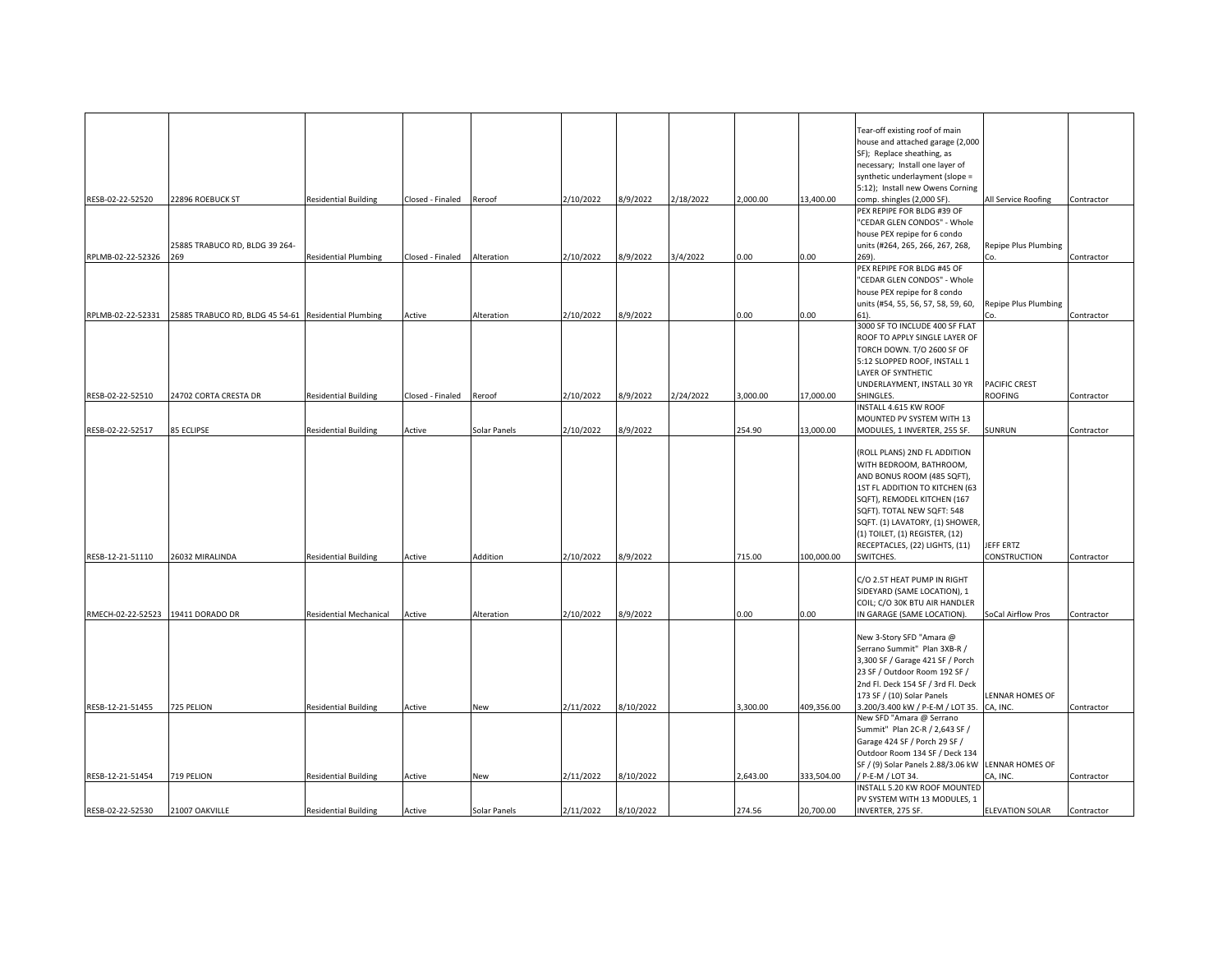|                                   |                                                                        |                               |                             |              |           |           |           |          |            | Tear-off existing roof of main                     |                      |            |
|-----------------------------------|------------------------------------------------------------------------|-------------------------------|-----------------------------|--------------|-----------|-----------|-----------|----------|------------|----------------------------------------------------|----------------------|------------|
|                                   |                                                                        |                               |                             |              |           |           |           |          |            | house and attached garage (2,000                   |                      |            |
|                                   |                                                                        |                               |                             |              |           |           |           |          |            | SF); Replace sheathing, as                         |                      |            |
|                                   |                                                                        |                               |                             |              |           |           |           |          |            | necessary; Install one layer of                    |                      |            |
|                                   |                                                                        |                               |                             |              |           |           |           |          |            | synthetic underlayment (slope =                    |                      |            |
|                                   |                                                                        |                               |                             |              |           |           |           |          |            | 5:12); Install new Owens Corning                   |                      |            |
| RESB-02-22-52520                  | 22896 ROEBUCK ST                                                       | <b>Residential Building</b>   | Closed - Finaled Reroof     |              | 2/10/2022 | 8/9/2022  | 2/18/2022 | ,000.00  | 13,400.00  | comp. shingles (2,000 SF)                          | All Service Roofing  | Contractor |
|                                   |                                                                        |                               |                             |              |           |           |           |          |            | PEX REPIPE FOR BLDG #39 OF                         |                      |            |
|                                   |                                                                        |                               |                             |              |           |           |           |          |            | 'CEDAR GLEN CONDOS" - Whole                        |                      |            |
|                                   |                                                                        |                               |                             |              |           |           |           |          |            | house PEX repipe for 6 condo                       |                      |            |
|                                   | 25885 TRABUCO RD, BLDG 39 264-                                         |                               |                             |              |           |           |           |          |            | units (#264, 265, 266, 267, 268,                   | Repipe Plus Plumbing |            |
| RPLMB-02-22-52326                 | 269                                                                    | <b>Residential Plumbing</b>   | Closed - Finaled Alteration |              | 2/10/2022 | 8/9/2022  | 3/4/2022  | 0.00     | 0.00       | 269).                                              | Co.                  | Contractor |
|                                   |                                                                        |                               |                             |              |           |           |           |          |            | PEX REPIPE FOR BLDG #45 OF                         |                      |            |
|                                   |                                                                        |                               |                             |              |           |           |           |          |            | 'CEDAR GLEN CONDOS" - Whole                        |                      |            |
|                                   |                                                                        |                               |                             |              |           |           |           |          |            | house PEX repipe for 8 condo                       |                      |            |
|                                   |                                                                        |                               |                             |              |           |           |           |          |            | units (#54, 55, 56, 57, 58, 59, 60,                | Repipe Plus Plumbing |            |
|                                   | RPLMB-02-22-52331 25885 TRABUCO RD, BLDG 45 54-61 Residential Plumbing |                               | Active                      | Alteration   | 2/10/2022 | 8/9/2022  |           | 0.00     | 0.00       | 61).                                               |                      | Contractor |
|                                   |                                                                        |                               |                             |              |           |           |           |          |            | 3000 SF TO INCLUDE 400 SF FLAT                     |                      |            |
|                                   |                                                                        |                               |                             |              |           |           |           |          |            | ROOF TO APPLY SINGLE LAYER OF                      |                      |            |
|                                   |                                                                        |                               |                             |              |           |           |           |          |            | TORCH DOWN. T/O 2600 SF OF                         |                      |            |
|                                   |                                                                        |                               |                             |              |           |           |           |          |            | 5:12 SLOPPED ROOF, INSTALL 1                       |                      |            |
|                                   |                                                                        |                               |                             |              |           |           |           |          |            | LAYER OF SYNTHETIC                                 |                      |            |
|                                   |                                                                        |                               |                             |              |           |           |           |          |            | UNDERLAYMENT, INSTALL 30 YR                        | PACIFIC CREST        |            |
| RESB-02-22-52510                  | 24702 CORTA CRESTA DR                                                  | <b>Residential Building</b>   | Closed - Finaled            | Reroof       | 2/10/2022 | 8/9/2022  | 2/24/2022 | 00.000   | 17,000.00  | SHINGLES.                                          | <b>ROOFING</b>       | Contractor |
|                                   |                                                                        |                               |                             |              |           |           |           |          |            | INSTALL 4.615 KW ROOF                              |                      |            |
|                                   |                                                                        |                               |                             |              |           |           |           |          |            | MOUNTED PV SYSTEM WITH 13                          |                      |            |
| RESB-02-22-52517                  | 85 ECLIPSE                                                             | <b>Residential Building</b>   | Active                      | Solar Panels | 2/10/2022 | 8/9/2022  |           | 254.90   | 13,000.00  | MODULES, 1 INVERTER, 255 SF.                       | SUNRUN               | Contractor |
|                                   |                                                                        |                               |                             |              |           |           |           |          |            |                                                    |                      |            |
|                                   |                                                                        |                               |                             |              |           |           |           |          |            | (ROLL PLANS) 2ND FL ADDITION                       |                      |            |
|                                   |                                                                        |                               |                             |              |           |           |           |          |            | WITH BEDROOM, BATHROOM,                            |                      |            |
|                                   |                                                                        |                               |                             |              |           |           |           |          |            | AND BONUS ROOM (485 SQFT),                         |                      |            |
|                                   |                                                                        |                               |                             |              |           |           |           |          |            | 1ST FL ADDITION TO KITCHEN (63                     |                      |            |
|                                   |                                                                        |                               |                             |              |           |           |           |          |            | SQFT), REMODEL KITCHEN (167                        |                      |            |
|                                   |                                                                        |                               |                             |              |           |           |           |          |            | SQFT). TOTAL NEW SQFT: 548                         |                      |            |
|                                   |                                                                        |                               |                             |              |           |           |           |          |            | SQFT. (1) LAVATORY, (1) SHOWER,                    |                      |            |
|                                   |                                                                        |                               |                             |              |           |           |           |          |            | (1) TOILET, (1) REGISTER, (12)                     |                      |            |
|                                   |                                                                        |                               |                             |              |           |           |           |          |            | RECEPTACLES, (22) LIGHTS, (11)                     | JEFF ERTZ            |            |
| RESB-12-21-51110                  | 26032 MIRALINDA                                                        | <b>Residential Building</b>   | Active                      | Addition     | 2/10/2022 | 8/9/2022  |           | 715.00   | 100.000.00 | SWITCHES.                                          | CONSTRUCTION         | Contractor |
|                                   |                                                                        |                               |                             |              |           |           |           |          |            |                                                    |                      |            |
|                                   |                                                                        |                               |                             |              |           |           |           |          |            | C/O 2.5T HEAT PUMP IN RIGHT                        |                      |            |
|                                   |                                                                        |                               |                             |              |           |           |           |          |            | SIDEYARD (SAME LOCATION), 1                        |                      |            |
|                                   |                                                                        |                               |                             |              |           |           |           |          |            | COIL; C/O 30K BTU AIR HANDLER                      |                      |            |
| RMECH-02-22-52523 19411 DORADO DR |                                                                        | <b>Residential Mechanical</b> | Active                      | Alteration   | 2/10/2022 | 8/9/2022  |           | 0.00     | 0.00       | IN GARAGE (SAME LOCATION).                         | SoCal Airflow Pros   | Contractor |
|                                   |                                                                        |                               |                             |              |           |           |           |          |            |                                                    |                      |            |
|                                   |                                                                        |                               |                             |              |           |           |           |          |            | New 3-Story SFD "Amara @                           |                      |            |
|                                   |                                                                        |                               |                             |              |           |           |           |          |            | Serrano Summit" Plan 3XB-R /                       |                      |            |
|                                   |                                                                        |                               |                             |              |           |           |           |          |            | 3,300 SF / Garage 421 SF / Porch                   |                      |            |
|                                   |                                                                        |                               |                             |              |           |           |           |          |            | 23 SF / Outdoor Room 192 SF /                      |                      |            |
|                                   |                                                                        |                               |                             |              |           |           |           |          |            |                                                    |                      |            |
|                                   |                                                                        |                               |                             |              |           |           |           |          |            | 2nd Fl. Deck 154 SF / 3rd Fl. Deck                 |                      |            |
|                                   |                                                                        |                               |                             |              |           |           |           |          |            | 173 SF / (10) Solar Panels                         | LENNAR HOMES OF      |            |
| RESB-12-21-51455                  | 725 PELION                                                             | <b>Residential Building</b>   | Active                      | New          | 2/11/2022 | 8/10/2022 |           | 3,300.00 | 409,356.00 | 3.200/3.400 kW / P-E-M / LOT 35. CA, INC.          |                      | Contractor |
|                                   |                                                                        |                               |                             |              |           |           |           |          |            | New SFD "Amara @ Serrano                           |                      |            |
|                                   |                                                                        |                               |                             |              |           |           |           |          |            | Summit" Plan 2C-R / 2,643 SF /                     |                      |            |
|                                   |                                                                        |                               |                             |              |           |           |           |          |            | Garage 424 SF / Porch 29 SF /                      |                      |            |
|                                   |                                                                        |                               |                             |              |           |           |           |          |            | Outdoor Room 134 SF / Deck 134                     |                      |            |
|                                   |                                                                        |                               |                             |              |           |           |           |          |            | SF / (9) Solar Panels 2.88/3.06 kW LENNAR HOMES OF |                      |            |
|                                   |                                                                        |                               |                             |              |           |           |           |          |            |                                                    |                      |            |
| RESB-12-21-51454                  | 719 PELION                                                             | <b>Residential Building</b>   | Active                      | New          | 2/11/2022 | 8/10/2022 |           | 1,643.00 | 333,504.00 | P-E-M / LOT 34.                                    | CA, INC.             | Contractor |
|                                   |                                                                        |                               |                             |              |           |           |           |          |            | INSTALL 5.20 KW ROOF MOUNTED                       |                      |            |
|                                   |                                                                        |                               |                             |              |           |           |           |          |            | PV SYSTEM WITH 13 MODULES, 1                       |                      |            |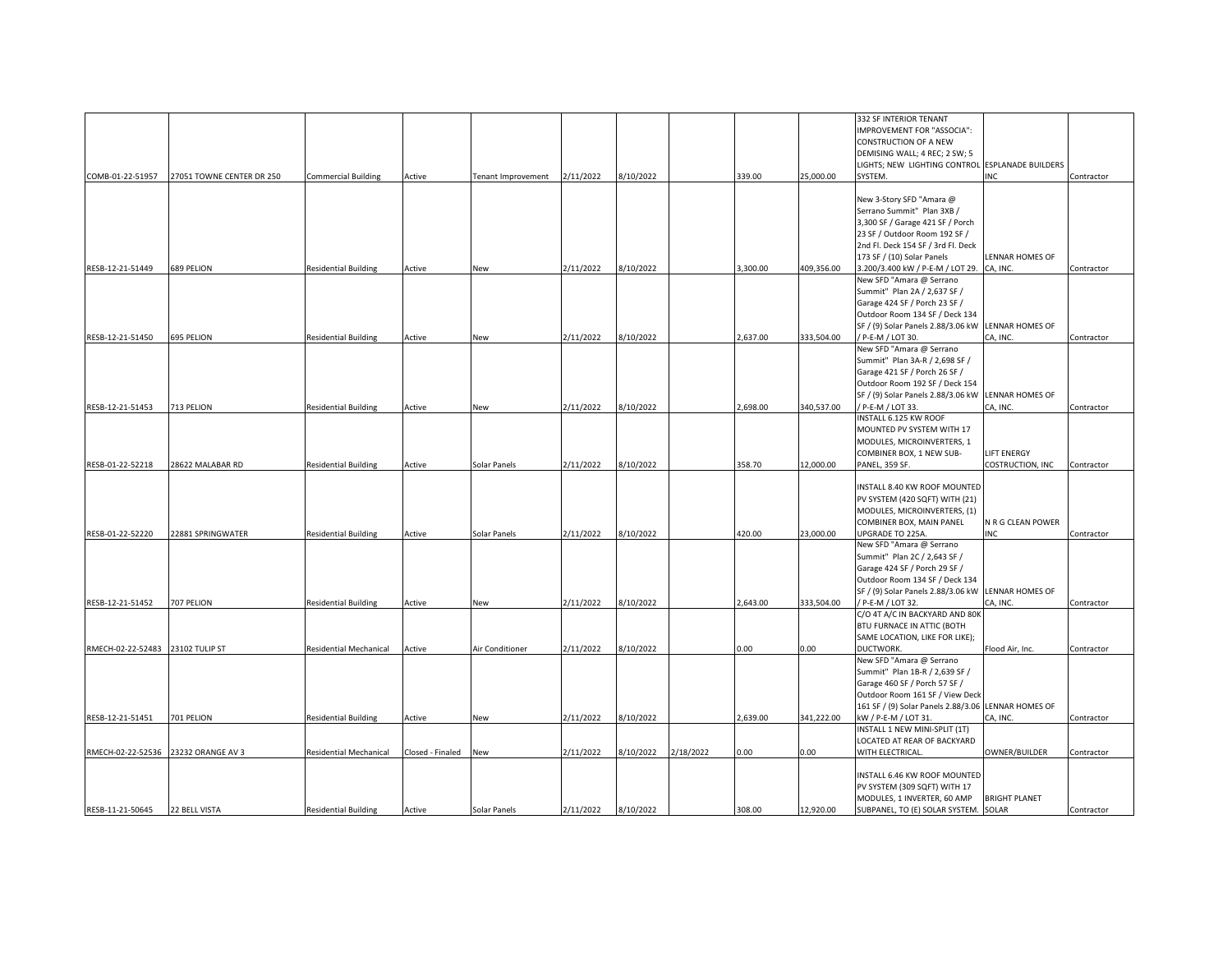|                   |                           |                               |                  |                    |           |           |           |          |            | 332 SF INTERIOR TENANT                              |                           |            |
|-------------------|---------------------------|-------------------------------|------------------|--------------------|-----------|-----------|-----------|----------|------------|-----------------------------------------------------|---------------------------|------------|
|                   |                           |                               |                  |                    |           |           |           |          |            | IMPROVEMENT FOR "ASSOCIA":                          |                           |            |
|                   |                           |                               |                  |                    |           |           |           |          |            | <b>CONSTRUCTION OF A NEW</b>                        |                           |            |
|                   |                           |                               |                  |                    |           |           |           |          |            | DEMISING WALL; 4 REC; 2 SW; 5                       |                           |            |
|                   |                           |                               |                  |                    |           |           |           |          |            | LIGHTS; NEW LIGHTING CONTROL                        | <b>ESPLANADE BUILDERS</b> |            |
| COMB-01-22-51957  | 27051 TOWNE CENTER DR 250 | <b>Commercial Building</b>    | Active           | Tenant Improvement | 2/11/2022 | 8/10/2022 |           | 339.00   | 25,000.00  | SYSTEM.                                             | INC                       | Contractor |
|                   |                           |                               |                  |                    |           |           |           |          |            |                                                     |                           |            |
|                   |                           |                               |                  |                    |           |           |           |          |            | New 3-Story SFD "Amara @                            |                           |            |
|                   |                           |                               |                  |                    |           |           |           |          |            | Serrano Summit" Plan 3XB /                          |                           |            |
|                   |                           |                               |                  |                    |           |           |           |          |            | 3,300 SF / Garage 421 SF / Porch                    |                           |            |
|                   |                           |                               |                  |                    |           |           |           |          |            | 23 SF / Outdoor Room 192 SF /                       |                           |            |
|                   |                           |                               |                  |                    |           |           |           |          |            | 2nd Fl. Deck 154 SF / 3rd Fl. Deck                  |                           |            |
|                   |                           |                               |                  |                    |           |           |           |          |            |                                                     |                           |            |
|                   |                           |                               |                  |                    |           |           |           |          |            | 173 SF / (10) Solar Panels                          | LENNAR HOMES OF           |            |
| RESB-12-21-51449  | 689 PELION                | <b>Residential Building</b>   | Active           | New                | 2/11/2022 | 8/10/2022 |           | 3,300.00 | 409,356.00 | 3.200/3.400 kW / P-E-M / LOT 29.                    | CA, INC.                  | Contractor |
|                   |                           |                               |                  |                    |           |           |           |          |            | New SFD "Amara @ Serrano                            |                           |            |
|                   |                           |                               |                  |                    |           |           |           |          |            | Summit" Plan 2A / 2,637 SF /                        |                           |            |
|                   |                           |                               |                  |                    |           |           |           |          |            | Garage 424 SF / Porch 23 SF /                       |                           |            |
|                   |                           |                               |                  |                    |           |           |           |          |            | Outdoor Room 134 SF / Deck 134                      |                           |            |
|                   |                           |                               |                  |                    |           |           |           |          |            | SF / (9) Solar Panels 2.88/3.06 kW                  | LENNAR HOMES OF           |            |
| RESB-12-21-51450  | <b>695 PELION</b>         | <b>Residential Building</b>   | Active           | New                | 2/11/2022 | 3/10/2022 |           | 2,637.00 | 333,504.00 | / P-E-M / LOT 30.                                   | CA, INC.                  | Contractor |
|                   |                           |                               |                  |                    |           |           |           |          |            | New SFD "Amara @ Serrano                            |                           |            |
|                   |                           |                               |                  |                    |           |           |           |          |            | Summit" Plan 3A-R / 2,698 SF /                      |                           |            |
|                   |                           |                               |                  |                    |           |           |           |          |            | Garage 421 SF / Porch 26 SF /                       |                           |            |
|                   |                           |                               |                  |                    |           |           |           |          |            | Outdoor Room 192 SF / Deck 154                      |                           |            |
|                   |                           |                               |                  |                    |           |           |           |          |            | SF / (9) Solar Panels 2.88/3.06 kW                  | <b>LENNAR HOMES OF</b>    |            |
| RESB-12-21-51453  | 713 PELION                | <b>Residential Building</b>   | Active           | New                | 2/11/2022 | 3/10/2022 |           | 2,698.00 | 340,537.00 | / P-E-M / LOT 33.                                   | CA, INC.                  | Contractor |
|                   |                           |                               |                  |                    |           |           |           |          |            | INSTALL 6.125 KW ROOF                               |                           |            |
|                   |                           |                               |                  |                    |           |           |           |          |            | MOUNTED PV SYSTEM WITH 17                           |                           |            |
|                   |                           |                               |                  |                    |           |           |           |          |            | MODULES, MICROINVERTERS, 1                          |                           |            |
|                   |                           |                               |                  |                    |           |           |           |          |            | COMBINER BOX, 1 NEW SUB-                            | <b>LIFT ENERGY</b>        |            |
| RESB-01-22-52218  | 28622 MALABAR RD          | <b>Residential Building</b>   | Active           | Solar Panels       | 2/11/2022 | 8/10/2022 |           | 358.70   | 12,000.00  | PANEL, 359 SF.                                      | COSTRUCTION, INC          | Contractor |
|                   |                           |                               |                  |                    |           |           |           |          |            |                                                     |                           |            |
|                   |                           |                               |                  |                    |           |           |           |          |            | INSTALL 8.40 KW ROOF MOUNTED                        |                           |            |
|                   |                           |                               |                  |                    |           |           |           |          |            | PV SYSTEM (420 SQFT) WITH (21)                      |                           |            |
|                   |                           |                               |                  |                    |           |           |           |          |            | MODULES, MICROINVERTERS, (1)                        |                           |            |
|                   |                           |                               |                  |                    |           |           |           |          |            | COMBINER BOX, MAIN PANEL                            | N R G CLEAN POWER         |            |
| RESB-01-22-52220  | 22881 SPRINGWATER         | <b>Residential Building</b>   |                  | Solar Panels       | 2/11/2022 | 3/10/2022 |           | 420.00   | 23,000.00  | UPGRADE TO 225A.                                    | <b>INC</b>                | Contractor |
|                   |                           |                               | Active           |                    |           |           |           |          |            | New SFD "Amara @ Serrano                            |                           |            |
|                   |                           |                               |                  |                    |           |           |           |          |            |                                                     |                           |            |
|                   |                           |                               |                  |                    |           |           |           |          |            | Summit" Plan 2C / 2,643 SF /                        |                           |            |
|                   |                           |                               |                  |                    |           |           |           |          |            | Garage 424 SF / Porch 29 SF /                       |                           |            |
|                   |                           |                               |                  |                    |           |           |           |          |            | Outdoor Room 134 SF / Deck 134                      |                           |            |
|                   |                           |                               |                  |                    |           |           |           |          |            | SF / (9) Solar Panels 2.88/3.06 kW LENNAR HOMES OF  |                           |            |
| RESB-12-21-51452  | 707 PELION                | <b>Residential Building</b>   | Active           | New                | 2/11/2022 | 10/2022   |           | 2,643.00 | 333,504.00 | / P-E-M / LOT 32.                                   | CA, INC.                  | Contractor |
|                   |                           |                               |                  |                    |           |           |           |          |            | C/O 4T A/C IN BACKYARD AND 80K                      |                           |            |
|                   |                           |                               |                  |                    |           |           |           |          |            | BTU FURNACE IN ATTIC (BOTH                          |                           |            |
|                   |                           |                               |                  |                    |           |           |           |          |            | SAME LOCATION, LIKE FOR LIKE);                      |                           |            |
| RMECH-02-22-52483 | 23102 TULIP ST            | Residential Mechanical        | Active           | Air Conditioner    | 2/11/2022 | 3/10/2022 |           | 0.00     | 0.00       | DUCTWORK.                                           | Flood Air, Inc.           | Contractor |
|                   |                           |                               |                  |                    |           |           |           |          |            | New SFD "Amara @ Serrano                            |                           |            |
|                   |                           |                               |                  |                    |           |           |           |          |            | Summit" Plan 1B-R / 2,639 SF /                      |                           |            |
|                   |                           |                               |                  |                    |           |           |           |          |            | Garage 460 SF / Porch 57 SF /                       |                           |            |
|                   |                           |                               |                  |                    |           |           |           |          |            | Outdoor Room 161 SF / View Deck                     |                           |            |
|                   |                           |                               |                  |                    |           |           |           |          |            | 161 SF / (9) Solar Panels 2.88/3.06 LENNAR HOMES OF |                           |            |
| RESB-12-21-51451  | 701 PELION                | <b>Residential Building</b>   | Active           | New                | 2/11/2022 | 3/10/2022 |           | 2,639.00 | 341,222.00 | kW / P-E-M / LOT 31.                                | CA, INC.                  | Contractor |
|                   |                           |                               |                  |                    |           |           |           |          |            | INSTALL 1 NEW MINI-SPLIT (1T)                       |                           |            |
|                   |                           |                               |                  |                    |           |           |           |          |            | LOCATED AT REAR OF BACKYARD                         |                           |            |
| RMECH-02-22-52536 | 23232 ORANGE AV 3         | <b>Residential Mechanical</b> | Closed - Finaled | New                | 2/11/2022 | 3/10/2022 | 2/18/2022 | 0.00     | 0.00       | WITH ELECTRICAL.                                    | OWNER/BUILDER             | Contractor |
|                   |                           |                               |                  |                    |           |           |           |          |            |                                                     |                           |            |
|                   |                           |                               |                  |                    |           |           |           |          |            | INSTALL 6.46 KW ROOF MOUNTED                        |                           |            |
|                   |                           |                               |                  |                    |           |           |           |          |            | PV SYSTEM (309 SQFT) WITH 17                        |                           |            |
|                   |                           |                               |                  |                    |           |           |           |          |            | MODULES, 1 INVERTER, 60 AMP                         | <b>BRIGHT PLANET</b>      |            |
| RESB-11-21-50645  | 22 BELL VISTA             | <b>Residential Building</b>   | Active           | Solar Panels       | 2/11/2022 | 8/10/2022 |           | 308.00   | 12,920.00  | SUBPANEL, TO (E) SOLAR SYSTEM. SOLAR                |                           | Contractor |
|                   |                           |                               |                  |                    |           |           |           |          |            |                                                     |                           |            |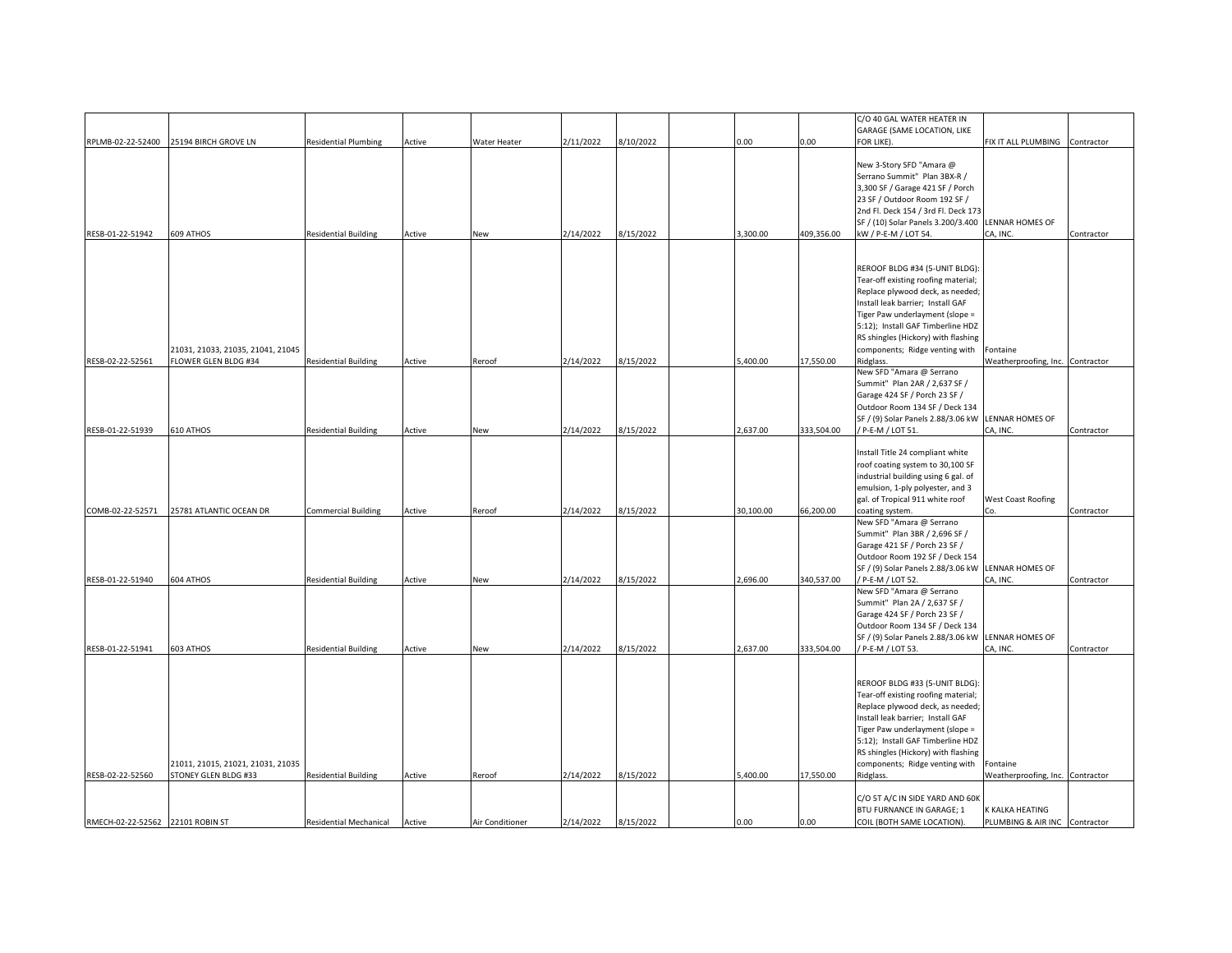| RPLMB-02-22-52400 25194 BIRCH GROVE LN<br>RESB-01-22-51942 | 609 ATHOS                         | <b>Residential Plumbing</b> | Active | Water Heater | 2/11/2022 | 8/10/2022 | 0.00      | 0.00       | C/O 40 GAL WATER HEATER IN<br>GARAGE (SAME LOCATION, LIKE<br>FOR LIKE).<br>New 3-Story SFD "Amara @ | FIX IT ALL PLUMBING              | Contractor |
|------------------------------------------------------------|-----------------------------------|-----------------------------|--------|--------------|-----------|-----------|-----------|------------|-----------------------------------------------------------------------------------------------------|----------------------------------|------------|
|                                                            |                                   |                             |        |              |           |           |           |            |                                                                                                     |                                  |            |
|                                                            |                                   |                             |        |              |           |           |           |            |                                                                                                     |                                  |            |
|                                                            |                                   |                             |        |              |           |           |           |            |                                                                                                     |                                  |            |
|                                                            |                                   |                             |        |              |           |           |           |            |                                                                                                     |                                  |            |
|                                                            |                                   |                             |        |              |           |           |           |            | Serrano Summit" Plan 3BX-R /                                                                        |                                  |            |
|                                                            |                                   |                             |        |              |           |           |           |            | 3,300 SF / Garage 421 SF / Porch                                                                    |                                  |            |
|                                                            |                                   |                             |        |              |           |           |           |            | 23 SF / Outdoor Room 192 SF /                                                                       |                                  |            |
|                                                            |                                   |                             |        |              |           |           |           |            | 2nd Fl. Deck 154 / 3rd Fl. Deck 173                                                                 |                                  |            |
|                                                            |                                   |                             |        |              |           |           |           |            | SF / (10) Solar Panels 3.200/3.400                                                                  | LENNAR HOMES OF                  |            |
|                                                            |                                   | <b>Residential Building</b> | Active | New          | 2/14/2022 | 3/15/2022 | 3,300.00  | 409,356.00 | kW / P-E-M / LOT 54.                                                                                | CA, INC.                         | Contractor |
|                                                            |                                   |                             |        |              |           |           |           |            |                                                                                                     |                                  |            |
|                                                            |                                   |                             |        |              |           |           |           |            |                                                                                                     |                                  |            |
|                                                            |                                   |                             |        |              |           |           |           |            | REROOF BLDG #34 (5-UNIT BLDG):                                                                      |                                  |            |
|                                                            |                                   |                             |        |              |           |           |           |            | Tear-off existing roofing material;                                                                 |                                  |            |
|                                                            |                                   |                             |        |              |           |           |           |            | Replace plywood deck, as needed;                                                                    |                                  |            |
|                                                            |                                   |                             |        |              |           |           |           |            | Install leak barrier; Install GAF                                                                   |                                  |            |
|                                                            |                                   |                             |        |              |           |           |           |            | Tiger Paw underlayment (slope =                                                                     |                                  |            |
|                                                            |                                   |                             |        |              |           |           |           |            | 5:12); Install GAF Timberline HDZ                                                                   |                                  |            |
|                                                            |                                   |                             |        |              |           |           |           |            | RS shingles (Hickory) with flashing                                                                 |                                  |            |
|                                                            | 21031, 21033, 21035, 21041, 21045 |                             |        |              |           |           |           |            | components; Ridge venting with                                                                      | Fontaine                         |            |
| RESB-02-22-52561                                           | FLOWER GLEN BLDG #34              | <b>Residential Building</b> | Active | Reroof       | 2/14/2022 | 8/15/2022 | 5,400.00  | 17,550.00  | Ridglass.                                                                                           |                                  |            |
|                                                            |                                   |                             |        |              |           |           |           |            | New SFD "Amara @ Serrano                                                                            | Weatherproofing, Inc. Contractor |            |
|                                                            |                                   |                             |        |              |           |           |           |            | Summit" Plan 2AR / 2,637 SF /                                                                       |                                  |            |
|                                                            |                                   |                             |        |              |           |           |           |            |                                                                                                     |                                  |            |
|                                                            |                                   |                             |        |              |           |           |           |            | Garage 424 SF / Porch 23 SF /                                                                       |                                  |            |
|                                                            |                                   |                             |        |              |           |           |           |            | Outdoor Room 134 SF / Deck 134                                                                      |                                  |            |
|                                                            |                                   |                             |        |              |           |           |           |            | SF / (9) Solar Panels 2.88/3.06 kW                                                                  | LENNAR HOMES OF                  |            |
| RESB-01-22-51939                                           | 610 ATHOS                         | <b>Residential Building</b> | Active | New          | 2/14/2022 | 8/15/2022 | 2,637.00  | 333,504.00 | / P-E-M / LOT 51.                                                                                   | CA, INC.                         | Contractor |
|                                                            |                                   |                             |        |              |           |           |           |            |                                                                                                     |                                  |            |
|                                                            |                                   |                             |        |              |           |           |           |            | Install Title 24 compliant white                                                                    |                                  |            |
|                                                            |                                   |                             |        |              |           |           |           |            | roof coating system to 30,100 SF                                                                    |                                  |            |
|                                                            |                                   |                             |        |              |           |           |           |            | industrial building using 6 gal. of                                                                 |                                  |            |
|                                                            |                                   |                             |        |              |           |           |           |            | emulsion, 1-ply polyester, and 3                                                                    |                                  |            |
|                                                            |                                   |                             |        |              |           |           |           |            | gal. of Tropical 911 white roof                                                                     | <b>West Coast Roofing</b>        |            |
| COMB-02-22-52571                                           | 25781 ATLANTIC OCEAN DR           | <b>Commercial Building</b>  | Active | Reroof       | 2/14/2022 | 8/15/2022 | 30,100.00 | 66,200.00  | coating system.                                                                                     | Γn                               | Contractor |
|                                                            |                                   |                             |        |              |           |           |           |            | New SFD "Amara @ Serrano                                                                            |                                  |            |
|                                                            |                                   |                             |        |              |           |           |           |            | Summit" Plan 3BR / 2,696 SF /                                                                       |                                  |            |
|                                                            |                                   |                             |        |              |           |           |           |            | Garage 421 SF / Porch 23 SF /                                                                       |                                  |            |
|                                                            |                                   |                             |        |              |           |           |           |            | Outdoor Room 192 SF / Deck 154                                                                      |                                  |            |
|                                                            |                                   |                             |        |              |           |           |           |            | SF / (9) Solar Panels 2.88/3.06 kW                                                                  | LENNAR HOMES OF                  |            |
| RESB-01-22-51940                                           | 604 ATHOS                         | <b>Residential Building</b> | Active | New          | 2/14/2022 | 8/15/2022 | 2,696.00  | 340,537.00 | / P-E-M / LOT 52.                                                                                   | CA, INC.                         | Contractor |
|                                                            |                                   |                             |        |              |           |           |           |            | New SFD "Amara @ Serrano                                                                            |                                  |            |
|                                                            |                                   |                             |        |              |           |           |           |            | Summit" Plan 2A / 2,637 SF /                                                                        |                                  |            |
|                                                            |                                   |                             |        |              |           |           |           |            | Garage 424 SF / Porch 23 SF /                                                                       |                                  |            |
|                                                            |                                   |                             |        |              |           |           |           |            | Outdoor Room 134 SF / Deck 134                                                                      |                                  |            |
|                                                            |                                   |                             |        |              |           |           |           |            | SF / (9) Solar Panels 2.88/3.06 kW                                                                  | LENNAR HOMES OF                  |            |
| RESB-01-22-51941                                           | 603 ATHOS                         | <b>Residential Building</b> | Active | New          | 2/14/2022 | 8/15/2022 | 2,637.00  | 333,504.00 | / P-E-M / LOT 53.                                                                                   | CA, INC.                         | Contractor |
|                                                            |                                   |                             |        |              |           |           |           |            |                                                                                                     |                                  |            |
|                                                            |                                   |                             |        |              |           |           |           |            |                                                                                                     |                                  |            |
|                                                            |                                   |                             |        |              |           |           |           |            | REROOF BLDG #33 (5-UNIT BLDG)                                                                       |                                  |            |
|                                                            |                                   |                             |        |              |           |           |           |            | Tear-off existing roofing material;                                                                 |                                  |            |
|                                                            |                                   |                             |        |              |           |           |           |            | Replace plywood deck, as needed;                                                                    |                                  |            |
|                                                            |                                   |                             |        |              |           |           |           |            | Install leak barrier; Install GAF                                                                   |                                  |            |
|                                                            |                                   |                             |        |              |           |           |           |            | Tiger Paw underlayment (slope =                                                                     |                                  |            |
|                                                            |                                   |                             |        |              |           |           |           |            | 5:12); Install GAF Timberline HDZ                                                                   |                                  |            |
|                                                            |                                   |                             |        |              |           |           |           |            | RS shingles (Hickory) with flashing                                                                 |                                  |            |
|                                                            |                                   |                             |        |              |           |           |           |            |                                                                                                     |                                  |            |
|                                                            |                                   |                             |        |              |           |           |           |            |                                                                                                     |                                  |            |
|                                                            | 21011, 21015, 21021, 21031, 21035 |                             |        |              |           |           |           |            | components; Ridge venting with                                                                      | Fontaine                         |            |
| RESB-02-22-52560                                           | STONEY GLEN BLDG #33              | <b>Residential Building</b> | Active | Reroof       | 2/14/2022 | 8/15/2022 | 5,400.00  | 17,550.00  | Ridglass.                                                                                           | Weatherproofing, Inc. Contractor |            |
|                                                            |                                   |                             |        |              |           |           |           |            |                                                                                                     |                                  |            |
|                                                            |                                   |                             |        |              |           |           |           |            | C/O 5T A/C IN SIDE YARD AND 60K<br>BTU FURNANCE IN GARAGE; 1                                        | K KALKA HEATING                  |            |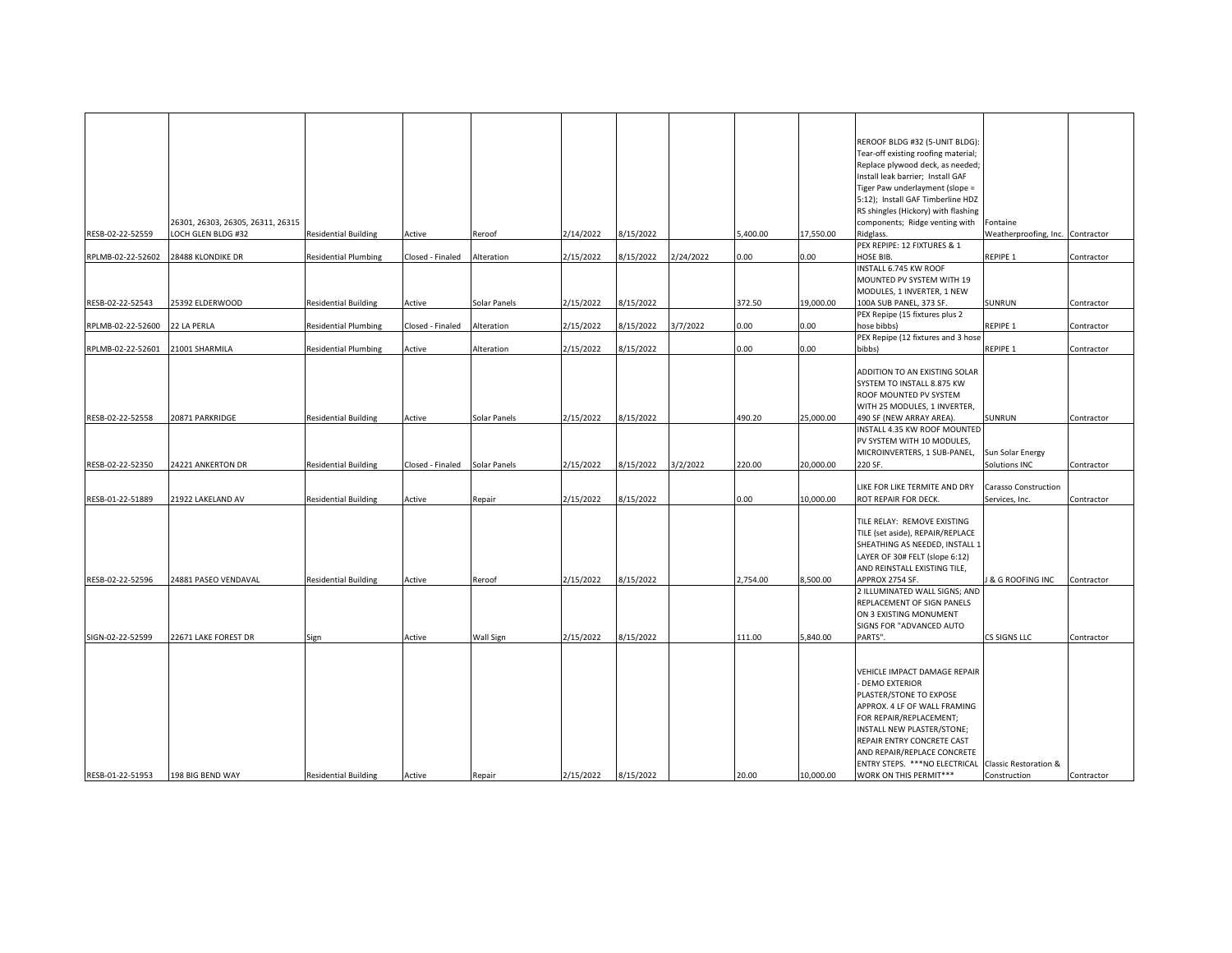|                   |                                   |                             |                  |              |           |           |           |          |           | REROOF BLDG #32 (5-UNIT BLDG):                      |                                  |            |
|-------------------|-----------------------------------|-----------------------------|------------------|--------------|-----------|-----------|-----------|----------|-----------|-----------------------------------------------------|----------------------------------|------------|
|                   |                                   |                             |                  |              |           |           |           |          |           | Tear-off existing roofing material;                 |                                  |            |
|                   |                                   |                             |                  |              |           |           |           |          |           | Replace plywood deck, as needed;                    |                                  |            |
|                   |                                   |                             |                  |              |           |           |           |          |           | Install leak barrier; Install GAF                   |                                  |            |
|                   |                                   |                             |                  |              |           |           |           |          |           | Tiger Paw underlayment (slope =                     |                                  |            |
|                   |                                   |                             |                  |              |           |           |           |          |           | 5:12); Install GAF Timberline HDZ                   |                                  |            |
|                   |                                   |                             |                  |              |           |           |           |          |           | RS shingles (Hickory) with flashing                 |                                  |            |
|                   | 26301, 26303, 26305, 26311, 26315 |                             |                  |              |           |           |           |          |           | components; Ridge venting with                      | Fontaine                         |            |
| RESB-02-22-52559  | LOCH GLEN BLDG #32                | <b>Residential Building</b> | Active           | Reroof       | 2/14/2022 | 8/15/2022 |           | 5.400.00 | 17,550.00 | Ridglass.                                           | Weatherproofing, Inc. Contractor |            |
|                   |                                   |                             |                  |              |           |           |           |          |           | PEX REPIPE: 12 FIXTURES & 1                         |                                  |            |
| RPLMB-02-22-52602 | 28488 KLONDIKE DR                 | <b>Residential Plumbing</b> | Closed - Finaled | Alteration   | 2/15/2022 | 8/15/2022 | 2/24/2022 | 0.00     | 0.00      | HOSE BIB.                                           | REPIPE 1                         |            |
|                   |                                   |                             |                  |              |           |           |           |          |           |                                                     |                                  | Contractor |
|                   |                                   |                             |                  |              |           |           |           |          |           | INSTALL 6.745 KW ROOF                               |                                  |            |
|                   |                                   |                             |                  |              |           |           |           |          |           | MOUNTED PV SYSTEM WITH 19                           |                                  |            |
|                   |                                   |                             |                  |              |           |           |           |          |           | MODULES, 1 INVERTER, 1 NEW                          |                                  |            |
| RESB-02-22-52543  | 25392 ELDERWOOD                   | <b>Residential Building</b> | Active           | Solar Panels | 2/15/2022 | 8/15/2022 |           | 372.50   | 19,000.00 | 100A SUB PANEL, 373 SF.                             | SUNRUN                           | Contractor |
|                   |                                   |                             |                  |              |           |           |           |          |           | PEX Repipe (15 fixtures plus 2                      |                                  |            |
| RPLMB-02-22-52600 | 22 LA PERLA                       | <b>Residential Plumbing</b> | Closed - Finaled | Alteration   | 2/15/2022 | 8/15/2022 | 3/7/2022  | 0.00     | 0.00      | hose bibbs)                                         | REPIPE 1                         | Contractor |
|                   |                                   |                             |                  |              |           |           |           |          |           | PEX Repipe (12 fixtures and 3 hose                  |                                  |            |
| RPLMB-02-22-52601 | 21001 SHARMILA                    | <b>Residential Plumbing</b> | Active           | Alteration   | 2/15/2022 | 8/15/2022 |           | 0.00     | 0.00      | bibbs)                                              | REPIPE 1                         | Contractor |
|                   |                                   |                             |                  |              |           |           |           |          |           |                                                     |                                  |            |
|                   |                                   |                             |                  |              |           |           |           |          |           | ADDITION TO AN EXISTING SOLAR                       |                                  |            |
|                   |                                   |                             |                  |              |           |           |           |          |           | SYSTEM TO INSTALL 8.875 KW                          |                                  |            |
|                   |                                   |                             |                  |              |           |           |           |          |           | ROOF MOUNTED PV SYSTEM                              |                                  |            |
|                   |                                   |                             |                  |              |           |           |           |          |           | WITH 25 MODULES, 1 INVERTER,                        |                                  |            |
| RESB-02-22-52558  |                                   |                             |                  |              | 2/15/2022 | 8/15/2022 |           | 490.20   | 25,000.00 |                                                     |                                  |            |
|                   | 20871 PARKRIDGE                   | <b>Residential Building</b> | Active           | Solar Panels |           |           |           |          |           | 490 SF (NEW ARRAY AREA).                            | SUNRUN                           | Contractor |
|                   |                                   |                             |                  |              |           |           |           |          |           | INSTALL 4.35 KW ROOF MOUNTED                        |                                  |            |
|                   |                                   |                             |                  |              |           |           |           |          |           | PV SYSTEM WITH 10 MODULES,                          |                                  |            |
|                   |                                   |                             |                  |              |           |           |           |          |           | MICROINVERTERS, 1 SUB-PANEL,                        | Sun Solar Energy                 |            |
| RESB-02-22-52350  | 24221 ANKERTON DR                 | <b>Residential Building</b> | Closed - Finaled | Solar Panels | 2/15/2022 | 8/15/2022 | 3/2/2022  | 220.00   | 20,000.00 | 220 SF.                                             | Solutions INC                    | Contractor |
|                   |                                   |                             |                  |              |           |           |           |          |           |                                                     |                                  |            |
|                   |                                   |                             |                  |              |           |           |           |          |           | LIKE FOR LIKE TERMITE AND DRY                       | Carasso Construction             |            |
| RESB-01-22-51889  | 21922 LAKELAND AV                 | <b>Residential Building</b> | Active           | Repair       | 2/15/2022 | 8/15/2022 |           | 0.00     | 10,000.00 | ROT REPAIR FOR DECK.                                | Services, Inc.                   | Contractor |
|                   |                                   |                             |                  |              |           |           |           |          |           |                                                     |                                  |            |
|                   |                                   |                             |                  |              |           |           |           |          |           | TILE RELAY: REMOVE EXISTING                         |                                  |            |
|                   |                                   |                             |                  |              |           |           |           |          |           | TILE (set aside), REPAIR/REPLACE                    |                                  |            |
|                   |                                   |                             |                  |              |           |           |           |          |           | SHEATHING AS NEEDED, INSTALL 1                      |                                  |            |
|                   |                                   |                             |                  |              |           |           |           |          |           | LAYER OF 30# FELT (slope 6:12)                      |                                  |            |
|                   |                                   |                             |                  |              |           |           |           |          |           | AND REINSTALL EXISTING TILE,                        |                                  |            |
| RESB-02-22-52596  | 24881 PASEO VENDAVAL              | <b>Residential Building</b> | Active           | Reroof       | 2/15/2022 | 8/15/2022 |           | 2,754.00 | 8,500.00  | APPROX 2754 SF.                                     | J & G ROOFING INC                | Contractor |
|                   |                                   |                             |                  |              |           |           |           |          |           | 2 ILLUMINATED WALL SIGNS; AND                       |                                  |            |
|                   |                                   |                             |                  |              |           |           |           |          |           |                                                     |                                  |            |
|                   |                                   |                             |                  |              |           |           |           |          |           | REPLACEMENT OF SIGN PANELS                          |                                  |            |
|                   |                                   |                             |                  |              |           |           |           |          |           | ON 3 EXISTING MONUMENT                              |                                  |            |
|                   |                                   |                             |                  |              |           |           |           |          |           | SIGNS FOR "ADVANCED AUTO                            |                                  |            |
| SIGN-02-22-52599  | 22671 LAKE FOREST DR              | Sign                        | Active           | Wall Sign    | 2/15/2022 | 8/15/2022 |           | 111.00   | 5,840.00  | PARTS".                                             | CS SIGNS LLC                     | Contractor |
|                   |                                   |                             |                  |              |           |           |           |          |           |                                                     |                                  |            |
|                   |                                   |                             |                  |              |           |           |           |          |           |                                                     |                                  |            |
|                   |                                   |                             |                  |              |           |           |           |          |           | VEHICLE IMPACT DAMAGE REPAIR                        |                                  |            |
|                   |                                   |                             |                  |              |           |           |           |          |           | <b>DEMO EXTERIOR</b>                                |                                  |            |
|                   |                                   |                             |                  |              |           |           |           |          |           | PLASTER/STONE TO EXPOSE                             |                                  |            |
|                   |                                   |                             |                  |              |           |           |           |          |           | APPROX. 4 LF OF WALL FRAMING                        |                                  |            |
|                   |                                   |                             |                  |              |           |           |           |          |           | FOR REPAIR/REPLACEMENT;                             |                                  |            |
|                   |                                   |                             |                  |              |           |           |           |          |           | INSTALL NEW PLASTER/STONE;                          |                                  |            |
|                   |                                   |                             |                  |              |           |           |           |          |           | REPAIR ENTRY CONCRETE CAST                          |                                  |            |
|                   |                                   |                             |                  |              |           |           |           |          |           |                                                     |                                  |            |
|                   |                                   |                             |                  |              |           |           |           |          |           | AND REPAIR/REPLACE CONCRETE                         |                                  |            |
|                   |                                   |                             |                  |              |           |           |           |          |           | ENTRY STEPS. ***NO ELECTRICAL Classic Restoration & |                                  |            |
| RESB-01-22-51953  | 198 BIG BEND WAY                  | <b>Residential Building</b> | Active           | Repair       | 2/15/2022 | 8/15/2022 |           | 20.00    | 10,000.00 | WORK ON THIS PERMIT***                              | Construction                     | Contractor |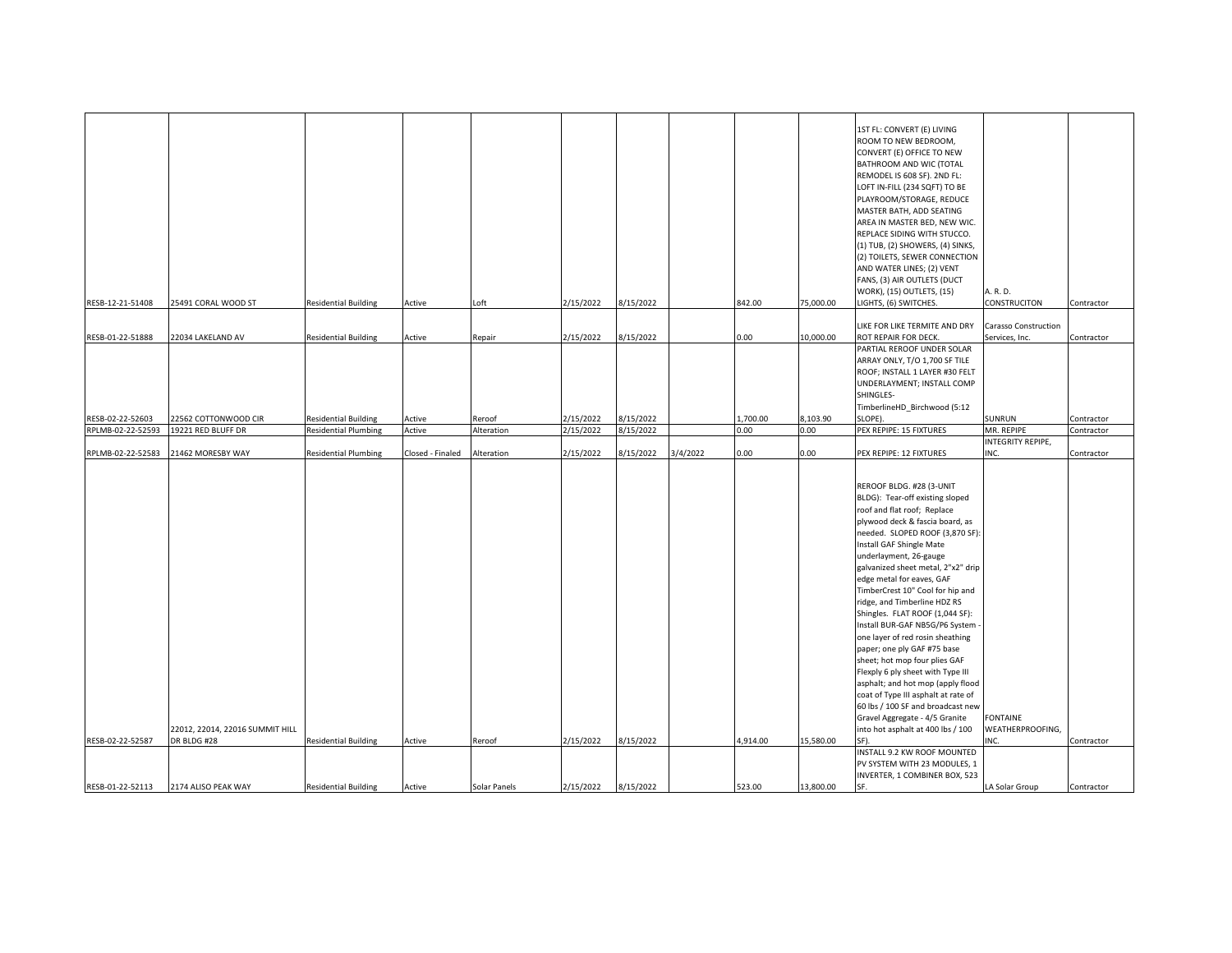|                   |                                 |                             |                  |              |           |           |          |          |           | 1ST FL: CONVERT (E) LIVING<br>ROOM TO NEW BEDROOM,<br>CONVERT (E) OFFICE TO NEW<br>BATHROOM AND WIC (TOTAL<br>REMODEL IS 608 SF). 2ND FL:<br>LOFT IN-FILL (234 SQFT) TO BE<br>PLAYROOM/STORAGE, REDUCE<br>MASTER BATH, ADD SEATING<br>AREA IN MASTER BED, NEW WIC.<br>REPLACE SIDING WITH STUCCO.<br>(1) TUB, (2) SHOWERS, (4) SINKS,<br>(2) TOILETS, SEWER CONNECTION<br>AND WATER LINES; (2) VENT<br>FANS, (3) AIR OUTLETS (DUCT<br>WORK), (15) OUTLETS, (15)                                                                                                                                                                                                                                                                | A. R. D.                               |            |
|-------------------|---------------------------------|-----------------------------|------------------|--------------|-----------|-----------|----------|----------|-----------|--------------------------------------------------------------------------------------------------------------------------------------------------------------------------------------------------------------------------------------------------------------------------------------------------------------------------------------------------------------------------------------------------------------------------------------------------------------------------------------------------------------------------------------------------------------------------------------------------------------------------------------------------------------------------------------------------------------------------------|----------------------------------------|------------|
| RESB-12-21-51408  | 25491 CORAL WOOD ST             | <b>Residential Building</b> | Active           | Loft         | 2/15/2022 | 8/15/2022 |          | 842.00   | 75,000.00 | LIGHTS, (6) SWITCHES.                                                                                                                                                                                                                                                                                                                                                                                                                                                                                                                                                                                                                                                                                                          | CONSTRUCITON                           | Contractor |
| RESB-01-22-51888  | 22034 LAKELAND AV               | <b>Residential Building</b> | Active           | Repair       | 2/15/2022 | 8/15/2022 |          | 0.00     | 10,000.00 | LIKE FOR LIKE TERMITE AND DRY<br>ROT REPAIR FOR DECK.<br>PARTIAL REROOF UNDER SOLAR<br>ARRAY ONLY, T/O 1,700 SF TILE<br>ROOF; INSTALL 1 LAYER #30 FELT<br>UNDERLAYMENT; INSTALL COMP<br>SHINGLES-<br>TimberlineHD_Birchwood (5:12                                                                                                                                                                                                                                                                                                                                                                                                                                                                                              | Carasso Construction<br>Services, Inc. | Contractor |
| RESB-02-22-52603  | 22562 COTTONWOOD CIR            | <b>Residential Building</b> | Active           | Reroof       | 2/15/2022 | 8/15/2022 |          | 1,700.00 | 8,103.90  | SLOPE)                                                                                                                                                                                                                                                                                                                                                                                                                                                                                                                                                                                                                                                                                                                         | SUNRUN                                 | Contractor |
| RPLMB-02-22-52593 | 19221 RED BLUFF DR              | <b>Residential Plumbing</b> | Active           | Alteration   | 2/15/2022 | 8/15/2022 |          | 0.00     | 0.00      | PEX REPIPE: 15 FIXTURES                                                                                                                                                                                                                                                                                                                                                                                                                                                                                                                                                                                                                                                                                                        | MR. REPIPE                             | Contractor |
|                   |                                 |                             |                  |              |           |           |          |          |           |                                                                                                                                                                                                                                                                                                                                                                                                                                                                                                                                                                                                                                                                                                                                | INTEGRITY REPIPE,                      |            |
| RPLMB-02-22-52583 | 21462 MORESBY WAY               | <b>Residential Plumbing</b> | Closed - Finaled | Alteration   | 2/15/2022 | 8/15/2022 | 3/4/2022 | $0.00\,$ | 0.00      | PEX REPIPE: 12 FIXTURES                                                                                                                                                                                                                                                                                                                                                                                                                                                                                                                                                                                                                                                                                                        | INC.                                   | Contractor |
|                   |                                 |                             |                  |              |           |           |          |          |           | REROOF BLDG. #28 (3-UNIT<br>BLDG): Tear-off existing sloped<br>roof and flat roof; Replace<br>plywood deck & fascia board, as<br>needed. SLOPED ROOF (3,870 SF):<br>Install GAF Shingle Mate<br>underlayment, 26-gauge<br>galvanized sheet metal, 2"x2" drip<br>edge metal for eaves, GAF<br>TimberCrest 10" Cool for hip and<br>ridge, and Timberline HDZ RS<br>Shingles. FLAT ROOF (1,044 SF):<br>Install BUR-GAF NB5G/P6 System<br>one layer of red rosin sheathing<br>paper; one ply GAF #75 base<br>sheet; hot mop four plies GAF<br>Flexply 6 ply sheet with Type III<br>asphalt; and hot mop (apply flood<br>coat of Type III asphalt at rate of<br>60 lbs / 100 SF and broadcast new<br>Gravel Aggregate - 4/5 Granite | <b>FONTAINE</b>                        |            |
|                   | 22012, 22014, 22016 SUMMIT HILL |                             |                  |              |           |           |          |          |           | into hot asphalt at 400 lbs / 100                                                                                                                                                                                                                                                                                                                                                                                                                                                                                                                                                                                                                                                                                              | WEATHERPROOFING,                       |            |
| RESB-02-22-52587  | DR BLDG #28                     | <b>Residential Building</b> | Active           | Reroof       | 2/15/2022 | 8/15/2022 |          | 4,914.00 | 15,580.00 | SF).                                                                                                                                                                                                                                                                                                                                                                                                                                                                                                                                                                                                                                                                                                                           | INC.                                   | Contractor |
| RESB-01-22-52113  | 2174 ALISO PEAK WAY             | <b>Residential Building</b> | Active           | Solar Panels | 2/15/2022 | 8/15/2022 |          | 523.00   | 13,800.00 | INSTALL 9.2 KW ROOF MOUNTED<br>PV SYSTEM WITH 23 MODULES, 1<br>INVERTER, 1 COMBINER BOX, 523<br>SF.                                                                                                                                                                                                                                                                                                                                                                                                                                                                                                                                                                                                                            | LA Solar Group                         | Contractor |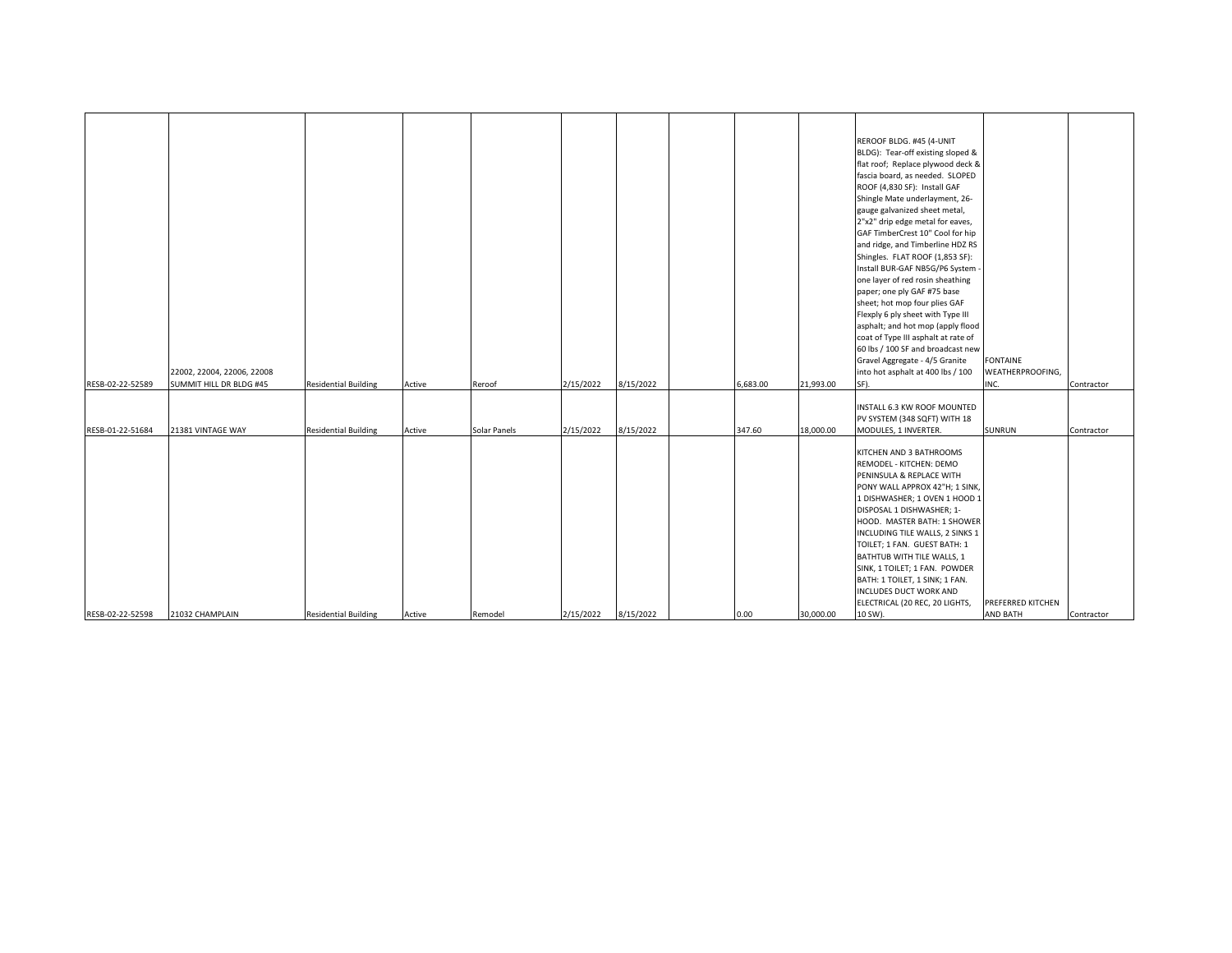|                  |                            |                             |        |              |           |           |          |           | REROOF BLDG. #45 (4-UNIT            |                   |            |
|------------------|----------------------------|-----------------------------|--------|--------------|-----------|-----------|----------|-----------|-------------------------------------|-------------------|------------|
|                  |                            |                             |        |              |           |           |          |           | BLDG): Tear-off existing sloped &   |                   |            |
|                  |                            |                             |        |              |           |           |          |           | flat roof; Replace plywood deck &   |                   |            |
|                  |                            |                             |        |              |           |           |          |           |                                     |                   |            |
|                  |                            |                             |        |              |           |           |          |           | fascia board, as needed. SLOPED     |                   |            |
|                  |                            |                             |        |              |           |           |          |           | ROOF (4,830 SF): Install GAF        |                   |            |
|                  |                            |                             |        |              |           |           |          |           | Shingle Mate underlayment, 26-      |                   |            |
|                  |                            |                             |        |              |           |           |          |           | gauge galvanized sheet metal,       |                   |            |
|                  |                            |                             |        |              |           |           |          |           | 2"x2" drip edge metal for eaves,    |                   |            |
|                  |                            |                             |        |              |           |           |          |           | GAF TimberCrest 10" Cool for hip    |                   |            |
|                  |                            |                             |        |              |           |           |          |           | and ridge, and Timberline HDZ RS    |                   |            |
|                  |                            |                             |        |              |           |           |          |           | Shingles. FLAT ROOF (1,853 SF):     |                   |            |
|                  |                            |                             |        |              |           |           |          |           | Install BUR-GAF NB5G/P6 System      |                   |            |
|                  |                            |                             |        |              |           |           |          |           | one layer of red rosin sheathing    |                   |            |
|                  |                            |                             |        |              |           |           |          |           | paper; one ply GAF #75 base         |                   |            |
|                  |                            |                             |        |              |           |           |          |           | sheet; hot mop four plies GAF       |                   |            |
|                  |                            |                             |        |              |           |           |          |           | Flexply 6 ply sheet with Type III   |                   |            |
|                  |                            |                             |        |              |           |           |          |           | asphalt; and hot mop (apply flood   |                   |            |
|                  |                            |                             |        |              |           |           |          |           | coat of Type III asphalt at rate of |                   |            |
|                  |                            |                             |        |              |           |           |          |           | 60 lbs / 100 SF and broadcast new   |                   |            |
|                  |                            |                             |        |              |           |           |          |           | Gravel Aggregate - 4/5 Granite      | <b>FONTAINE</b>   |            |
|                  | 22002, 22004, 22006, 22008 |                             |        |              |           |           |          |           | into hot asphalt at 400 lbs / 100   | WEATHERPROOFING,  |            |
| RESB-02-22-52589 | SUMMIT HILL DR BLDG #45    | <b>Residential Building</b> | Active | Reroof       | 2/15/2022 | 8/15/2022 | 6,683.00 | 21,993.00 | SF).                                | INC.              | Contractor |
|                  |                            |                             |        |              |           |           |          |           |                                     |                   |            |
|                  |                            |                             |        |              |           |           |          |           | INSTALL 6.3 KW ROOF MOUNTED         |                   |            |
|                  |                            |                             |        |              |           |           |          |           | PV SYSTEM (348 SQFT) WITH 18        |                   |            |
| RESB-01-22-51684 | 21381 VINTAGE WAY          | <b>Residential Building</b> | Active | Solar Panels | 2/15/2022 | 8/15/2022 | 347.60   | 18,000.00 | MODULES, 1 INVERTER.                | <b>SUNRUN</b>     | Contractor |
|                  |                            |                             |        |              |           |           |          |           |                                     |                   |            |
|                  |                            |                             |        |              |           |           |          |           | KITCHEN AND 3 BATHROOMS             |                   |            |
|                  |                            |                             |        |              |           |           |          |           | REMODEL - KITCHEN: DEMO             |                   |            |
|                  |                            |                             |        |              |           |           |          |           | PENINSULA & REPLACE WITH            |                   |            |
|                  |                            |                             |        |              |           |           |          |           | PONY WALL APPROX 42"H; 1 SINK,      |                   |            |
|                  |                            |                             |        |              |           |           |          |           | 1 DISHWASHER; 1 OVEN 1 HOOD 1       |                   |            |
|                  |                            |                             |        |              |           |           |          |           | DISPOSAL 1 DISHWASHER; 1-           |                   |            |
|                  |                            |                             |        |              |           |           |          |           | HOOD. MASTER BATH: 1 SHOWER         |                   |            |
|                  |                            |                             |        |              |           |           |          |           | INCLUDING TILE WALLS, 2 SINKS 1     |                   |            |
|                  |                            |                             |        |              |           |           |          |           | TOILET; 1 FAN. GUEST BATH: 1        |                   |            |
|                  |                            |                             |        |              |           |           |          |           | BATHTUB WITH TILE WALLS, 1          |                   |            |
|                  |                            |                             |        |              |           |           |          |           | SINK, 1 TOILET; 1 FAN. POWDER       |                   |            |
|                  |                            |                             |        |              |           |           |          |           | BATH: 1 TOILET, 1 SINK; 1 FAN.      |                   |            |
|                  |                            |                             |        |              |           |           |          |           | INCLUDES DUCT WORK AND              |                   |            |
|                  |                            |                             |        |              |           |           |          |           | ELECTRICAL (20 REC, 20 LIGHTS,      | PREFERRED KITCHEN |            |
| RESB-02-22-52598 | 21032 CHAMPLAIN            | <b>Residential Building</b> | Active | Remodel      | 2/15/2022 | 8/15/2022 | 0.00     | 30,000.00 | 10 SW).                             | <b>AND BATH</b>   | Contractor |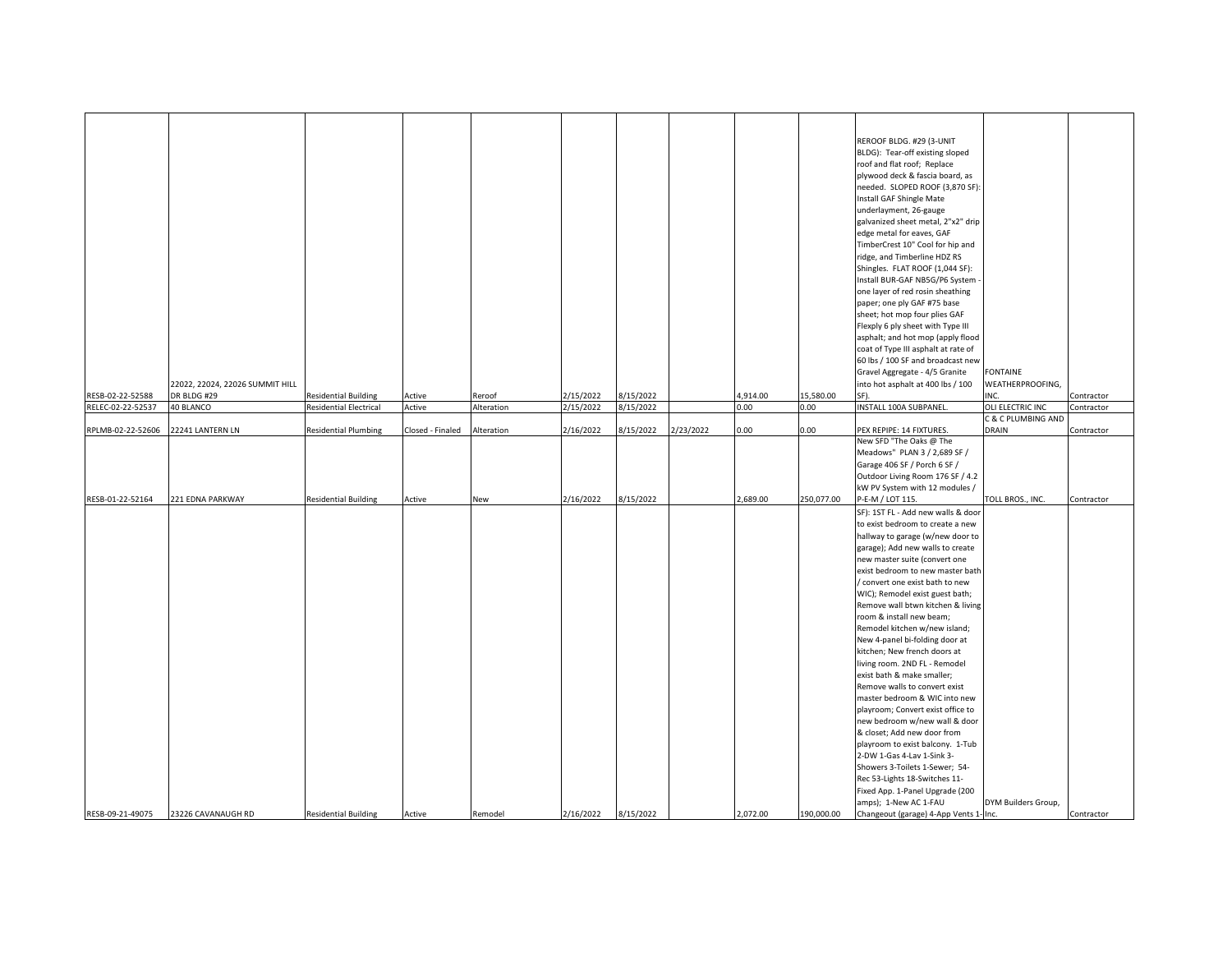| REROOF BLDG. #29 (3-UNIT<br>BLDG): Tear-off existing sloped<br>roof and flat roof; Replace<br>plywood deck & fascia board, as<br>needed. SLOPED ROOF (3,870 SF)<br>Install GAF Shingle Mate<br>underlayment, 26-gauge<br>galvanized sheet metal, 2"x2" drip<br>edge metal for eaves, GAF<br>TimberCrest 10" Cool for hip and<br>ridge, and Timberline HDZ RS<br>Shingles. FLAT ROOF (1,044 SF):<br>Install BUR-GAF NB5G/P6 System<br>one layer of red rosin sheathing<br>paper; one ply GAF #75 base<br>sheet; hot mop four plies GAF<br>Flexply 6 ply sheet with Type III<br>asphalt; and hot mop (apply flood<br>coat of Type III asphalt at rate of<br>60 lbs / 100 SF and broadcast new<br><b>FONTAINE</b><br>Gravel Aggregate - 4/5 Granite<br>WEATHERPROOFING,<br>22022, 22024, 22026 SUMMIT HILL<br>into hot asphalt at 400 lbs / 100<br>DR BLDG #29<br><b>Residential Building</b><br>2/15/2022<br>8/15/2022<br>4,914.00<br>15,580.00<br>SF).<br>INC.<br>Active<br>Reroof<br>Contractor<br>8/15/2022<br>40 BLANCO<br><b>Residential Electrical</b><br>2/15/2022<br>0.00<br>0.00<br>INSTALL 100A SUBPANEL.<br>OLI ELECTRIC INC<br>Active<br>Alteration<br>Contractor<br>C & C PLUMBING AND<br>2/16/2022<br>8/15/2022<br>2/23/2022<br>0.00<br>22241 LANTERN LN<br><b>Residential Plumbing</b><br>Closed - Finaled<br>0.00<br>PEX REPIPE: 14 FIXTURES.<br>DRAIN<br>Alteration<br>Contractor<br>New SFD "The Oaks @ The<br>Meadows" PLAN 3 / 2,689 SF /<br>Garage 406 SF / Porch 6 SF /<br>Outdoor Living Room 176 SF / 4.2<br>kW PV System with 12 modules /<br>2/16/2022<br>8/15/2022<br>2,689.00<br>250,077.00<br>P-E-M / LOT 115.<br>RESB-01-22-52164<br>221 EDNA PARKWAY<br><b>Residential Building</b><br>TOLL BROS., INC.<br>Active<br>New<br>Contractor<br>SF): 1ST FL - Add new walls & door<br>to exist bedroom to create a new<br>hallway to garage (w/new door to<br>garage); Add new walls to create<br>new master suite (convert one<br>exist bedroom to new master bath<br>/ convert one exist bath to new<br>WIC); Remodel exist guest bath;<br>Remove wall btwn kitchen & living<br>room & install new beam;<br>Remodel kitchen w/new island;<br>New 4-panel bi-folding door at<br>kitchen; New french doors at<br>living room. 2ND FL - Remodel<br>exist bath & make smaller;<br>Remove walls to convert exist<br>master bedroom & WIC into new<br>playroom; Convert exist office to<br>new bedroom w/new wall & door<br>& closet; Add new door from<br>playroom to exist balcony. 1-Tub<br>2-DW 1-Gas 4-Lav 1-Sink 3-<br>Showers 3-Toilets 1-Sewer; 54-<br>Rec 53-Lights 18-Switches 11-<br>Fixed App. 1-Panel Upgrade (200<br>amps); 1-New AC 1-FAU<br>DYM Builders Group, |                                                            |                    |                             |        |         |           |           |          |            |                                        |            |
|----------------------------------------------------------------------------------------------------------------------------------------------------------------------------------------------------------------------------------------------------------------------------------------------------------------------------------------------------------------------------------------------------------------------------------------------------------------------------------------------------------------------------------------------------------------------------------------------------------------------------------------------------------------------------------------------------------------------------------------------------------------------------------------------------------------------------------------------------------------------------------------------------------------------------------------------------------------------------------------------------------------------------------------------------------------------------------------------------------------------------------------------------------------------------------------------------------------------------------------------------------------------------------------------------------------------------------------------------------------------------------------------------------------------------------------------------------------------------------------------------------------------------------------------------------------------------------------------------------------------------------------------------------------------------------------------------------------------------------------------------------------------------------------------------------------------------------------------------------------------------------------------------------------------------------------------------------------------------------------------------------------------------------------------------------------------------------------------------------------------------------------------------------------------------------------------------------------------------------------------------------------------------------------------------------------------------------------------------------------------------------------------------------------------------------------------------------------------------------------------------------------------------------------------------------------------------------------------------------------------------------------------------------------------------------------------------|------------------------------------------------------------|--------------------|-----------------------------|--------|---------|-----------|-----------|----------|------------|----------------------------------------|------------|
|                                                                                                                                                                                                                                                                                                                                                                                                                                                                                                                                                                                                                                                                                                                                                                                                                                                                                                                                                                                                                                                                                                                                                                                                                                                                                                                                                                                                                                                                                                                                                                                                                                                                                                                                                                                                                                                                                                                                                                                                                                                                                                                                                                                                                                                                                                                                                                                                                                                                                                                                                                                                                                                                                                    | RESB-02-22-52588<br>RELEC-02-22-52537<br>RPLMB-02-22-52606 |                    |                             |        |         |           |           |          |            |                                        |            |
|                                                                                                                                                                                                                                                                                                                                                                                                                                                                                                                                                                                                                                                                                                                                                                                                                                                                                                                                                                                                                                                                                                                                                                                                                                                                                                                                                                                                                                                                                                                                                                                                                                                                                                                                                                                                                                                                                                                                                                                                                                                                                                                                                                                                                                                                                                                                                                                                                                                                                                                                                                                                                                                                                                    |                                                            |                    |                             |        |         |           |           |          |            |                                        |            |
|                                                                                                                                                                                                                                                                                                                                                                                                                                                                                                                                                                                                                                                                                                                                                                                                                                                                                                                                                                                                                                                                                                                                                                                                                                                                                                                                                                                                                                                                                                                                                                                                                                                                                                                                                                                                                                                                                                                                                                                                                                                                                                                                                                                                                                                                                                                                                                                                                                                                                                                                                                                                                                                                                                    |                                                            |                    |                             |        |         |           |           |          |            |                                        |            |
|                                                                                                                                                                                                                                                                                                                                                                                                                                                                                                                                                                                                                                                                                                                                                                                                                                                                                                                                                                                                                                                                                                                                                                                                                                                                                                                                                                                                                                                                                                                                                                                                                                                                                                                                                                                                                                                                                                                                                                                                                                                                                                                                                                                                                                                                                                                                                                                                                                                                                                                                                                                                                                                                                                    |                                                            |                    |                             |        |         |           |           |          |            |                                        |            |
|                                                                                                                                                                                                                                                                                                                                                                                                                                                                                                                                                                                                                                                                                                                                                                                                                                                                                                                                                                                                                                                                                                                                                                                                                                                                                                                                                                                                                                                                                                                                                                                                                                                                                                                                                                                                                                                                                                                                                                                                                                                                                                                                                                                                                                                                                                                                                                                                                                                                                                                                                                                                                                                                                                    |                                                            |                    |                             |        |         |           |           |          |            |                                        |            |
|                                                                                                                                                                                                                                                                                                                                                                                                                                                                                                                                                                                                                                                                                                                                                                                                                                                                                                                                                                                                                                                                                                                                                                                                                                                                                                                                                                                                                                                                                                                                                                                                                                                                                                                                                                                                                                                                                                                                                                                                                                                                                                                                                                                                                                                                                                                                                                                                                                                                                                                                                                                                                                                                                                    | RESB-09-21-49075                                           | 23226 CAVANAUGH RD | <b>Residential Building</b> | Active | Remodel | 2/16/2022 | 8/15/2022 | 2.072.00 | 190,000.00 | Changeout (garage) 4-App Vents 1- Inc. | Contractor |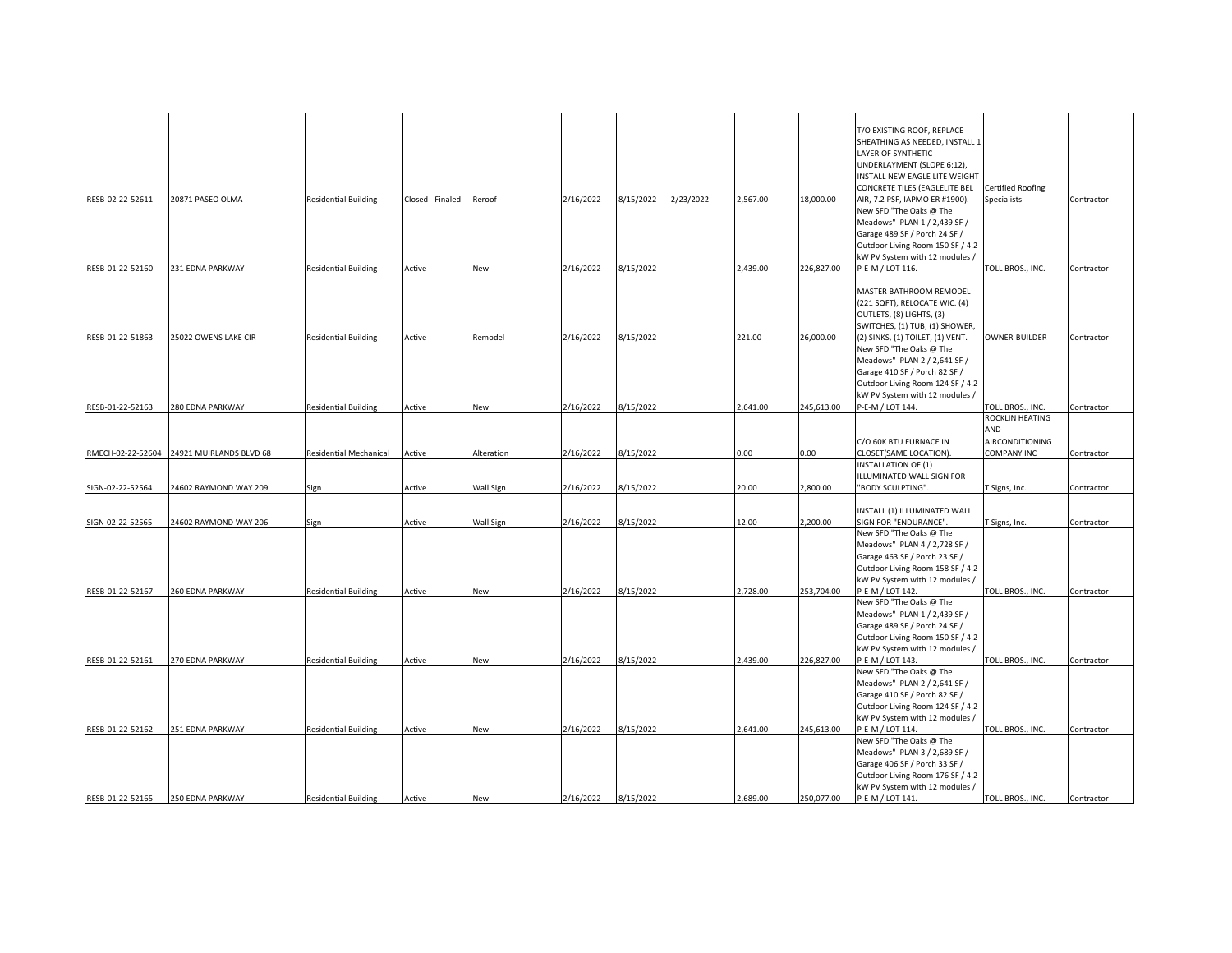| RESB-02-22-52611 | 20871 PASEO OLMA                          | <b>Residential Building</b> | Closed - Finaled | Reroof     | 2/16/2022 | 8/15/2022 | 2/23/2022 | 2,567.00 | 18,000.00  | T/O EXISTING ROOF, REPLACE<br>SHEATHING AS NEEDED, INSTALL 1<br>LAYER OF SYNTHETIC<br>UNDERLAYMENT (SLOPE 6:12),<br><b>INSTALL NEW EAGLE LITE WEIGHT</b><br>CONCRETE TILES (EAGLELITE BEL<br>AIR, 7.2 PSF, IAPMO ER #1900). | Certified Roofing<br>Specialists | Contractor |
|------------------|-------------------------------------------|-----------------------------|------------------|------------|-----------|-----------|-----------|----------|------------|-----------------------------------------------------------------------------------------------------------------------------------------------------------------------------------------------------------------------------|----------------------------------|------------|
|                  |                                           |                             |                  |            |           |           |           |          |            | New SFD "The Oaks @ The<br>Meadows" PLAN 1 / 2,439 SF /<br>Garage 489 SF / Porch 24 SF /                                                                                                                                    |                                  |            |
|                  |                                           |                             |                  |            |           |           |           |          |            | Outdoor Living Room 150 SF / 4.2<br>kW PV System with 12 modules /                                                                                                                                                          |                                  |            |
| RESB-01-22-52160 | 231 EDNA PARKWAY                          | <b>Residential Building</b> | Active           | New        | 2/16/2022 | 8/15/2022 |           | 2,439.00 | 226,827.00 | P-E-M / LOT 116.                                                                                                                                                                                                            | TOLL BROS., INC.                 | Contractor |
|                  |                                           |                             |                  |            |           |           |           |          |            | MASTER BATHROOM REMODEL<br>(221 SQFT), RELOCATE WIC. (4)<br>OUTLETS, (8) LIGHTS, (3)<br>SWITCHES, (1) TUB, (1) SHOWER,                                                                                                      |                                  |            |
| RESB-01-22-51863 | 25022 OWENS LAKE CIR                      | <b>Residential Building</b> | Active           | Remodel    | 2/16/2022 | 8/15/2022 |           | 221.00   | 26,000.00  | 2) SINKS, (1) TOILET, (1) VENT.                                                                                                                                                                                             | <b>OWNER-BUILDER</b>             | Contractor |
|                  |                                           |                             |                  |            |           |           |           |          |            | New SFD "The Oaks @ The<br>Meadows" PLAN 2 / 2,641 SF /<br>Garage 410 SF / Porch 82 SF /<br>Outdoor Living Room 124 SF / 4.2<br>kW PV System with 12 modules /                                                              |                                  |            |
| RESB-01-22-52163 | 280 EDNA PARKWAY                          | <b>Residential Building</b> | Active           | New        | 2/16/2022 | 8/15/2022 |           | 2,641.00 | 245,613.00 | P-E-M / LOT 144.                                                                                                                                                                                                            | TOLL BROS., INC.                 | Contractor |
|                  |                                           |                             |                  |            |           |           |           |          |            |                                                                                                                                                                                                                             | ROCKLIN HEATING<br>AND           |            |
|                  |                                           |                             |                  |            |           |           |           |          |            | C/O 60K BTU FURNACE IN                                                                                                                                                                                                      | <b>AIRCONDITIONING</b>           |            |
|                  | RMECH-02-22-52604 24921 MUIRLANDS BLVD 68 | Residential Mechanical      | Active           | Alteration | 2/16/2022 | 8/15/2022 |           | 0.00     | 0.00       | CLOSET(SAME LOCATION).<br><b>INSTALLATION OF (1)</b>                                                                                                                                                                        | COMPANY INC                      | Contractor |
|                  |                                           |                             |                  |            |           |           |           |          |            | LLUMINATED WALL SIGN FOR                                                                                                                                                                                                    |                                  |            |
| SIGN-02-22-52564 | 24602 RAYMOND WAY 209                     | Sign                        | Active           | Wall Sign  | 2/16/2022 | 8/15/2022 |           | 20.00    | 2.800.00   | 'BODY SCULPTING".                                                                                                                                                                                                           | T Signs, Inc.                    | Contractor |
|                  |                                           |                             |                  |            |           |           |           |          |            | INSTALL (1) ILLUMINATED WALL                                                                                                                                                                                                |                                  |            |
| SIGN-02-22-52565 | 24602 RAYMOND WAY 206                     | Sign                        | Active           | Wall Sign  | 2/16/2022 | 8/15/2022 |           | 12.00    | 2,200.00   | SIGN FOR "ENDURANCE".                                                                                                                                                                                                       | T Signs, Inc.                    | Contractor |
|                  |                                           |                             |                  |            |           |           |           |          |            | New SFD "The Oaks @ The<br>Meadows" PLAN 4 / 2,728 SF /<br>Garage 463 SF / Porch 23 SF /<br>Outdoor Living Room 158 SF / 4.2<br>kW PV System with 12 modules /                                                              |                                  |            |
| RESB-01-22-52167 | 260 EDNA PARKWAY                          | <b>Residential Building</b> | Active           | New        | 2/16/2022 | 8/15/2022 |           | 2,728.00 | 253,704.00 | P-E-M / LOT 142.                                                                                                                                                                                                            | TOLL BROS., INC.                 | Contractor |
|                  |                                           |                             |                  |            |           |           |           |          |            | New SFD "The Oaks @ The<br>Meadows" PLAN 1 / 2,439 SF /<br>Garage 489 SF / Porch 24 SF /<br>Outdoor Living Room 150 SF / 4.2<br>kW PV System with 12 modules /                                                              |                                  |            |
| RESB-01-22-52161 | 270 EDNA PARKWAY                          | <b>Residential Building</b> | Active           | New        | 2/16/2022 | 8/15/2022 |           | 2,439.00 | 226,827.00 | P-E-M / LOT 143.                                                                                                                                                                                                            | TOLL BROS., INC.                 | Contractor |
|                  |                                           |                             |                  |            |           |           |           |          |            | New SFD "The Oaks @ The<br>Meadows" PLAN 2 / 2,641 SF /<br>Garage 410 SF / Porch 82 SF /<br>Outdoor Living Room 124 SF / 4.2<br>kW PV System with 12 modules /                                                              |                                  |            |
| RESB-01-22-52162 | 251 EDNA PARKWAY                          | <b>Residential Building</b> | Active           | New        | 2/16/2022 | 8/15/2022 |           | 2,641.00 | 245,613.00 | P-E-M / LOT 114.<br>New SFD "The Oaks @ The                                                                                                                                                                                 | TOLL BROS., INC.                 | Contractor |
|                  |                                           |                             |                  |            |           |           |           |          |            | Meadows" PLAN 3 / 2,689 SF /<br>Garage 406 SF / Porch 33 SF /<br>Outdoor Living Room 176 SF / 4.2<br>kW PV System with 12 modules /                                                                                         |                                  |            |
| RESB-01-22-52165 | 250 EDNA PARKWAY                          | <b>Residential Building</b> | Active           | New        | 2/16/2022 | 8/15/2022 |           | 2,689.00 | 250,077.00 | P-E-M / LOT 141.                                                                                                                                                                                                            | TOLL BROS., INC.                 | Contractor |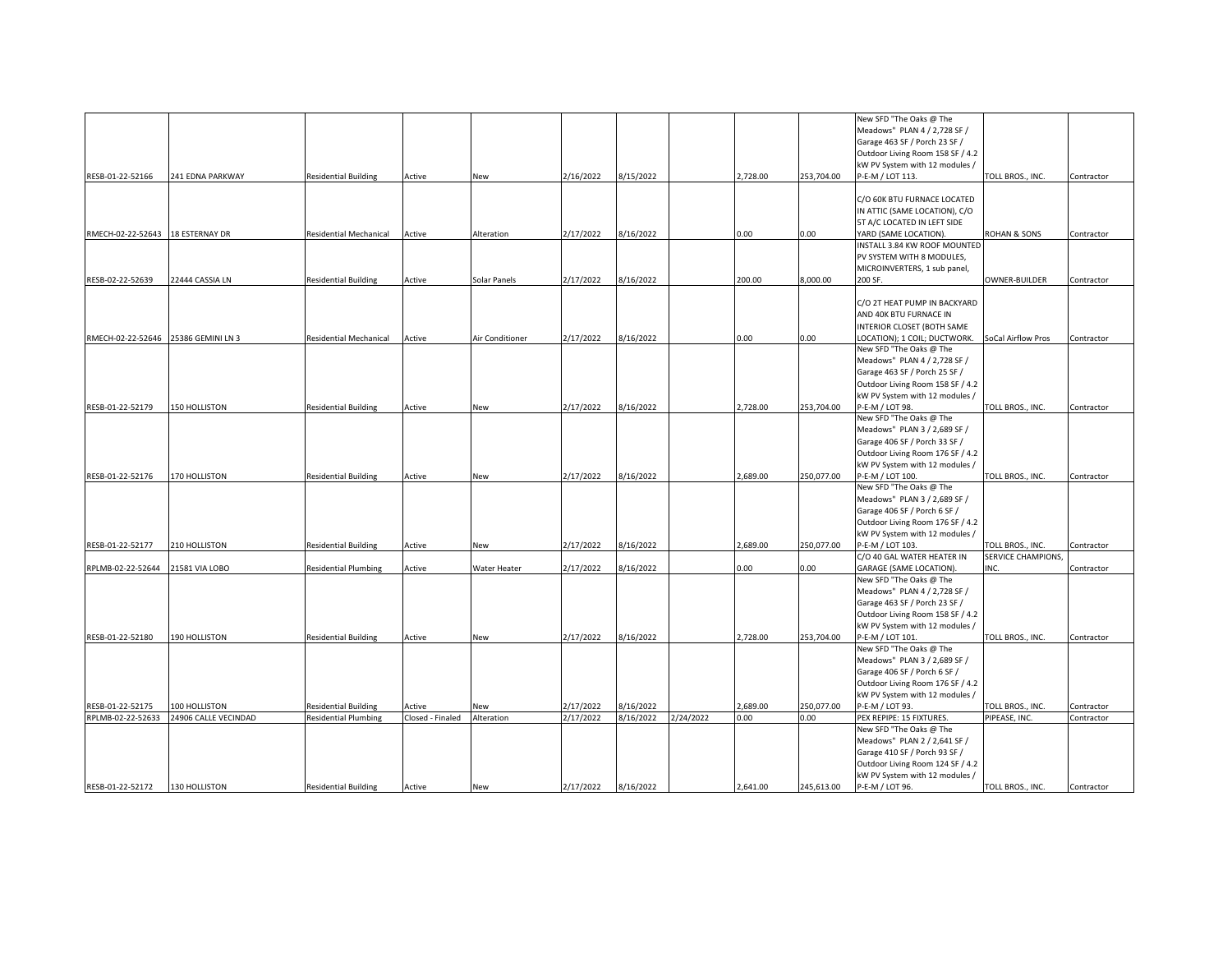|                                  |                      |                               |                  |                 |           |           |           |          |            | New SFD "The Oaks @ The          |                    |            |
|----------------------------------|----------------------|-------------------------------|------------------|-----------------|-----------|-----------|-----------|----------|------------|----------------------------------|--------------------|------------|
|                                  |                      |                               |                  |                 |           |           |           |          |            | Meadows" PLAN 4 / 2,728 SF /     |                    |            |
|                                  |                      |                               |                  |                 |           |           |           |          |            | Garage 463 SF / Porch 23 SF /    |                    |            |
|                                  |                      |                               |                  |                 |           |           |           |          |            | Outdoor Living Room 158 SF / 4.2 |                    |            |
|                                  |                      |                               |                  |                 |           |           |           |          |            | kW PV System with 12 modules /   |                    |            |
| RESB-01-22-52166                 | 241 EDNA PARKWAY     | <b>Residential Building</b>   | Active           | New             | 2/16/2022 | 8/15/2022 |           | 2,728.00 | 253,704.00 | P-E-M / LOT 113.                 | TOLL BROS., INC.   | Contractor |
|                                  |                      |                               |                  |                 |           |           |           |          |            |                                  |                    |            |
|                                  |                      |                               |                  |                 |           |           |           |          |            | C/O 60K BTU FURNACE LOCATED      |                    |            |
|                                  |                      |                               |                  |                 |           |           |           |          |            | IN ATTIC (SAME LOCATION), C/O    |                    |            |
|                                  |                      |                               |                  |                 |           |           |           |          |            | 5T A/C LOCATED IN LEFT SIDE      |                    |            |
| RMECH-02-22-52643 18 ESTERNAY DR |                      | <b>Residential Mechanical</b> | Active           | Alteration      | 2/17/2022 | 8/16/2022 |           | 0.00     | 0.00       | YARD (SAME LOCATION).            | ROHAN & SONS       | Contractor |
|                                  |                      |                               |                  |                 |           |           |           |          |            | INSTALL 3.84 KW ROOF MOUNTED     |                    |            |
|                                  |                      |                               |                  |                 |           |           |           |          |            | PV SYSTEM WITH 8 MODULES,        |                    |            |
|                                  |                      |                               |                  |                 |           |           |           |          |            | MICROINVERTERS, 1 sub panel,     |                    |            |
| RESB-02-22-52639                 | 22444 CASSIA LN      | <b>Residential Building</b>   | Active           | Solar Panels    | 2/17/2022 | 8/16/2022 |           | 200.00   | 8,000.00   | 200 SF.                          | OWNER-BUILDER      | Contractor |
|                                  |                      |                               |                  |                 |           |           |           |          |            |                                  |                    |            |
|                                  |                      |                               |                  |                 |           |           |           |          |            | C/O 2T HEAT PUMP IN BACKYARD     |                    |            |
|                                  |                      |                               |                  |                 |           |           |           |          |            | AND 40K BTU FURNACE IN           |                    |            |
|                                  |                      |                               |                  |                 |           |           |           |          |            | INTERIOR CLOSET (BOTH SAME       |                    |            |
| RMECH-02-22-52646                | 25386 GEMINI LN 3    | <b>Residential Mechanical</b> | Active           | Air Conditioner | 2/17/2022 | 8/16/2022 |           | 0.00     | 0.00       | LOCATION); 1 COIL; DUCTWORK.     | SoCal Airflow Pros | Contractor |
|                                  |                      |                               |                  |                 |           |           |           |          |            | New SFD "The Oaks @ The          |                    |            |
|                                  |                      |                               |                  |                 |           |           |           |          |            | Meadows" PLAN 4 / 2,728 SF /     |                    |            |
|                                  |                      |                               |                  |                 |           |           |           |          |            | Garage 463 SF / Porch 25 SF /    |                    |            |
|                                  |                      |                               |                  |                 |           |           |           |          |            | Outdoor Living Room 158 SF / 4.2 |                    |            |
|                                  |                      |                               |                  |                 |           |           |           |          |            | kW PV System with 12 modules /   |                    |            |
| RESB-01-22-52179                 | 150 HOLLISTON        | <b>Residential Building</b>   | Active           | New             | 2/17/2022 | 8/16/2022 |           | 2,728.00 | 253,704.00 | P-E-M / LOT 98.                  | TOLL BROS., INC.   | Contractor |
|                                  |                      |                               |                  |                 |           |           |           |          |            | New SFD "The Oaks @ The          |                    |            |
|                                  |                      |                               |                  |                 |           |           |           |          |            | Meadows" PLAN 3 / 2,689 SF /     |                    |            |
|                                  |                      |                               |                  |                 |           |           |           |          |            | Garage 406 SF / Porch 33 SF /    |                    |            |
|                                  |                      |                               |                  |                 |           |           |           |          |            | Outdoor Living Room 176 SF / 4.2 |                    |            |
|                                  |                      |                               |                  |                 |           |           |           |          |            | kW PV System with 12 modules /   |                    |            |
| RESB-01-22-52176                 | <b>170 HOLLISTON</b> | <b>Residential Building</b>   | Active           | New             | 2/17/2022 | 8/16/2022 |           | 2,689.00 | 250,077.00 | P-E-M / LOT 100.                 | TOLL BROS., INC.   | Contractor |
|                                  |                      |                               |                  |                 |           |           |           |          |            | New SFD "The Oaks @ The          |                    |            |
|                                  |                      |                               |                  |                 |           |           |           |          |            | Meadows" PLAN 3 / 2,689 SF /     |                    |            |
|                                  |                      |                               |                  |                 |           |           |           |          |            | Garage 406 SF / Porch 6 SF /     |                    |            |
|                                  |                      |                               |                  |                 |           |           |           |          |            | Outdoor Living Room 176 SF / 4.2 |                    |            |
|                                  |                      |                               |                  |                 |           |           |           |          |            | kW PV System with 12 modules /   |                    |            |
| RESB-01-22-52177                 | 210 HOLLISTON        | <b>Residential Building</b>   | Active           | New             | 2/17/2022 | 8/16/2022 |           | 2,689.00 | 250,077.00 | P-E-M / LOT 103                  | TOLL BROS., INC.   | Contractor |
|                                  |                      |                               |                  |                 |           |           |           |          |            | C/O 40 GAL WATER HEATER IN       | SERVICE CHAMPIONS, |            |
| RPLMB-02-22-52644                | 21581 VIA LOBO       | <b>Residential Plumbing</b>   | Active           | Water Heater    | 2/17/2022 | 8/16/2022 |           | 0.00     | 0.00       | GARAGE (SAME LOCATION).          | INC.               | Contractor |
|                                  |                      |                               |                  |                 |           |           |           |          |            | New SFD "The Oaks @ The          |                    |            |
|                                  |                      |                               |                  |                 |           |           |           |          |            | Meadows" PLAN 4 / 2,728 SF /     |                    |            |
|                                  |                      |                               |                  |                 |           |           |           |          |            | Garage 463 SF / Porch 23 SF /    |                    |            |
|                                  |                      |                               |                  |                 |           |           |           |          |            | Outdoor Living Room 158 SF / 4.2 |                    |            |
|                                  |                      |                               |                  |                 |           |           |           |          |            | kW PV System with 12 modules /   |                    |            |
| RESB-01-22-52180                 | 190 HOLLISTON        | <b>Residential Building</b>   | Active           | New             | 2/17/2022 | 8/16/2022 |           | 2,728.00 | 253,704.00 | P-E-M / LOT 101.                 | TOLL BROS., INC.   | Contractor |
|                                  |                      |                               |                  |                 |           |           |           |          |            | New SFD "The Oaks @ The          |                    |            |
|                                  |                      |                               |                  |                 |           |           |           |          |            | Meadows" PLAN 3 / 2,689 SF /     |                    |            |
|                                  |                      |                               |                  |                 |           |           |           |          |            | Garage 406 SF / Porch 6 SF /     |                    |            |
|                                  |                      |                               |                  |                 |           |           |           |          |            | Outdoor Living Room 176 SF / 4.2 |                    |            |
|                                  |                      |                               |                  |                 |           |           |           |          |            | kW PV System with 12 modules /   |                    |            |
| RESB-01-22-52175                 | 100 HOLLISTON        | <b>Residential Building</b>   | Active           | New             | 2/17/2022 | 8/16/2022 |           | 2,689.00 | 250,077.00 | P-E-M / LOT 93.                  | TOLL BROS., INC.   | Contractor |
| RPLMB-02-22-52633                | 24906 CALLE VECINDAD | <b>Residential Plumbing</b>   | Closed - Finaled | Alteration      | 2/17/2022 | 8/16/2022 | 2/24/2022 | 0.00     | 0.00       | PEX REPIPE: 15 FIXTURES.         | PIPEASE, INC.      | Contractor |
|                                  |                      |                               |                  |                 |           |           |           |          |            | New SFD "The Oaks @ The          |                    |            |
|                                  |                      |                               |                  |                 |           |           |           |          |            | Meadows" PLAN 2 / 2,641 SF /     |                    |            |
|                                  |                      |                               |                  |                 |           |           |           |          |            | Garage 410 SF / Porch 93 SF /    |                    |            |
|                                  |                      |                               |                  |                 |           |           |           |          |            | Outdoor Living Room 124 SF / 4.2 |                    |            |
|                                  |                      |                               |                  |                 |           |           |           |          |            | kW PV System with 12 modules /   |                    |            |
| RESB-01-22-52172                 | 130 HOLLISTON        | <b>Residential Building</b>   | Active           | New             | 2/17/2022 | 8/16/2022 |           | 2,641.00 | 245,613.00 | P-E-M / LOT 96.                  | TOLL BROS., INC.   | Contractor |
|                                  |                      |                               |                  |                 |           |           |           |          |            |                                  |                    |            |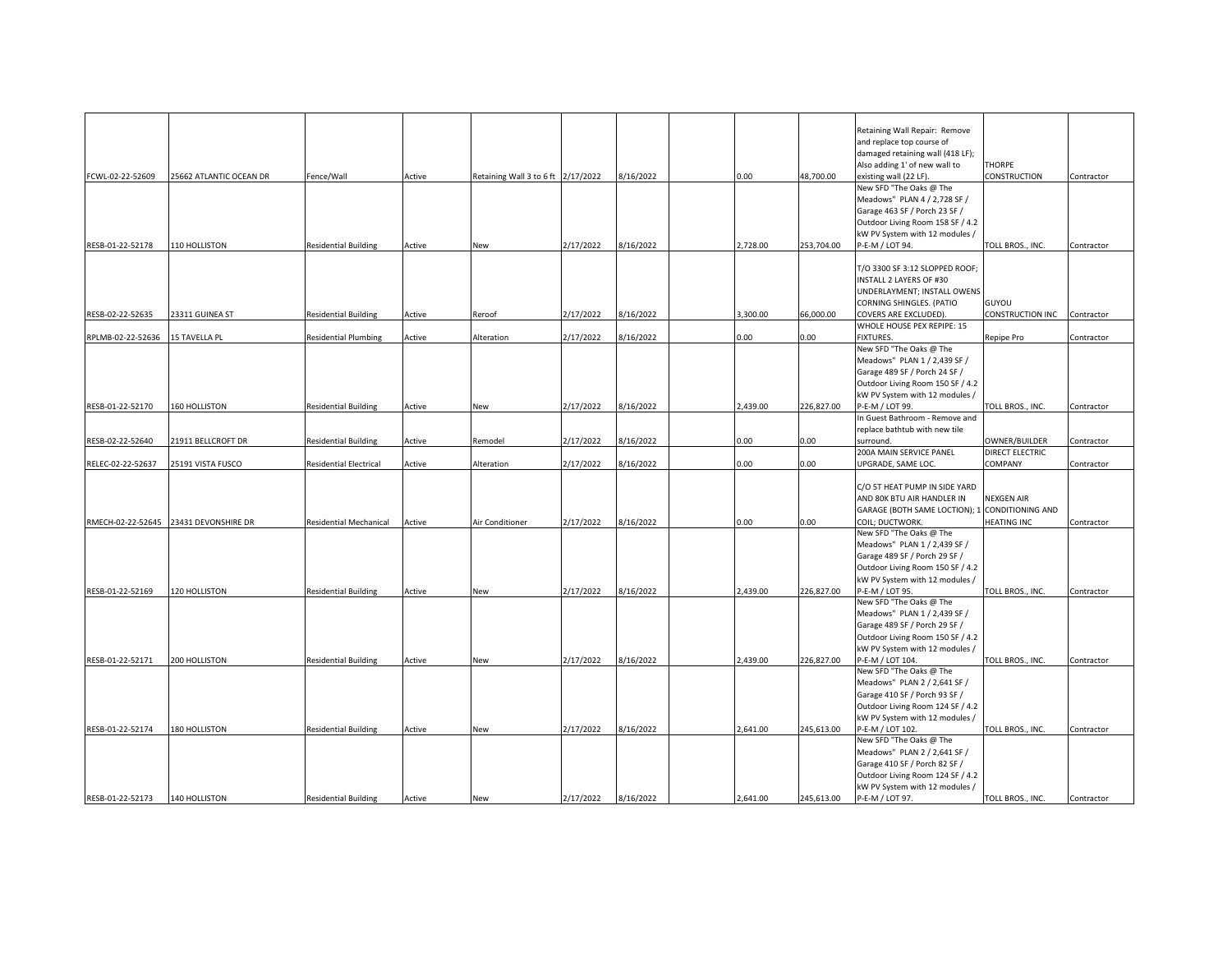|                   |                                       |                             |        |                                    |           |           |          |            | Retaining Wall Repair: Remove                  |                    |            |
|-------------------|---------------------------------------|-----------------------------|--------|------------------------------------|-----------|-----------|----------|------------|------------------------------------------------|--------------------|------------|
|                   |                                       |                             |        |                                    |           |           |          |            | and replace top course of                      |                    |            |
|                   |                                       |                             |        |                                    |           |           |          |            | damaged retaining wall (418 LF);               |                    |            |
|                   |                                       |                             |        |                                    |           |           |          |            | Also adding 1' of new wall to                  | <b>THORPE</b>      |            |
| FCWL-02-22-52609  | 25662 ATLANTIC OCEAN DR               | Fence/Wall                  | Active | Retaining Wall 3 to 6 ft 2/17/2022 |           | 8/16/2022 | 0.00     | 48,700.00  | existing wall (22 LF)                          | CONSTRUCTION       | Contractor |
|                   |                                       |                             |        |                                    |           |           |          |            | New SFD "The Oaks @ The                        |                    |            |
|                   |                                       |                             |        |                                    |           |           |          |            |                                                |                    |            |
|                   |                                       |                             |        |                                    |           |           |          |            | Meadows" PLAN 4 / 2,728 SF /                   |                    |            |
|                   |                                       |                             |        |                                    |           |           |          |            | Garage 463 SF / Porch 23 SF /                  |                    |            |
|                   |                                       |                             |        |                                    |           |           |          |            | Outdoor Living Room 158 SF / 4.2               |                    |            |
|                   |                                       |                             |        |                                    |           |           |          |            | kW PV System with 12 modules /                 |                    |            |
| RESB-01-22-52178  | 110 HOLLISTON                         | <b>Residential Building</b> | Active | New                                | 2/17/2022 | 8/16/2022 | 2,728.00 | 253,704.00 | P-E-M / LOT 94.                                | TOLL BROS., INC.   | Contractor |
|                   |                                       |                             |        |                                    |           |           |          |            |                                                |                    |            |
|                   |                                       |                             |        |                                    |           |           |          |            | T/O 3300 SF 3:12 SLOPPED ROOF;                 |                    |            |
|                   |                                       |                             |        |                                    |           |           |          |            | INSTALL 2 LAYERS OF #30                        |                    |            |
|                   |                                       |                             |        |                                    |           |           |          |            | UNDERLAYMENT; INSTALL OWENS                    |                    |            |
|                   |                                       |                             |        |                                    |           |           |          |            | CORNING SHINGLES. (PATIO                       | GUYOU              |            |
| RESB-02-22-52635  | 23311 GUINEA ST                       | Residential Building        | Active | Reroof                             | 2/17/2022 | 8/16/2022 | 3,300.00 | 66,000.00  | COVERS ARE EXCLUDED).                          | CONSTRUCTION INC   | Contractor |
|                   |                                       |                             |        |                                    |           |           |          |            | WHOLE HOUSE PEX REPIPE: 15                     |                    |            |
| RPLMB-02-22-52636 | 15 TAVELLA PL                         | Residential Plumbing        | Active | Alteration                         | 2/17/2022 | 8/16/2022 | 0.00     | 0.00       | <b>FIXTURES.</b>                               | Repipe Pro         | Contractor |
|                   |                                       |                             |        |                                    |           |           |          |            | New SFD "The Oaks @ The                        |                    |            |
|                   |                                       |                             |        |                                    |           |           |          |            | Meadows" PLAN 1 / 2,439 SF /                   |                    |            |
|                   |                                       |                             |        |                                    |           |           |          |            | Garage 489 SF / Porch 24 SF /                  |                    |            |
|                   |                                       |                             |        |                                    |           |           |          |            | Outdoor Living Room 150 SF / 4.2               |                    |            |
|                   |                                       |                             |        |                                    |           |           |          |            | kW PV System with 12 modules /                 |                    |            |
| RESB-01-22-52170  | 160 HOLLISTON                         | <b>Residential Building</b> | Active | New                                | 2/17/2022 | 8/16/2022 | 2,439.00 | 226,827.00 | P-E-M / LOT 99.                                | TOLL BROS., INC.   | Contractor |
|                   |                                       |                             |        |                                    |           |           |          |            | In Guest Bathroom - Remove and                 |                    |            |
|                   |                                       |                             |        |                                    |           |           |          |            | replace bathtub with new tile                  |                    |            |
| RESB-02-22-52640  | 21911 BELLCROFT DR                    | <b>Residential Building</b> | Active | Remodel                            | 2/17/2022 | 8/16/2022 | 0.00     | 0.00       | surround.                                      | OWNER/BUILDER      | Contractor |
|                   |                                       |                             |        |                                    |           |           |          |            | 200A MAIN SERVICE PANEL                        | DIRECT ELECTRIC    |            |
| RELEC-02-22-52637 | 25191 VISTA FUSCO                     | Residential Electrical      | Active | Alteration                         | 2/17/2022 | 3/16/2022 | 0.00     | 0.00       | UPGRADE, SAME LOC.                             | COMPANY            | Contractor |
|                   |                                       |                             |        |                                    |           |           |          |            |                                                |                    |            |
|                   |                                       |                             |        |                                    |           |           |          |            |                                                |                    |            |
|                   |                                       |                             |        |                                    |           |           |          |            | C/O 5T HEAT PUMP IN SIDE YARD                  |                    |            |
|                   |                                       |                             |        |                                    |           |           |          |            | AND 80K BTU AIR HANDLER IN                     | <b>NEXGEN AIR</b>  |            |
|                   |                                       |                             |        |                                    |           |           |          |            | GARAGE (BOTH SAME LOCTION); 1 CONDITIONING AND |                    |            |
|                   | RMECH-02-22-52645 23431 DEVONSHIRE DR | Residential Mechanical      | Active | Air Conditioner                    | 2/17/2022 | 8/16/2022 | 0.00     | 0.00       | COIL; DUCTWORK.                                | <b>HEATING INC</b> | Contractor |
|                   |                                       |                             |        |                                    |           |           |          |            | New SFD "The Oaks @ The                        |                    |            |
|                   |                                       |                             |        |                                    |           |           |          |            | Meadows" PLAN 1 / 2,439 SF /                   |                    |            |
|                   |                                       |                             |        |                                    |           |           |          |            | Garage 489 SF / Porch 29 SF /                  |                    |            |
|                   |                                       |                             |        |                                    |           |           |          |            | Outdoor Living Room 150 SF / 4.2               |                    |            |
|                   |                                       |                             |        |                                    |           |           |          |            | kW PV System with 12 modules /                 |                    |            |
| RESB-01-22-52169  | 120 HOLLISTON                         | <b>Residential Building</b> | Active | New                                | 2/17/2022 | 8/16/2022 | 2.439.00 | 226,827.00 | P-E-M / LOT 95.                                | TOLL BROS., INC.   | Contractor |
|                   |                                       |                             |        |                                    |           |           |          |            | New SFD "The Oaks @ The                        |                    |            |
|                   |                                       |                             |        |                                    |           |           |          |            | Meadows" PLAN 1 / 2,439 SF /                   |                    |            |
|                   |                                       |                             |        |                                    |           |           |          |            | Garage 489 SF / Porch 29 SF /                  |                    |            |
|                   |                                       |                             |        |                                    |           |           |          |            | Outdoor Living Room 150 SF / 4.2               |                    |            |
|                   |                                       |                             |        |                                    |           |           |          |            | kW PV System with 12 modules /                 |                    |            |
| RESB-01-22-52171  | 200 HOLLISTON                         | <b>Residential Building</b> | Active | New                                | 2/17/2022 | 8/16/2022 | 2.439.00 | 226,827.00 | P-E-M / LOT 104.                               | TOLL BROS., INC.   | Contractor |
|                   |                                       |                             |        |                                    |           |           |          |            | New SFD "The Oaks @ The                        |                    |            |
|                   |                                       |                             |        |                                    |           |           |          |            |                                                |                    |            |
|                   |                                       |                             |        |                                    |           |           |          |            | Meadows" PLAN 2 / 2,641 SF /                   |                    |            |
|                   |                                       |                             |        |                                    |           |           |          |            | Garage 410 SF / Porch 93 SF /                  |                    |            |
|                   |                                       |                             |        |                                    |           |           |          |            | Outdoor Living Room 124 SF / 4.2               |                    |            |
|                   |                                       |                             |        |                                    |           |           |          |            | kW PV System with 12 modules /                 |                    |            |
| RESB-01-22-52174  | 180 HOLLISTON                         | <b>Residential Building</b> | Active | New                                | 2/17/2022 | 8/16/2022 | 2,641.00 | 245,613.00 | P-E-M / LOT 102.                               | TOLL BROS., INC.   | Contractor |
|                   |                                       |                             |        |                                    |           |           |          |            | New SFD "The Oaks @ The                        |                    |            |
|                   |                                       |                             |        |                                    |           |           |          |            | Meadows" PLAN 2 / 2,641 SF /                   |                    |            |
|                   |                                       |                             |        |                                    |           |           |          |            | Garage 410 SF / Porch 82 SF /                  |                    |            |
|                   |                                       |                             |        |                                    |           |           |          |            | Outdoor Living Room 124 SF / 4.2               |                    |            |
|                   |                                       |                             |        |                                    |           |           |          |            | kW PV System with 12 modules /                 |                    |            |
| RESB-01-22-52173  | 140 HOLLISTON                         | <b>Residential Building</b> | Active | New                                | 2/17/2022 | 8/16/2022 | 2,641.00 | 245,613.00 | P-E-M / LOT 97.                                | TOLL BROS., INC.   | Contractor |
|                   |                                       |                             |        |                                    |           |           |          |            |                                                |                    |            |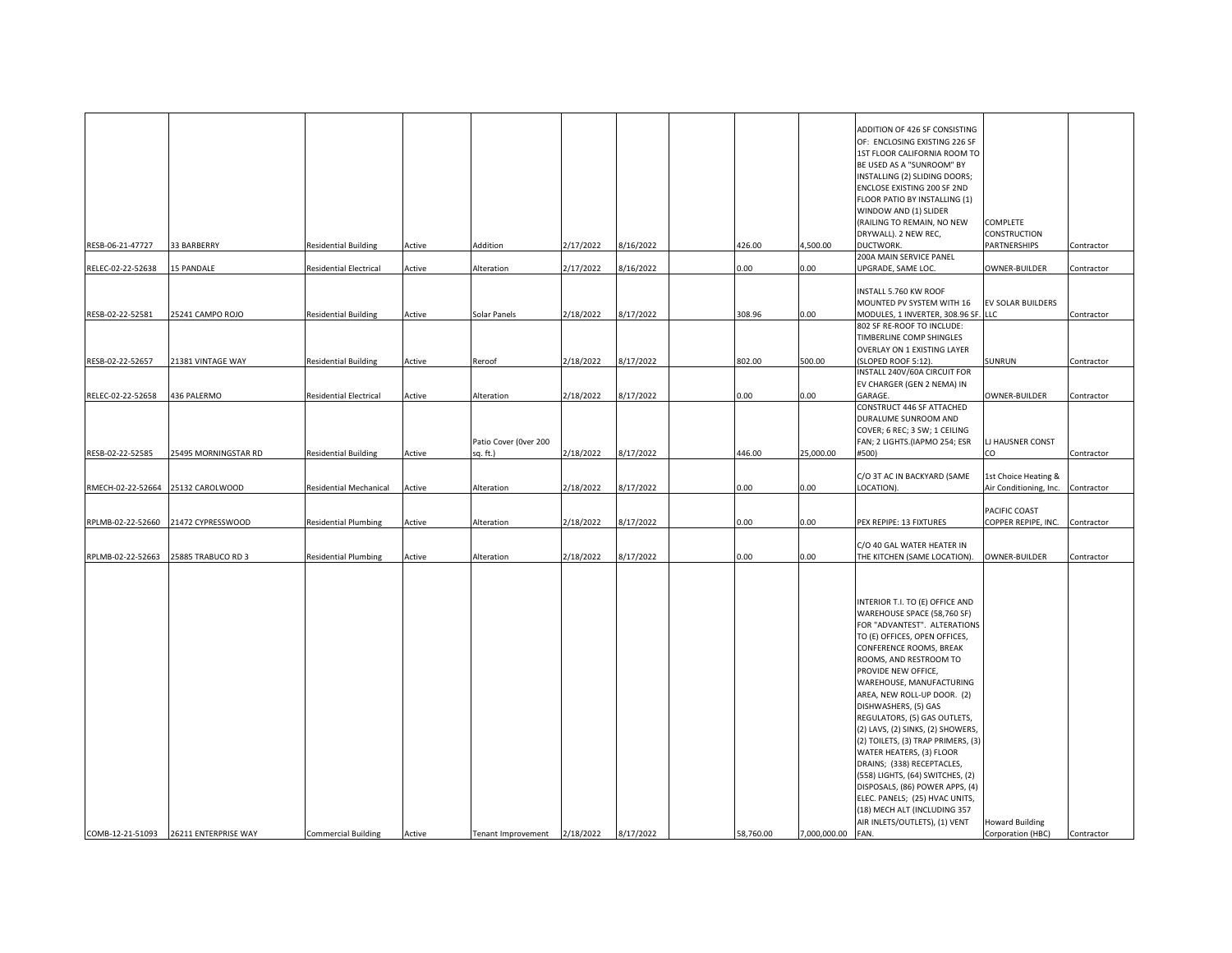| RESB-06-21-47727  | 33 BARBERRY          | <b>Residential Building</b>   | Active | Addition                            | 2/17/2022 | 8/16/2022 | 426.00    | 4,500.00     | ADDITION OF 426 SF CONSISTING<br>OF: ENCLOSING EXISTING 226 SF<br>1ST FLOOR CALIFORNIA ROOM TO<br>BE USED AS A "SUNROOM" BY<br>INSTALLING (2) SLIDING DOORS;<br>ENCLOSE EXISTING 200 SF 2ND<br>FLOOR PATIO BY INSTALLING (1)<br>WINDOW AND (1) SLIDER<br>(RAILING TO REMAIN, NO NEW<br>DRYWALL). 2 NEW REC,<br>DUCTWORK.                                                                                                                                                                                                                                                                                                                              | COMPLETE<br><b>CONSTRUCTION</b><br>PARTNERSHIPS           | Contractor |
|-------------------|----------------------|-------------------------------|--------|-------------------------------------|-----------|-----------|-----------|--------------|-------------------------------------------------------------------------------------------------------------------------------------------------------------------------------------------------------------------------------------------------------------------------------------------------------------------------------------------------------------------------------------------------------------------------------------------------------------------------------------------------------------------------------------------------------------------------------------------------------------------------------------------------------|-----------------------------------------------------------|------------|
|                   |                      |                               |        |                                     |           |           |           |              | 200A MAIN SERVICE PANEL                                                                                                                                                                                                                                                                                                                                                                                                                                                                                                                                                                                                                               |                                                           |            |
| RELEC-02-22-52638 | <b>15 PANDALE</b>    | Residential Electrical        | Active | Alteration                          | 2/17/2022 | 8/16/2022 | 0.00      | 0.00         | UPGRADE, SAME LOC.                                                                                                                                                                                                                                                                                                                                                                                                                                                                                                                                                                                                                                    | OWNER-BUILDER                                             | Contractor |
| RESB-02-22-52581  | 25241 CAMPO ROJO     | <b>Residential Building</b>   | Active | Solar Panels                        | 2/18/2022 | 8/17/2022 | 308.96    | 0.00         | INSTALL 5.760 KW ROOF<br>MOUNTED PV SYSTEM WITH 16<br>MODULES, 1 INVERTER, 308.96 SF.                                                                                                                                                                                                                                                                                                                                                                                                                                                                                                                                                                 | EV SOLAR BUILDERS<br><b>LLC</b>                           | Contractor |
|                   |                      |                               |        |                                     |           |           |           |              | 802 SF RE-ROOF TO INCLUDE:<br>TIMBERLINE COMP SHINGLES<br>OVERLAY ON 1 EXISTING LAYER                                                                                                                                                                                                                                                                                                                                                                                                                                                                                                                                                                 |                                                           |            |
| RESB-02-22-52657  | 21381 VINTAGE WAY    | <b>Residential Building</b>   | Active | Reroof                              | 2/18/2022 | 8/17/2022 | 802.00    | 500.00       | (SLOPED ROOF 5:12).                                                                                                                                                                                                                                                                                                                                                                                                                                                                                                                                                                                                                                   | SUNRUN                                                    | Contractor |
|                   |                      |                               |        |                                     |           |           |           |              | INSTALL 240V/60A CIRCUIT FOR<br>EV CHARGER (GEN 2 NEMA) IN                                                                                                                                                                                                                                                                                                                                                                                                                                                                                                                                                                                            |                                                           |            |
| RELEC-02-22-52658 | 436 PALERMO          | Residential Electrical        | Active | Alteration<br>Patio Cover (Over 200 | 2/18/2022 | 8/17/2022 | 0.00      | 0.00         | GARAGE.<br>CONSTRUCT 446 SF ATTACHED<br>DURALUME SUNROOM AND<br>COVER; 6 REC; 3 SW; 1 CEILING<br>FAN; 2 LIGHTS.(IAPMO 254; ESR                                                                                                                                                                                                                                                                                                                                                                                                                                                                                                                        | OWNER-BUILDER<br>LJ HAUSNER CONST                         | Contractor |
| RESB-02-22-52585  | 25495 MORNINGSTAR RD | <b>Residential Building</b>   | Active | sq. ft.)                            | 2/18/2022 | 8/17/2022 | 446.00    | 25,000.00    | #500)                                                                                                                                                                                                                                                                                                                                                                                                                                                                                                                                                                                                                                                 | CO                                                        | Contractor |
| RMECH-02-22-52664 | 25132 CAROLWOOD      | <b>Residential Mechanical</b> | Active | Alteration                          | 2/18/2022 | 8/17/2022 | 0.00      | 0.00         | C/O 3T AC IN BACKYARD (SAME<br>LOCATION).                                                                                                                                                                                                                                                                                                                                                                                                                                                                                                                                                                                                             | 1st Choice Heating &<br>Air Conditioning, Inc. Contractor |            |
| RPLMB-02-22-52660 | 21472 CYPRESSWOOD    | <b>Residential Plumbing</b>   | Active | Alteration                          | 2/18/2022 | 8/17/2022 | 0.00      | 0.00         | PEX REPIPE: 13 FIXTURES                                                                                                                                                                                                                                                                                                                                                                                                                                                                                                                                                                                                                               | PACIFIC COAST<br>COPPER REPIPE, INC.                      | Contractor |
| RPLMB-02-22-52663 | 25885 TRABUCO RD 3   | <b>Residential Plumbing</b>   | Active | Alteration                          | 2/18/2022 | 8/17/2022 | 0.00      | 0.00         | C/O 40 GAL WATER HEATER IN<br>THE KITCHEN (SAME LOCATION).                                                                                                                                                                                                                                                                                                                                                                                                                                                                                                                                                                                            | OWNER-BUILDER                                             | Contractor |
| COMB-12-21-51093  | 26211 ENTERPRISE WAY | <b>Commercial Building</b>    | Active | Tenant Improvement                  | 2/18/2022 | 8/17/2022 | 58,760.00 | 7,000,000.00 | INTERIOR T.I. TO (E) OFFICE AND<br>WAREHOUSE SPACE (58,760 SF)<br>FOR "ADVANTEST". ALTERATIONS<br>TO (E) OFFICES, OPEN OFFICES,<br>CONFERENCE ROOMS, BREAK<br>ROOMS, AND RESTROOM TO<br>PROVIDE NEW OFFICE,<br>WAREHOUSE, MANUFACTURING<br>AREA, NEW ROLL-UP DOOR. (2)<br>DISHWASHERS, (5) GAS<br>REGULATORS, (5) GAS OUTLETS,<br>(2) LAVS, (2) SINKS, (2) SHOWERS,<br>(2) TOILETS, (3) TRAP PRIMERS, (3)<br>WATER HEATERS, (3) FLOOR<br>DRAINS; (338) RECEPTACLES,<br>(558) LIGHTS, (64) SWITCHES, (2)<br>DISPOSALS, (86) POWER APPS, (4)<br>ELEC. PANELS; (25) HVAC UNITS,<br>(18) MECH ALT (INCLUDING 357<br>AIR INLETS/OUTLETS), (1) VENT<br>FAN. | <b>Howard Building</b><br>Corporation (HBC)               | Contractor |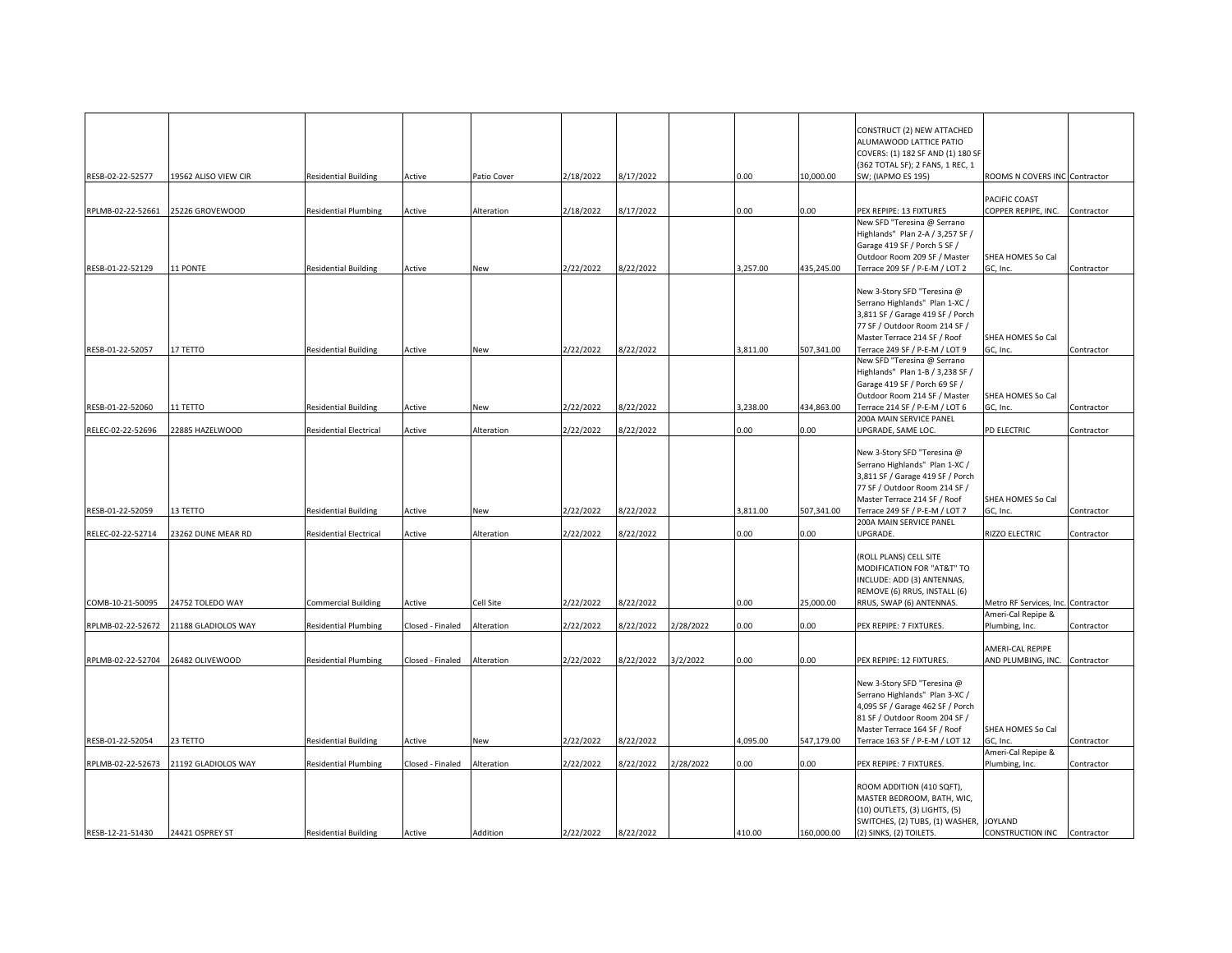|                   |                      |                               |                  |             |           |           |           |          |            | CONSTRUCT (2) NEW ATTACHED                                        |                                        |            |
|-------------------|----------------------|-------------------------------|------------------|-------------|-----------|-----------|-----------|----------|------------|-------------------------------------------------------------------|----------------------------------------|------------|
|                   |                      |                               |                  |             |           |           |           |          |            | ALUMAWOOD LATTICE PATIO                                           |                                        |            |
|                   |                      |                               |                  |             |           |           |           |          |            | COVERS: (1) 182 SF AND (1) 180 SF                                 |                                        |            |
|                   |                      |                               |                  |             |           |           |           |          |            | (362 TOTAL SF); 2 FANS, 1 REC, 1                                  |                                        |            |
| RESB-02-22-52577  | 19562 ALISO VIEW CIR | <b>Residential Building</b>   | Active           | Patio Cover | 2/18/2022 | 3/17/2022 |           | 0.00     | 10,000.00  | SW; (IAPMO ES 195)                                                | ROOMS N COVERS INC Contractor          |            |
|                   |                      |                               |                  |             |           |           |           |          |            |                                                                   |                                        |            |
|                   |                      |                               |                  |             | 2/18/2022 |           |           |          | 0.00       |                                                                   | PACIFIC COAST<br>COPPER REPIPE, INC.   |            |
| RPLMB-02-22-52661 | 25226 GROVEWOOD      | <b>Residential Plumbing</b>   | Active           | Alteration  |           | 17/2022   |           | 0.00     |            | PEX REPIPE: 13 FIXTURES<br>New SFD "Teresina @ Serrano            |                                        | Contractor |
|                   |                      |                               |                  |             |           |           |           |          |            | Highlands" Plan 2-A / 3,257 SF /                                  |                                        |            |
|                   |                      |                               |                  |             |           |           |           |          |            | Garage 419 SF / Porch 5 SF /                                      |                                        |            |
|                   |                      |                               |                  |             |           |           |           |          |            | Outdoor Room 209 SF / Master                                      | SHEA HOMES So Cal                      |            |
| RESB-01-22-52129  | 11 PONTE             | <b>Residential Building</b>   | Active           | New         | 2/22/2022 | 3/22/2022 |           | 3,257.00 | 435,245.00 | Terrace 209 SF / P-E-M / LOT 2                                    | GC, Inc.                               | Contractor |
|                   |                      |                               |                  |             |           |           |           |          |            |                                                                   |                                        |            |
|                   |                      |                               |                  |             |           |           |           |          |            | New 3-Story SFD "Teresina @                                       |                                        |            |
|                   |                      |                               |                  |             |           |           |           |          |            | Serrano Highlands" Plan 1-XC /                                    |                                        |            |
|                   |                      |                               |                  |             |           |           |           |          |            | 3,811 SF / Garage 419 SF / Porch<br>77 SF / Outdoor Room 214 SF / |                                        |            |
|                   |                      |                               |                  |             |           |           |           |          |            | Master Terrace 214 SF / Roof                                      | SHEA HOMES So Cal                      |            |
| RESB-01-22-52057  | <b>17 TETTO</b>      | <b>Residential Building</b>   | Active           | New         | 2/22/2022 | /22/2022  |           | 3,811.00 | 507,341.00 | Terrace 249 SF / P-E-M / LOT 9                                    | GC, Inc.                               | Contractor |
|                   |                      |                               |                  |             |           |           |           |          |            | New SFD "Teresina @ Serrano                                       |                                        |            |
|                   |                      |                               |                  |             |           |           |           |          |            | Highlands" Plan 1-B / 3,238 SF /                                  |                                        |            |
|                   |                      |                               |                  |             |           |           |           |          |            | Garage 419 SF / Porch 69 SF /                                     |                                        |            |
|                   |                      |                               |                  |             |           |           |           |          |            | Outdoor Room 214 SF / Master                                      | SHEA HOMES So Cal                      |            |
| RESB-01-22-52060  | 11 TETTO             | <b>Residential Building</b>   | Active           | New         | 2/22/2022 | 3/22/2022 |           | 3.238.00 | 434,863.00 | Terrace 214 SF / P-E-M / LOT 6                                    | GC, Inc.                               | Contractor |
|                   |                      |                               |                  |             |           |           |           |          |            | 200A MAIN SERVICE PANEL                                           |                                        |            |
| RELEC-02-22-52696 | 22885 HAZELWOOD      | <b>Residential Electrical</b> | Active           | Alteration  | 2/22/2022 | 3/22/2022 |           | 0.00     | 0.00       | UPGRADE, SAME LOC.                                                | PD ELECTRIC                            | Contractor |
|                   |                      |                               |                  |             |           |           |           |          |            | New 3-Story SFD "Teresina @                                       |                                        |            |
|                   |                      |                               |                  |             |           |           |           |          |            | Serrano Highlands" Plan 1-XC /                                    |                                        |            |
|                   |                      |                               |                  |             |           |           |           |          |            | 3,811 SF / Garage 419 SF / Porch                                  |                                        |            |
|                   |                      |                               |                  |             |           |           |           |          |            | 77 SF / Outdoor Room 214 SF /                                     |                                        |            |
|                   |                      |                               |                  |             |           |           |           |          |            | Master Terrace 214 SF / Roof                                      | SHEA HOMES So Cal                      |            |
| RESB-01-22-52059  | 13 TETTO             | <b>Residential Building</b>   | Active           | New         | 2/22/2022 | 3/22/2022 |           | 3,811.00 | 507,341.00 | Terrace 249 SF / P-E-M / LOT 7                                    | GC, Inc.                               | Contractor |
|                   |                      |                               |                  |             |           |           |           |          |            | 200A MAIN SERVICE PANEL                                           |                                        |            |
| RELEC-02-22-52714 | 23262 DUNE MEAR RD   | <b>Residential Electrical</b> | Active           | Alteration  | 2/22/2022 | /22/2022  |           | 0.00     | 0.00       | UPGRADE.                                                          | RIZZO ELECTRIC                         | Contractor |
|                   |                      |                               |                  |             |           |           |           |          |            | (ROLL PLANS) CELL SITE                                            |                                        |            |
|                   |                      |                               |                  |             |           |           |           |          |            | MODIFICATION FOR "AT&T" TO                                        |                                        |            |
|                   |                      |                               |                  |             |           |           |           |          |            | INCLUDE: ADD (3) ANTENNAS,                                        |                                        |            |
|                   |                      |                               |                  |             |           |           |           |          |            | REMOVE (6) RRUS, INSTALL (6)                                      |                                        |            |
| COMB-10-21-50095  | 24752 TOLEDO WAY     | <b>Commercial Building</b>    | Active           | Cell Site   | 2/22/2022 | 3/22/2022 |           | 0.00     | 25,000.00  | RRUS, SWAP (6) ANTENNAS.                                          | Metro RF Services, Inc. Contractor     |            |
|                   |                      |                               |                  |             |           |           |           |          |            |                                                                   | Ameri-Cal Repipe &                     |            |
| RPLMB-02-22-52672 | 21188 GLADIOLOS WAY  | <b>Residential Plumbing</b>   | Closed - Finaled | Alteration  | 2/22/2022 | /22/2022  | 2/28/2022 | 0.00     | 0.00       | PEX REPIPE: 7 FIXTURES.                                           | Plumbing, Inc.                         | Contractor |
|                   |                      |                               |                  |             |           |           |           |          |            |                                                                   |                                        |            |
| RPLMB-02-22-52704 | 26482 OLIVEWOOD      | <b>Residential Plumbing</b>   |                  | Alteration  | 2/22/2022 | 3/22/2022 | 3/2/2022  | 0.00     | 0.00       | PEX REPIPE: 12 FIXTURES.                                          | AMERI-CAL REPIPE<br>AND PLUMBING, INC. |            |
|                   |                      |                               | Closed - Finaled |             |           |           |           |          |            |                                                                   |                                        | Contractor |
|                   |                      |                               |                  |             |           |           |           |          |            | New 3-Story SFD "Teresina @                                       |                                        |            |
|                   |                      |                               |                  |             |           |           |           |          |            | Serrano Highlands" Plan 3-XC /                                    |                                        |            |
|                   |                      |                               |                  |             |           |           |           |          |            | 4,095 SF / Garage 462 SF / Porch                                  |                                        |            |
|                   |                      |                               |                  |             |           |           |           |          |            | 81 SF / Outdoor Room 204 SF /                                     |                                        |            |
|                   |                      |                               |                  |             |           |           |           |          |            | Master Terrace 164 SF / Roof                                      | SHEA HOMES So Cal                      |            |
| RESB-01-22-52054  | 23 TETTO             | <b>Residential Building</b>   | Active           | New         | 2/22/2022 | 8/22/2022 |           | 4,095.00 | 547,179.00 | Terrace 163 SF / P-E-M / LOT 12                                   | GC, Inc.                               | Contractor |
|                   |                      |                               |                  |             |           |           |           |          |            |                                                                   | Ameri-Cal Repipe &                     |            |
| RPLMB-02-22-52673 | 21192 GLADIOLOS WAY  | <b>Residential Plumbing</b>   | Closed - Finaled | Alteration  | 2/22/2022 | 3/22/2022 | 2/28/2022 | 0.00     | 0.00       | PEX REPIPE: 7 FIXTURES.                                           | Plumbing, Inc.                         | Contractor |
|                   |                      |                               |                  |             |           |           |           |          |            | ROOM ADDITION (410 SQFT),                                         |                                        |            |
|                   |                      |                               |                  |             |           |           |           |          |            | MASTER BEDROOM, BATH, WIC,                                        |                                        |            |
|                   |                      |                               |                  |             |           |           |           |          |            | (10) OUTLETS, (3) LIGHTS, (5)                                     |                                        |            |
|                   |                      |                               |                  |             |           |           |           |          |            | SWITCHES, (2) TUBS, (1) WASHER,                                   | <b>JOYLAND</b>                         |            |
| RESB-12-21-51430  | 24421 OSPREY ST      | <b>Residential Building</b>   | Active           | Addition    | 2/22/2022 | 8/22/2022 |           | 410.00   | 160,000.00 | (2) SINKS, (2) TOILETS.                                           | CONSTRUCTION INC Contractor            |            |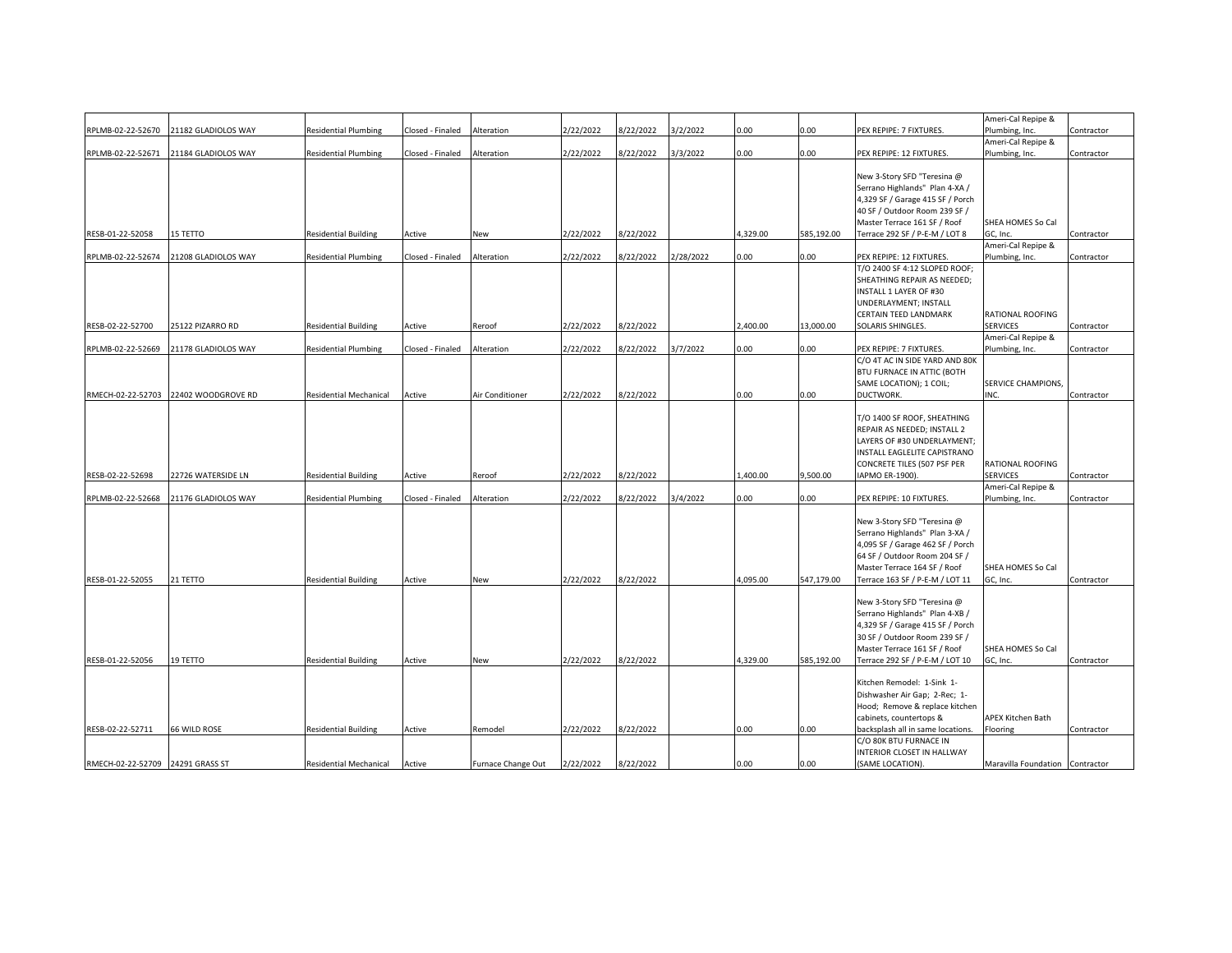|                                  |                                      |                               |                  |                    |           |           |           |          |            |                                   | Ameri-Cal Repipe &              |            |
|----------------------------------|--------------------------------------|-------------------------------|------------------|--------------------|-----------|-----------|-----------|----------|------------|-----------------------------------|---------------------------------|------------|
| RPLMB-02-22-52670                | 21182 GLADIOLOS WAY                  | <b>Residential Plumbing</b>   | Closed - Finaled | Alteration         | 2/22/2022 | 8/22/2022 | 3/2/2022  | 0.00     | 0.00       | PEX REPIPE: 7 FIXTURES.           | Plumbing, Inc.                  | Contractor |
|                                  |                                      |                               |                  |                    |           |           |           |          |            |                                   | Ameri-Cal Repipe &              |            |
| RPLMB-02-22-52671                | 21184 GLADIOLOS WAY                  | <b>Residential Plumbing</b>   | Closed - Finaled | Alteration         | 2/22/2022 | 8/22/2022 | 3/3/2022  | 0.00     | 0.00       | PEX REPIPE: 12 FIXTURES.          | Plumbing, Inc.                  | Contractor |
|                                  |                                      |                               |                  |                    |           |           |           |          |            |                                   |                                 |            |
|                                  |                                      |                               |                  |                    |           |           |           |          |            | New 3-Story SFD "Teresina @       |                                 |            |
|                                  |                                      |                               |                  |                    |           |           |           |          |            | Serrano Highlands" Plan 4-XA /    |                                 |            |
|                                  |                                      |                               |                  |                    |           |           |           |          |            | 4,329 SF / Garage 415 SF / Porch  |                                 |            |
|                                  |                                      |                               |                  |                    |           |           |           |          |            | 40 SF / Outdoor Room 239 SF /     |                                 |            |
|                                  |                                      |                               |                  |                    |           |           |           |          |            | Master Terrace 161 SF / Roof      | SHEA HOMES So Cal               |            |
| RESB-01-22-52058                 | <b>15 TETTO</b>                      | <b>Residential Building</b>   | Active           | New                | 2/22/2022 | 8/22/2022 |           | 4,329.00 | 585,192.00 | Terrace 292 SF / P-E-M / LOT 8    | GC, Inc.                        | Contractor |
|                                  |                                      |                               |                  |                    |           |           |           |          |            |                                   | Ameri-Cal Repipe &              |            |
| RPLMB-02-22-52674                | 21208 GLADIOLOS WAY                  | <b>Residential Plumbing</b>   | Closed - Finaled | Alteration         | 2/22/2022 | 8/22/2022 | 2/28/2022 | 0.00     | 0.00       | PEX REPIPE: 12 FIXTURES.          | Plumbing, Inc.                  | Contractor |
|                                  |                                      |                               |                  |                    |           |           |           |          |            | T/O 2400 SF 4:12 SLOPED ROOF;     |                                 |            |
|                                  |                                      |                               |                  |                    |           |           |           |          |            | SHEATHING REPAIR AS NEEDED;       |                                 |            |
|                                  |                                      |                               |                  |                    |           |           |           |          |            | INSTALL 1 LAYER OF #30            |                                 |            |
|                                  |                                      |                               |                  |                    |           |           |           |          |            | UNDERLAYMENT; INSTALL             |                                 |            |
|                                  |                                      |                               |                  |                    |           |           |           |          |            | CERTAIN TEED LANDMARK             | <b>RATIONAL ROOFING</b>         |            |
| RESB-02-22-52700                 | 25122 PIZARRO RD                     | <b>Residential Building</b>   | Active           | Reroof             | 2/22/2022 | 8/22/2022 |           | 2,400.00 | 13.000.00  | SOLARIS SHINGLES.                 | <b>SERVICES</b>                 | Contractor |
|                                  |                                      |                               |                  |                    |           |           |           |          |            |                                   | Ameri-Cal Repipe &              |            |
| RPLMB-02-22-52669                | 21178 GLADIOLOS WAY                  | <b>Residential Plumbing</b>   | Closed - Finaled | Alteration         | 2/22/2022 | 8/22/2022 | 3/7/2022  | 0.00     | 0.00       | PEX REPIPE: 7 FIXTURES.           | Plumbing, Inc.                  | Contractor |
|                                  |                                      |                               |                  |                    |           |           |           |          |            | C/O 4T AC IN SIDE YARD AND 80K    |                                 |            |
|                                  |                                      |                               |                  |                    |           |           |           |          |            |                                   |                                 |            |
|                                  |                                      |                               |                  |                    |           |           |           |          |            | BTU FURNACE IN ATTIC (BOTH        |                                 |            |
|                                  |                                      |                               |                  |                    |           |           |           |          |            | SAME LOCATION); 1 COIL;           | SERVICE CHAMPIONS,              |            |
|                                  | RMECH-02-22-52703 22402 WOODGROVE RD | <b>Residential Mechanical</b> | Active           | Air Conditioner    | 2/22/2022 | 8/22/2022 |           | 0.00     | 0.00       | DUCTWORK.                         | INC.                            | Contractor |
|                                  |                                      |                               |                  |                    |           |           |           |          |            |                                   |                                 |            |
|                                  |                                      |                               |                  |                    |           |           |           |          |            | T/O 1400 SF ROOF, SHEATHING       |                                 |            |
|                                  |                                      |                               |                  |                    |           |           |           |          |            | REPAIR AS NEEDED; INSTALL 2       |                                 |            |
|                                  |                                      |                               |                  |                    |           |           |           |          |            | LAYERS OF #30 UNDERLAYMENT;       |                                 |            |
|                                  |                                      |                               |                  |                    |           |           |           |          |            | INSTALL EAGLELITE CAPISTRANO      |                                 |            |
|                                  |                                      |                               |                  |                    |           |           |           |          |            | CONCRETE TILES (507 PSF PER       | RATIONAL ROOFING                |            |
| RESB-02-22-52698                 | 22726 WATERSIDE LN                   | <b>Residential Building</b>   | Active           | Reroof             | 2/22/2022 | 8/22/2022 |           | ,400.00  | 9.500.00   | IAPMO ER-1900).                   | <b>SERVICES</b>                 | Contractor |
|                                  |                                      |                               |                  |                    |           |           |           |          |            |                                   | Ameri-Cal Repipe &              |            |
| RPLMB-02-22-52668                | 21176 GLADIOLOS WAY                  | <b>Residential Plumbing</b>   | Closed - Finaled | Alteration         | 2/22/2022 | 8/22/2022 | 3/4/2022  | 0.00     | 0.00       | PEX REPIPE: 10 FIXTURES.          | Plumbing, Inc.                  | Contractor |
|                                  |                                      |                               |                  |                    |           |           |           |          |            |                                   |                                 |            |
|                                  |                                      |                               |                  |                    |           |           |           |          |            | New 3-Story SFD "Teresina @       |                                 |            |
|                                  |                                      |                               |                  |                    |           |           |           |          |            | Serrano Highlands" Plan 3-XA /    |                                 |            |
|                                  |                                      |                               |                  |                    |           |           |           |          |            | 4,095 SF / Garage 462 SF / Porch  |                                 |            |
|                                  |                                      |                               |                  |                    |           |           |           |          |            | 64 SF / Outdoor Room 204 SF /     |                                 |            |
|                                  |                                      |                               |                  |                    |           |           |           |          |            | Master Terrace 164 SF / Roof      | SHEA HOMES So Cal               |            |
| RESB-01-22-52055                 | 21 TETTO                             | <b>Residential Building</b>   | Active           | New                | 2/22/2022 | 8/22/2022 |           | 4,095.00 | 547,179.00 | Terrace 163 SF / P-E-M / LOT 11   | GC, Inc.                        | Contractor |
|                                  |                                      |                               |                  |                    |           |           |           |          |            |                                   |                                 |            |
|                                  |                                      |                               |                  |                    |           |           |           |          |            | New 3-Story SFD "Teresina @       |                                 |            |
|                                  |                                      |                               |                  |                    |           |           |           |          |            | Serrano Highlands" Plan 4-XB /    |                                 |            |
|                                  |                                      |                               |                  |                    |           |           |           |          |            | 4,329 SF / Garage 415 SF / Porch  |                                 |            |
|                                  |                                      |                               |                  |                    |           |           |           |          |            | 30 SF / Outdoor Room 239 SF /     |                                 |            |
|                                  |                                      |                               |                  |                    |           |           |           |          |            | Master Terrace 161 SF / Roof      | SHEA HOMES So Cal               |            |
| RESB-01-22-52056                 | 19 TETTO                             | <b>Residential Building</b>   | Active           | New                | 2/22/2022 | 8/22/2022 |           | 4,329.00 | 585,192.00 | Terrace 292 SF / P-E-M / LOT 10   | GC, Inc.                        | Contractor |
|                                  |                                      |                               |                  |                    |           |           |           |          |            |                                   |                                 |            |
|                                  |                                      |                               |                  |                    |           |           |           |          |            | Kitchen Remodel: 1-Sink 1-        |                                 |            |
|                                  |                                      |                               |                  |                    |           |           |           |          |            | Dishwasher Air Gap; 2-Rec; 1-     |                                 |            |
|                                  |                                      |                               |                  |                    |           |           |           |          |            | Hood; Remove & replace kitchen    |                                 |            |
|                                  |                                      |                               |                  |                    |           |           |           |          |            | cabinets, countertops &           | APEX Kitchen Bath               |            |
| RESB-02-22-52711                 | 66 WILD ROSE                         | <b>Residential Building</b>   | Active           | Remodel            | 2/22/2022 | 8/22/2022 |           | 0.00     | 0.00       | backsplash all in same locations. | Flooring                        | Contractor |
|                                  |                                      |                               |                  |                    |           |           |           |          |            | C/O 80K BTU FURNACE IN            |                                 |            |
|                                  |                                      |                               |                  |                    |           |           |           |          |            | INTERIOR CLOSET IN HALLWAY        |                                 |            |
| RMECH-02-22-52709 24291 GRASS ST |                                      | <b>Residential Mechanical</b> | Active           | Furnace Change Out | 2/22/2022 | 8/22/2022 |           | 0.00     | 0.00       | (SAME LOCATION).                  | Maravilla Foundation Contractor |            |
|                                  |                                      |                               |                  |                    |           |           |           |          |            |                                   |                                 |            |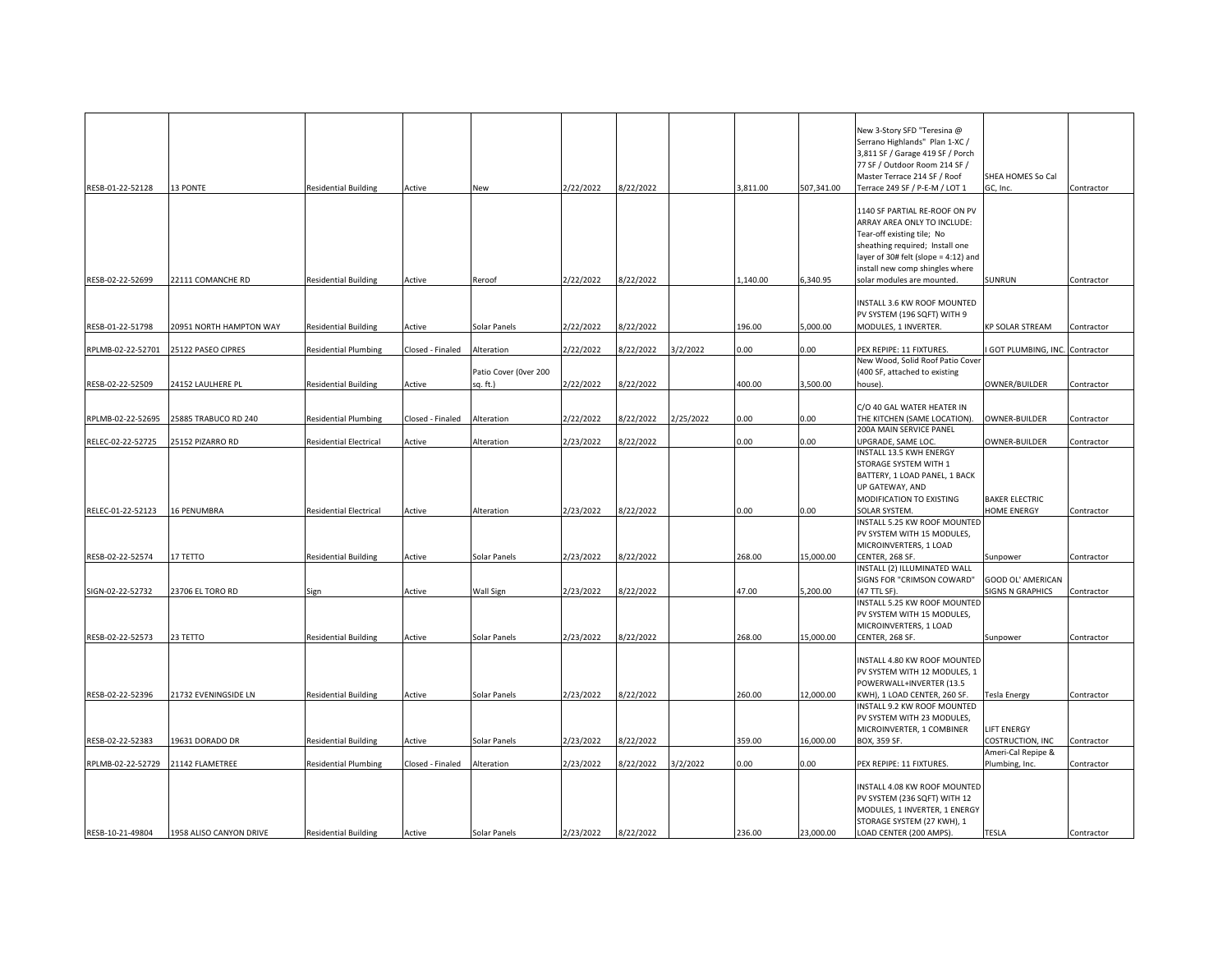| RESB-01-22-52128  | 13 PONTE                | <b>Residential Building</b>   | Active           | New                               | 2/22/2022 | 3/22/2022 |           | 3,811.00 | 507,341.00 | New 3-Story SFD "Teresina @<br>Serrano Highlands" Plan 1-XC /<br>3,811 SF / Garage 419 SF / Porch<br>77 SF / Outdoor Room 214 SF /<br>Master Terrace 214 SF / Roof<br>Terrace 249 SF / P-E-M / LOT 1                                   | SHEA HOMES So Cal<br>GC, Inc.          | Contractor |
|-------------------|-------------------------|-------------------------------|------------------|-----------------------------------|-----------|-----------|-----------|----------|------------|----------------------------------------------------------------------------------------------------------------------------------------------------------------------------------------------------------------------------------------|----------------------------------------|------------|
| RESB-02-22-52699  | 22111 COMANCHE RD       | <b>Residential Building</b>   | Active           | Reroof                            | 2/22/2022 | 3/22/2022 |           | 1,140.00 | 6,340.95   | 1140 SF PARTIAL RE-ROOF ON PV<br>ARRAY AREA ONLY TO INCLUDE:<br>Tear-off existing tile; No<br>sheathing required; Install one<br>layer of 30# felt (slope = 4:12) and<br>install new comp shingles where<br>solar modules are mounted. | SUNRUN                                 | Contractor |
|                   |                         |                               |                  |                                   |           |           |           |          |            |                                                                                                                                                                                                                                        |                                        |            |
| RESB-01-22-51798  | 20951 NORTH HAMPTON WAY | <b>Residential Building</b>   | Active           | Solar Panels                      | 2/22/2022 | 3/22/2022 |           | 196.00   | 5,000.00   | INSTALL 3.6 KW ROOF MOUNTED<br>PV SYSTEM (196 SQFT) WITH 9<br>MODULES, 1 INVERTER.                                                                                                                                                     | <b>KP SOLAR STREAM</b>                 | Contractor |
| RPLMB-02-22-52701 | 25122 PASEO CIPRES      | <b>Residential Plumbing</b>   | Closed - Finaled | Alteration                        | 2/22/2022 | /22/2022  | 3/2/2022  | 0.00     | 0.00       | PEX REPIPE: 11 FIXTURES.                                                                                                                                                                                                               | GOT PLUMBING, INC. Contractor          |            |
| RESB-02-22-52509  | 24152 LAULHERE PL       | <b>Residential Building</b>   | Active           | Patio Cover (Over 200<br>sq. ft.) | 2/22/2022 | 3/22/2022 |           | 400.00   | 3,500.00   | New Wood, Solid Roof Patio Cover<br>(400 SF, attached to existing<br>house).                                                                                                                                                           | OWNER/BUILDER                          | Contractor |
|                   |                         |                               |                  |                                   |           |           |           |          |            | C/O 40 GAL WATER HEATER IN                                                                                                                                                                                                             |                                        |            |
| RPLMB-02-22-52695 | 25885 TRABUCO RD 240    | <b>Residential Plumbing</b>   | Closed - Finaled | Alteration                        | 2/22/2022 | 3/22/2022 | 2/25/2022 | 0.00     | 0.00       | THE KITCHEN (SAME LOCATION).                                                                                                                                                                                                           | OWNER-BUILDER                          | Contractor |
| RELEC-02-22-52725 | 25152 PIZARRO RD        | Residential Electrical        | Active           | Alteration                        | 2/23/2022 | /22/2022  |           | 0.00     | 0.00       | 200A MAIN SERVICE PANEL<br>JPGRADE, SAME LOC.                                                                                                                                                                                          | OWNER-BUILDER                          | Contractor |
|                   |                         |                               |                  |                                   |           |           |           |          |            | INSTALL 13.5 KWH ENERGY<br>STORAGE SYSTEM WITH 1<br>BATTERY, 1 LOAD PANEL, 1 BACK<br>UP GATEWAY, AND<br>MODIFICATION TO EXISTING                                                                                                       | <b>BAKER ELECTRIC</b>                  |            |
| RELEC-01-22-52123 | <b>16 PENUMBRA</b>      | <b>Residential Electrical</b> | Active           | Alteration                        | 2/23/2022 | 3/22/2022 |           | 0.00     | 0.00       | SOLAR SYSTEM.<br>INSTALL 5.25 KW ROOF MOUNTED                                                                                                                                                                                          | HOME ENERGY                            | Contractor |
| RESB-02-22-52574  | 17 TETTO                | <b>Residential Building</b>   | Active           | Solar Panels                      | 2/23/2022 | 3/22/2022 |           | 268.00   | 15,000.00  | PV SYSTEM WITH 15 MODULES,<br>MICROINVERTERS, 1 LOAD<br>CENTER, 268 SF.                                                                                                                                                                | Sunpower                               | Contractor |
|                   |                         |                               |                  |                                   |           |           |           |          |            | INSTALL (2) ILLUMINATED WALL                                                                                                                                                                                                           |                                        |            |
| SIGN-02-22-52732  | 23706 EL TORO RD        | Sign                          | Active           | Wall Sign                         | 2/23/2022 | 3/22/2022 |           | 47.00    | 5,200.00   | SIGNS FOR "CRIMSON COWARD"<br>47 TTL SF).<br>INSTALL 5.25 KW ROOF MOUNTED                                                                                                                                                              | GOOD OL' AMERICAN<br>SIGNS N GRAPHICS  | Contractor |
|                   |                         |                               |                  |                                   |           |           |           |          |            | PV SYSTEM WITH 15 MODULES,<br>MICROINVERTERS, 1 LOAD                                                                                                                                                                                   |                                        |            |
| RESB-02-22-52573  | 23 TETTO                | <b>Residential Building</b>   | Active           | Solar Panels                      | 2/23/2022 | 3/22/2022 |           | 268.00   | 15,000.00  | CENTER, 268 SF.                                                                                                                                                                                                                        | Sunpower                               | Contractor |
|                   |                         |                               |                  |                                   |           |           |           |          |            | INSTALL 4.80 KW ROOF MOUNTED<br>PV SYSTEM WITH 12 MODULES, 1<br>POWERWALL+INVERTER (13.5                                                                                                                                               |                                        |            |
| RESB-02-22-52396  | 21732 EVENINGSIDE LN    | <b>Residential Building</b>   | Active           | Solar Panels                      | 2/23/2022 | 3/22/2022 |           | 260.00   | 12,000.00  | KWH), 1 LOAD CENTER, 260 SF.<br>INSTALL 9.2 KW ROOF MOUNTED                                                                                                                                                                            | Tesla Energy                           | Contractor |
|                   |                         |                               |                  |                                   |           |           |           |          |            | PV SYSTEM WITH 23 MODULES,                                                                                                                                                                                                             |                                        |            |
| RESB-02-22-52383  | 19631 DORADO DR         | <b>Residential Building</b>   | Active           | Solar Panels                      | 2/23/2022 | 8/22/2022 |           | 359.00   | 16,000.00  | MICROINVERTER, 1 COMBINER<br>BOX, 359 SF.                                                                                                                                                                                              | <b>LIFT ENERGY</b><br>COSTRUCTION, INC | Contractor |
| RPLMB-02-22-52729 | 21142 FLAMETREE         | <b>Residential Plumbing</b>   | Closed - Finaled | Alteration                        | 2/23/2022 | /22/2022  | 3/2/2022  | 0.00     | 0.00       | PEX REPIPE: 11 FIXTURES.                                                                                                                                                                                                               | Ameri-Cal Repipe &<br>Plumbing, Inc.   | Contractor |
| RESB-10-21-49804  | 1958 ALISO CANYON DRIVE | <b>Residential Building</b>   | Active           | Solar Panels                      | 2/23/2022 | 8/22/2022 |           | 236.00   | 23,000.00  | INSTALL 4.08 KW ROOF MOUNTED<br>PV SYSTEM (236 SQFT) WITH 12<br>MODULES, 1 INVERTER, 1 ENERGY<br>STORAGE SYSTEM (27 KWH), 1<br>LOAD CENTER (200 AMPS)                                                                                  | <b>TESLA</b>                           | Contractor |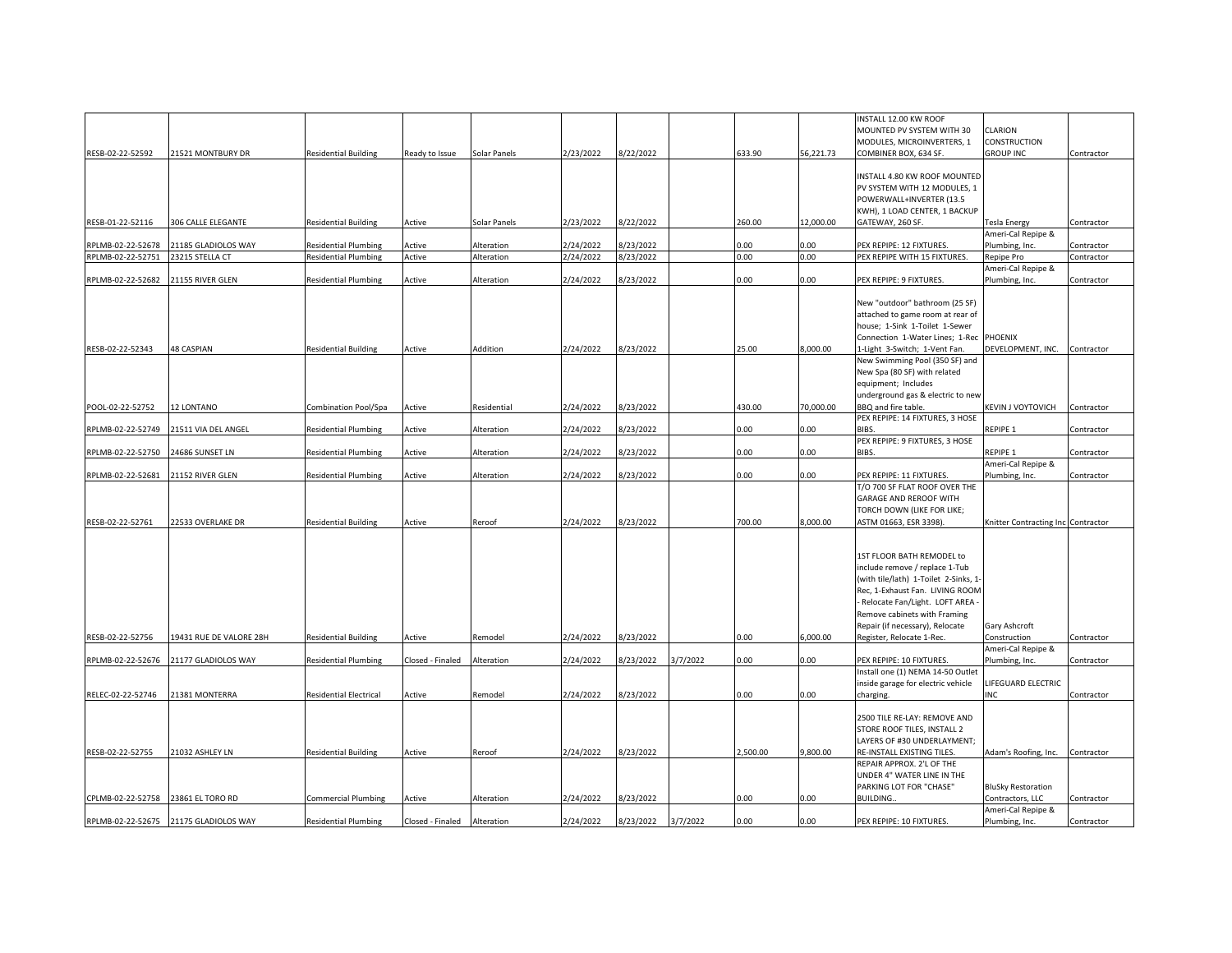|                   |                                       |                               |                  |              |           |           |          |          |           | NSTALL 12.00 KW ROOF                 |                                      |            |
|-------------------|---------------------------------------|-------------------------------|------------------|--------------|-----------|-----------|----------|----------|-----------|--------------------------------------|--------------------------------------|------------|
|                   |                                       |                               |                  |              |           |           |          |          |           | MOUNTED PV SYSTEM WITH 30            | CLARION                              |            |
|                   |                                       |                               |                  |              |           |           |          |          |           | MODULES, MICROINVERTERS, 1           | CONSTRUCTION                         |            |
| RESB-02-22-52592  | 21521 MONTBURY DR                     | <b>Residential Building</b>   | Ready to Issue   | Solar Panels | 2/23/2022 | 8/22/2022 |          | 633.90   | 56,221.73 | COMBINER BOX, 634 SF.                | <b>GROUP INC</b>                     | Contractor |
|                   |                                       |                               |                  |              |           |           |          |          |           |                                      |                                      |            |
|                   |                                       |                               |                  |              |           |           |          |          |           | INSTALL 4.80 KW ROOF MOUNTED         |                                      |            |
|                   |                                       |                               |                  |              |           |           |          |          |           | PV SYSTEM WITH 12 MODULES, 1         |                                      |            |
|                   |                                       |                               |                  |              |           |           |          |          |           |                                      |                                      |            |
|                   |                                       |                               |                  |              |           |           |          |          |           | POWERWALL+INVERTER (13.5             |                                      |            |
|                   |                                       |                               |                  |              |           |           |          |          |           | KWH), 1 LOAD CENTER, 1 BACKUP        |                                      |            |
| RESB-01-22-52116  | <b>306 CALLE ELEGANTE</b>             | Residential Building          | Active           | Solar Panels | 2/23/2022 | 8/22/2022 |          | 260.00   | 12,000.00 | GATEWAY, 260 SF.                     | Tesla Energy                         | Contractor |
|                   |                                       |                               |                  |              |           |           |          |          |           |                                      | Ameri-Cal Repipe &                   |            |
| RPLMB-02-22-52678 | 21185 GLADIOLOS WAY                   | <b>Residential Plumbing</b>   | Active           | Alteration   | 2/24/2022 | 3/23/2022 |          | 0.00     | 0.00      | PEX REPIPE: 12 FIXTURES.             | Plumbing, Inc.                       | Contractor |
| RPLMB-02-22-52751 | 23215 STELLA CT                       | <b>Residential Plumbing</b>   | Active           | Alteration   | 2/24/2022 | 8/23/2022 |          | 0.00     | 0.00      | PEX REPIPE WITH 15 FIXTURES.         | Repipe Pro                           | Contractor |
|                   |                                       |                               |                  |              |           |           |          |          |           |                                      | Ameri-Cal Repipe &                   |            |
| RPLMB-02-22-52682 | 21155 RIVER GLEN                      | <b>Residential Plumbing</b>   | Active           | Alteration   | 2/24/2022 | 8/23/2022 |          | 0.00     | 0.00      | PEX REPIPE: 9 FIXTURES.              | Plumbing, Inc.                       | Contractor |
|                   |                                       |                               |                  |              |           |           |          |          |           |                                      |                                      |            |
|                   |                                       |                               |                  |              |           |           |          |          |           |                                      |                                      |            |
|                   |                                       |                               |                  |              |           |           |          |          |           | New "outdoor" bathroom (25 SF)       |                                      |            |
|                   |                                       |                               |                  |              |           |           |          |          |           | attached to game room at rear of     |                                      |            |
|                   |                                       |                               |                  |              |           |           |          |          |           | house; 1-Sink 1-Toilet 1-Sewer       |                                      |            |
|                   |                                       |                               |                  |              |           |           |          |          |           | Connection 1-Water Lines; 1-Rec      | <b>PHOENIX</b>                       |            |
| RESB-02-22-52343  | <b>48 CASPIAN</b>                     | Residential Building          | Active           | Addition     | 2/24/2022 | 8/23/2022 |          | 25.00    | 8,000.00  | 1-Light 3-Switch; 1-Vent Fan         | DEVELOPMENT, INC. Contractor         |            |
|                   |                                       |                               |                  |              |           |           |          |          |           |                                      |                                      |            |
|                   |                                       |                               |                  |              |           |           |          |          |           | New Swimming Pool (350 SF) and       |                                      |            |
|                   |                                       |                               |                  |              |           |           |          |          |           | New Spa (80 SF) with related         |                                      |            |
|                   |                                       |                               |                  |              |           |           |          |          |           | equipment; Includes                  |                                      |            |
|                   |                                       |                               |                  |              |           |           |          |          |           | underground gas & electric to nev    |                                      |            |
| POOL-02-22-52752  | 12 LONTANO                            | Combination Pool/Spa          | Active           | Residential  | 2/24/2022 | 8/23/2022 |          | 430.00   | 70,000.00 | BBQ and fire table.                  | KEVIN J VOYTOVICH Contractor         |            |
|                   |                                       |                               |                  |              |           |           |          |          |           | PEX REPIPE: 14 FIXTURES, 3 HOSE      |                                      |            |
| RPLMB-02-22-52749 | 21511 VIA DEL ANGEL                   | <b>Residential Plumbing</b>   | Active           | Alteration   | 2/24/2022 | 3/23/2022 |          | 0.00     | 0.00      | BIBS.                                | REPIPE 1                             | Contractor |
|                   |                                       |                               |                  |              |           |           |          |          |           |                                      |                                      |            |
|                   |                                       |                               |                  |              |           |           |          |          |           | PEX REPIPE: 9 FIXTURES, 3 HOSE       |                                      |            |
| RPLMB-02-22-52750 | 24686 SUNSET LN                       | <b>Residential Plumbing</b>   | Active           | Alteration   | 2/24/2022 | 8/23/2022 |          | 0.00     | 0.00      | BIBS.                                | REPIPE 1                             | Contractor |
|                   |                                       |                               |                  |              |           |           |          |          |           |                                      | Ameri-Cal Repipe &                   |            |
| RPLMB-02-22-52681 | 21152 RIVER GLEN                      | <b>Residential Plumbing</b>   | Active           | Alteration   | 2/24/2022 | 8/23/2022 |          | 0.00     | 0.00      | PEX REPIPE: 11 FIXTURES.             | Plumbing, Inc.                       | Contractor |
|                   |                                       |                               |                  |              |           |           |          |          |           | T/O 700 SF FLAT ROOF OVER THE        |                                      |            |
|                   |                                       |                               |                  |              |           |           |          |          |           | GARAGE AND REROOF WITH               |                                      |            |
|                   |                                       |                               |                  |              |           |           |          |          |           |                                      |                                      |            |
|                   |                                       |                               |                  |              |           |           |          |          |           | TORCH DOWN (LIKE FOR LIKE;           |                                      |            |
| RESB-02-22-52761  | 22533 OVERLAKE DR                     | <b>Residential Building</b>   | Active           | Reroof       | 2/24/2022 | 8/23/2022 |          | 700.00   | 8,000.00  | ASTM 01663, ESR 3398).               | Knitter Contracting Inc Contractor   |            |
|                   |                                       |                               |                  |              |           |           |          |          |           |                                      |                                      |            |
|                   |                                       |                               |                  |              |           |           |          |          |           |                                      |                                      |            |
|                   |                                       |                               |                  |              |           |           |          |          |           | 1ST FLOOR BATH REMODEL to            |                                      |            |
|                   |                                       |                               |                  |              |           |           |          |          |           | include remove / replace 1-Tub       |                                      |            |
|                   |                                       |                               |                  |              |           |           |          |          |           | (with tile/lath) 1-Toilet 2-Sinks, 1 |                                      |            |
|                   |                                       |                               |                  |              |           |           |          |          |           |                                      |                                      |            |
|                   |                                       |                               |                  |              |           |           |          |          |           | Rec, 1-Exhaust Fan. LIVING ROOM      |                                      |            |
|                   |                                       |                               |                  |              |           |           |          |          |           | - Relocate Fan/Light. LOFT AREA -    |                                      |            |
|                   |                                       |                               |                  |              |           |           |          |          |           | Remove cabinets with Framing         |                                      |            |
|                   |                                       |                               |                  |              |           |           |          |          |           | Repair (if necessary), Relocate      | Gary Ashcroft                        |            |
| RESB-02-22-52756  | 19431 RUE DE VALORE 28H               | <b>Residential Building</b>   | Active           | Remodel      | 2/24/2022 | 8/23/2022 |          | 0.00     | 6,000.00  | Register, Relocate 1-Rec.            | Construction                         | Contractor |
|                   |                                       |                               |                  |              |           |           |          |          |           |                                      | Ameri-Cal Repipe &                   |            |
|                   |                                       |                               |                  |              |           |           |          |          |           |                                      |                                      |            |
| RPLMB-02-22-52676 | 21177 GLADIOLOS WAY                   | <b>Residential Plumbing</b>   | Closed - Finaled | Alteration   | 2/24/2022 | 3/23/2022 | 3/7/2022 | 0.00     | 0.00      | PEX REPIPE: 10 FIXTURES.             | Plumbing, Inc.                       | Contractor |
|                   |                                       |                               |                  |              |           |           |          |          |           | Install one (1) NEMA 14-50 Outlet    |                                      |            |
|                   |                                       |                               |                  |              |           |           |          |          |           | inside garage for electric vehicle   | LIFEGUARD ELECTRIC                   |            |
| RELEC-02-22-52746 | 21381 MONTERRA                        | <b>Residential Electrical</b> | Active           | Remodel      | 2/24/2022 | 8/23/2022 |          | 0.00     | 0.00      | charging.                            | <b>INC</b>                           | Contractor |
|                   |                                       |                               |                  |              |           |           |          |          |           |                                      |                                      |            |
|                   |                                       |                               |                  |              |           |           |          |          |           | 2500 TILE RE-LAY: REMOVE AND         |                                      |            |
|                   |                                       |                               |                  |              |           |           |          |          |           | STORE ROOF TILES, INSTALL 2          |                                      |            |
|                   |                                       |                               |                  |              |           |           |          |          |           |                                      |                                      |            |
|                   |                                       |                               |                  |              |           |           |          |          |           | LAYERS OF #30 UNDERLAYMENT;          |                                      |            |
| RESB-02-22-52755  | 21032 ASHLEY LN                       | <b>Residential Building</b>   | Active           | Reroof       | 2/24/2022 | 8/23/2022 |          | 2,500.00 | 9,800.00  | RE-INSTALL EXISTING TILES.           | Adam's Roofing, Inc. Contractor      |            |
|                   |                                       |                               |                  |              |           |           |          |          |           | REPAIR APPROX. 2'L OF THE            |                                      |            |
|                   |                                       |                               |                  |              |           |           |          |          |           | UNDER 4" WATER LINE IN THE           |                                      |            |
|                   |                                       |                               |                  |              |           |           |          |          |           | PARKING LOT FOR "CHASE"              | <b>BluSky Restoration</b>            |            |
|                   | 23861 EL TORO RD                      | <b>Commercial Plumbing</b>    | Active           | Alteration   | 2/24/2022 | 8/23/2022 |          | 0.00     | 0.00      | BUILDING.                            | Contractors, LLC                     | Contractor |
|                   |                                       |                               |                  |              |           |           |          |          |           |                                      |                                      |            |
|                   |                                       |                               |                  |              |           |           |          |          |           |                                      |                                      |            |
| CPLMB-02-22-52758 | RPLMB-02-22-52675 21175 GLADIOLOS WAY | <b>Residential Plumbing</b>   | Closed - Finaled | Alteration   | 2/24/2022 | 8/23/2022 | 3/7/2022 | 0.00     | 0.00      | PEX REPIPE: 10 FIXTURES.             | Ameri-Cal Repipe &<br>Plumbing, Inc. | Contractor |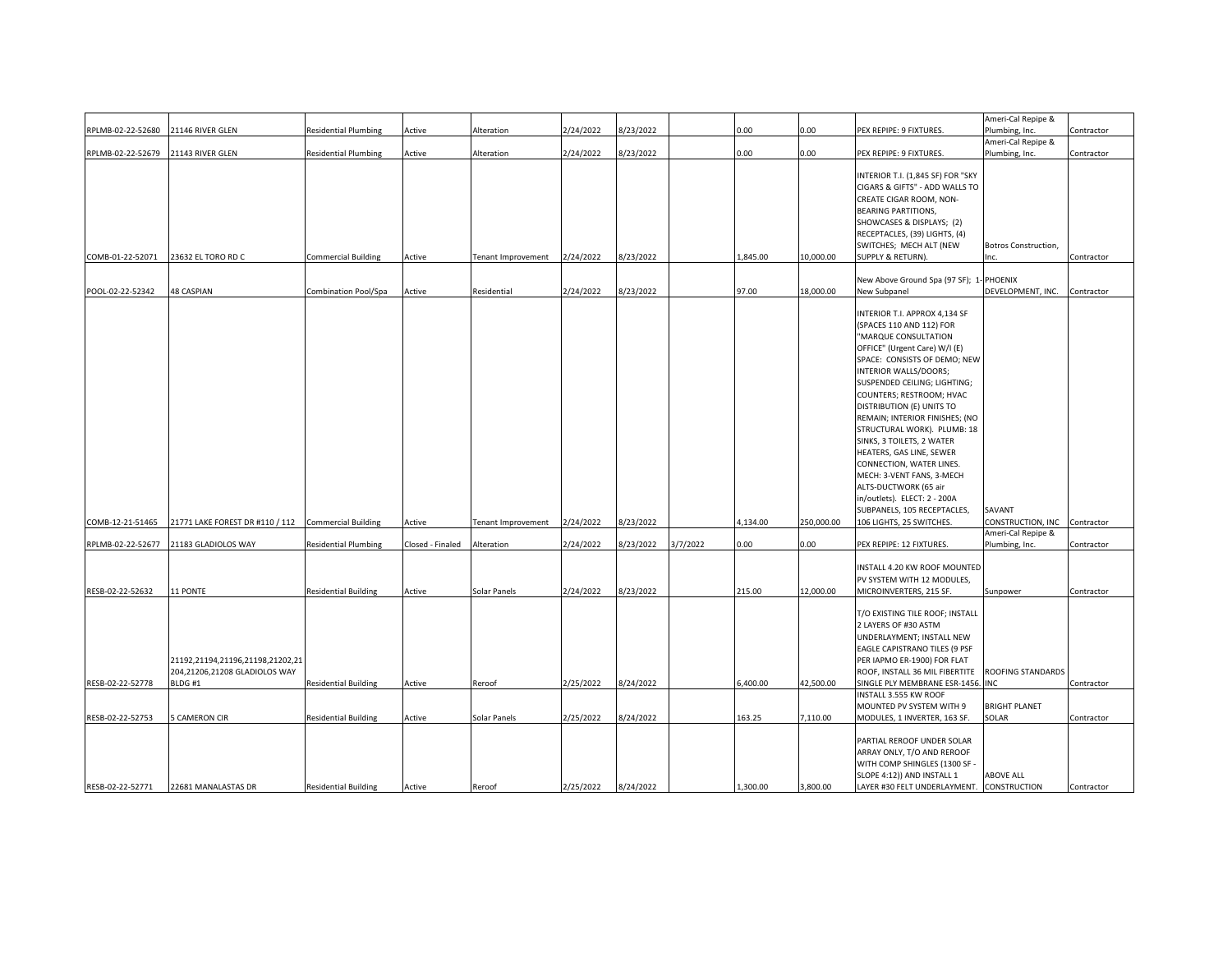| RPLMB-02-22-52680 | 21146 RIVER GLEN                                                            | <b>Residential Plumbing</b> | Active           | Alteration         | 2/24/2022 | 3/23/2022 |          | 0.00     | 0.00       | PEX REPIPE: 9 FIXTURES.                                                                                                                                                                                                                                                                                                                                                                                                                                                                                                                                                     | Ameri-Cal Repipe &<br>Plumbing, Inc. | Contractor |
|-------------------|-----------------------------------------------------------------------------|-----------------------------|------------------|--------------------|-----------|-----------|----------|----------|------------|-----------------------------------------------------------------------------------------------------------------------------------------------------------------------------------------------------------------------------------------------------------------------------------------------------------------------------------------------------------------------------------------------------------------------------------------------------------------------------------------------------------------------------------------------------------------------------|--------------------------------------|------------|
|                   |                                                                             |                             |                  |                    |           |           |          |          |            |                                                                                                                                                                                                                                                                                                                                                                                                                                                                                                                                                                             | Ameri-Cal Repipe &                   |            |
| RPLMB-02-22-52679 | 21143 RIVER GLEN                                                            | <b>Residential Plumbing</b> | Active           | Alteration         | 2/24/2022 | 8/23/2022 |          | 0.00     | 0.00       | PEX REPIPE: 9 FIXTURES.                                                                                                                                                                                                                                                                                                                                                                                                                                                                                                                                                     | Plumbing, Inc.                       | Contractor |
| COMB-01-22-52071  | 23632 EL TORO RD C                                                          | <b>Commercial Building</b>  | Active           | Tenant Improvement | 2/24/2022 | 3/23/2022 |          | 1,845.00 | 10,000.00  | INTERIOR T.I. (1,845 SF) FOR "SKY<br>CIGARS & GIFTS" - ADD WALLS TO<br>CREATE CIGAR ROOM, NON-<br><b>BEARING PARTITIONS,</b><br>SHOWCASES & DISPLAYS; (2)<br>RECEPTACLES, (39) LIGHTS, (4)<br>SWITCHES; MECH ALT (NEW<br>SUPPLY & RETURN).                                                                                                                                                                                                                                                                                                                                  | Botros Construction,<br>Inc.         | Contractor |
| POOL-02-22-52342  | 48 CASPIAN                                                                  | Combination Pool/Spa        | Active           | Residential        | 2/24/2022 | 8/23/2022 |          | 97.00    | 18,000.00  | New Above Ground Spa (97 SF); 1- PHOENIX<br>New Subpanel                                                                                                                                                                                                                                                                                                                                                                                                                                                                                                                    | DEVELOPMENT, INC.                    | Contractor |
| COMB-12-21-51465  | 21771 LAKE FOREST DR #110 / 112 Commercial Building                         |                             | Active           | Tenant Improvement | 2/24/2022 | 8/23/2022 |          | 4,134.00 | 250,000.00 | INTERIOR T.I. APPROX 4,134 SF<br>(SPACES 110 AND 112) FOR<br>"MARQUE CONSULTATION<br>OFFICE" (Urgent Care) W/I (E)<br>SPACE: CONSISTS OF DEMO; NEW<br>INTERIOR WALLS/DOORS;<br>SUSPENDED CEILING; LIGHTING;<br>COUNTERS; RESTROOM; HVAC<br>DISTRIBUTION (E) UNITS TO<br>REMAIN; INTERIOR FINISHES; (NO<br>STRUCTURAL WORK). PLUMB: 18<br>SINKS, 3 TOILETS, 2 WATER<br>HEATERS, GAS LINE, SEWER<br>CONNECTION, WATER LINES.<br>MECH: 3-VENT FANS, 3-MECH<br>ALTS-DUCTWORK (65 air<br>in/outlets). ELECT: 2 - 200A<br>SUBPANELS, 105 RECEPTACLES,<br>106 LIGHTS, 25 SWITCHES. | SAVANT<br>CONSTRUCTION, INC          | Contractor |
| RPLMB-02-22-52677 | 21183 GLADIOLOS WAY                                                         | <b>Residential Plumbing</b> | Closed - Finaled | Alteration         | 2/24/2022 | 8/23/2022 | 3/7/2022 | 0.00     | 0.00       | PEX REPIPE: 12 FIXTURES.                                                                                                                                                                                                                                                                                                                                                                                                                                                                                                                                                    | Ameri-Cal Repipe &<br>Plumbing, Inc. | Contractor |
| RESB-02-22-52632  | 11 PONTE                                                                    | <b>Residential Building</b> | Active           | Solar Panels       | 2/24/2022 | 8/23/2022 |          | 215.00   | 12,000.00  | INSTALL 4.20 KW ROOF MOUNTED<br>PV SYSTEM WITH 12 MODULES,<br>MICROINVERTERS, 215 SF.                                                                                                                                                                                                                                                                                                                                                                                                                                                                                       | Sunpower                             | Contractor |
| RESB-02-22-52778  | 21192,21194,21196,21198,21202,21<br>204,21206,21208 GLADIOLOS WAY<br>BLDG#1 | <b>Residential Building</b> | Active           | Reroof             | 2/25/2022 | 8/24/2022 |          | 5,400.00 | 42,500.00  | T/O EXISTING TILE ROOF; INSTALL<br>2 LAYERS OF #30 ASTM<br>UNDERLAYMENT; INSTALL NEW<br>EAGLE CAPISTRANO TILES (9 PSF<br>PER IAPMO ER-1900) FOR FLAT<br>ROOF, INSTALL 36 MIL FIBERTITE<br>SINGLE PLY MEMBRANE ESR-1456.                                                                                                                                                                                                                                                                                                                                                     | ROOFING STANDARDS<br><b>INC</b>      | Contractor |
|                   |                                                                             |                             |                  |                    |           |           |          |          |            | INSTALL 3.555 KW ROOF<br>MOUNTED PV SYSTEM WITH 9                                                                                                                                                                                                                                                                                                                                                                                                                                                                                                                           | <b>BRIGHT PLANET</b>                 |            |
| RESB-02-22-52753  | <b>5 CAMERON CIR</b>                                                        | <b>Residential Building</b> | Active           | Solar Panels       | 2/25/2022 | 8/24/2022 |          | 163.25   | 7,110.00   | MODULES, 1 INVERTER, 163 SF.                                                                                                                                                                                                                                                                                                                                                                                                                                                                                                                                                | SOLAR                                | Contractor |
| RESB-02-22-52771  | 22681 MANALASTAS DR                                                         | <b>Residential Building</b> | Active           | Reroof             | 2/25/2022 | 8/24/2022 |          | 1,300.00 | 3,800.00   | PARTIAL REROOF UNDER SOLAR<br>ARRAY ONLY, T/O AND REROOF<br>WITH COMP SHINGLES (1300 SF -<br>SLOPE 4:12)) AND INSTALL 1<br>LAYER #30 FELT UNDERLAYMENT. CONSTRUCTION                                                                                                                                                                                                                                                                                                                                                                                                        | <b>ABOVE ALL</b>                     | Contractor |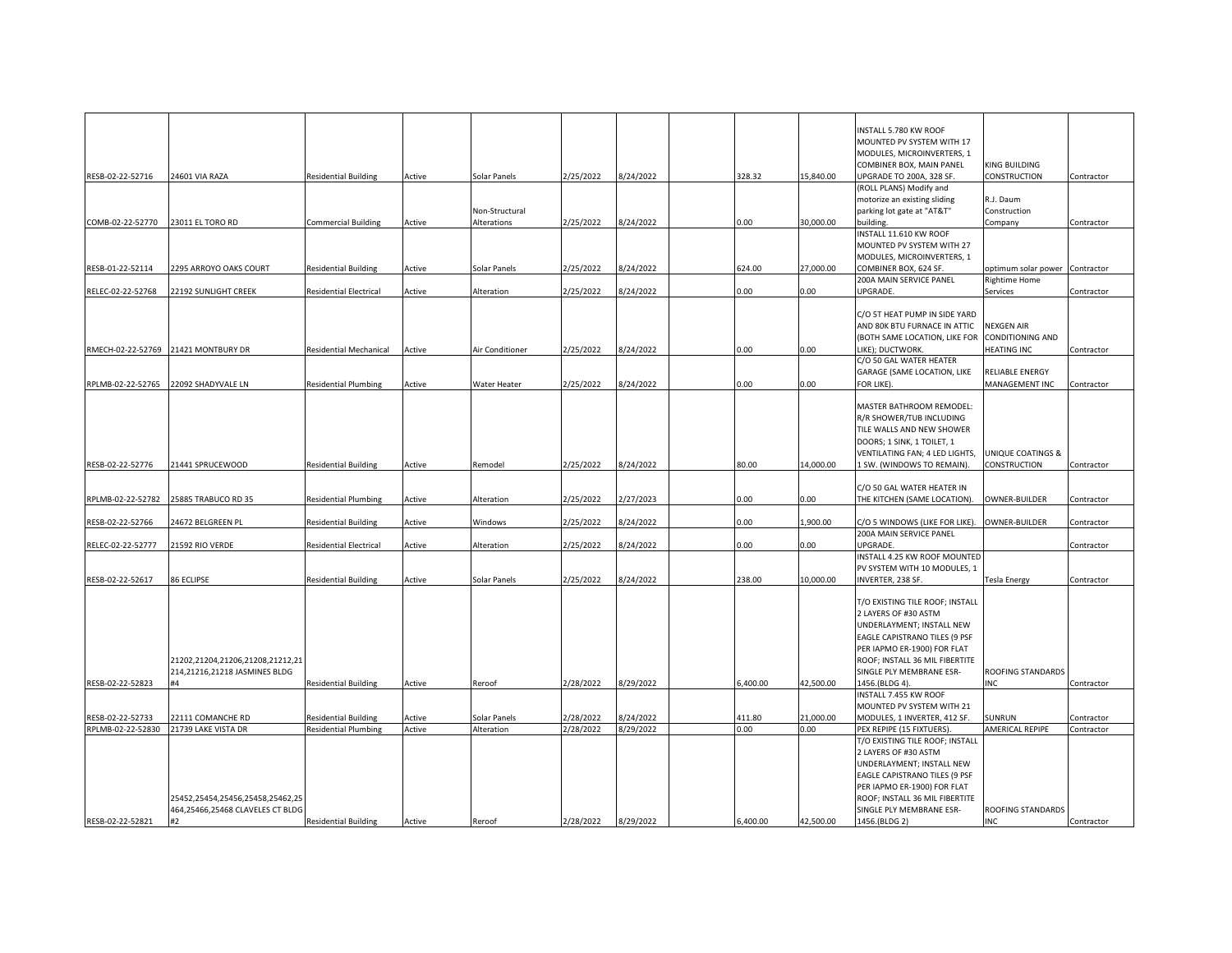|                   |                                                                      |                               |        |                 |           |           |          |           | INSTALL 5.780 KW ROOF                                         |                                 |            |
|-------------------|----------------------------------------------------------------------|-------------------------------|--------|-----------------|-----------|-----------|----------|-----------|---------------------------------------------------------------|---------------------------------|------------|
|                   |                                                                      |                               |        |                 |           |           |          |           | MOUNTED PV SYSTEM WITH 17<br>MODULES, MICROINVERTERS, 1       |                                 |            |
|                   |                                                                      |                               |        |                 |           |           |          |           | COMBINER BOX, MAIN PANEL                                      | KING BUILDING                   |            |
| RESB-02-22-52716  | 24601 VIA RAZA                                                       | <b>Residential Building</b>   | Active | Solar Panels    | 2/25/2022 | 8/24/2022 | 328.32   | 15,840.00 | UPGRADE TO 200A, 328 SF.                                      | CONSTRUCTION                    | Contractor |
|                   |                                                                      |                               |        |                 |           |           |          |           | (ROLL PLANS) Modify and                                       |                                 |            |
|                   |                                                                      |                               |        |                 |           |           |          |           | motorize an existing sliding                                  | R.J. Daum                       |            |
|                   |                                                                      |                               |        | Non-Structural  |           |           |          | 30,000.00 | parking lot gate at "AT&T"                                    | Construction                    |            |
| COMB-02-22-52770  | 23011 EL TORO RD                                                     | <b>Commercial Building</b>    | Active | Alterations     | 2/25/2022 | 8/24/2022 | 0.00     |           | puilding.<br>INSTALL 11.610 KW ROOF                           | Company                         | Contractor |
|                   |                                                                      |                               |        |                 |           |           |          |           | MOUNTED PV SYSTEM WITH 27                                     |                                 |            |
|                   |                                                                      |                               |        |                 |           |           |          |           | MODULES, MICROINVERTERS, 1                                    |                                 |            |
| RESB-01-22-52114  | 2295 ARROYO OAKS COURT                                               | <b>Residential Building</b>   | Active | Solar Panels    | 2/25/2022 | 3/24/2022 | 624.00   | 27.000.00 | COMBINER BOX, 624 SF.                                         | optimum solar power Contractor  |            |
|                   |                                                                      |                               |        |                 |           |           |          |           | 200A MAIN SERVICE PANEL                                       | Rightime Home                   |            |
| RELEC-02-22-52768 | 22192 SUNLIGHT CREEK                                                 | <b>Residential Electrical</b> | Active | Alteration      | 2/25/2022 | 3/24/2022 | 0.00     | $0.00\,$  | UPGRADE.                                                      | Services                        | Contractor |
|                   |                                                                      |                               |        |                 |           |           |          |           |                                                               |                                 |            |
|                   |                                                                      |                               |        |                 |           |           |          |           | C/O 5T HEAT PUMP IN SIDE YARD<br>AND 80K BTU FURNACE IN ATTIC | <b>VEXGEN AIR</b>               |            |
|                   |                                                                      |                               |        |                 |           |           |          |           | (BOTH SAME LOCATION, LIKE FOR                                 | <b>CONDITIONING AND</b>         |            |
|                   | RMECH-02-22-52769 21421 MONTBURY DR                                  | <b>Residential Mechanical</b> | Active | Air Conditioner | 2/25/2022 | 8/24/2022 | 0.00     | $0.00\,$  | LIKE); DUCTWORK.                                              | <b>HEATING INC</b>              | Contractor |
|                   |                                                                      |                               |        |                 |           |           |          |           | C/O 50 GAL WATER HEATER                                       |                                 |            |
|                   |                                                                      |                               |        |                 |           |           |          |           | GARAGE (SAME LOCATION, LIKE                                   | RELIABLE ENERGY                 |            |
| RPLMB-02-22-52765 | 22092 SHADYVALE LN                                                   | <b>Residential Plumbing</b>   | Active | Water Heater    | 2/25/2022 | 3/24/2022 | 0.00     | $0.00\,$  | FOR LIKE).                                                    | MANAGEMENT INC                  | Contractor |
|                   |                                                                      |                               |        |                 |           |           |          |           |                                                               |                                 |            |
|                   |                                                                      |                               |        |                 |           |           |          |           | MASTER BATHROOM REMODEL:                                      |                                 |            |
|                   |                                                                      |                               |        |                 |           |           |          |           | R/R SHOWER/TUB INCLUDING                                      |                                 |            |
|                   |                                                                      |                               |        |                 |           |           |          |           | TILE WALLS AND NEW SHOWER                                     |                                 |            |
|                   |                                                                      |                               |        |                 |           |           |          |           | DOORS; 1 SINK, 1 TOILET, 1<br>VENTILATING FAN; 4 LED LIGHTS,  | UNIQUE COATINGS &               |            |
| RESB-02-22-52776  | 21441 SPRUCEWOOD                                                     | <b>Residential Building</b>   | Active | Remodel         | 2/25/2022 | 8/24/2022 | 80.00    | 14,000.00 | 1 SW. (WINDOWS TO REMAIN).                                    | CONSTRUCTION                    | Contractor |
|                   |                                                                      |                               |        |                 |           |           |          |           |                                                               |                                 |            |
|                   |                                                                      |                               |        |                 |           |           |          |           | C/O 50 GAL WATER HEATER IN                                    |                                 |            |
| RPLMB-02-22-52782 | 25885 TRABUCO RD 35                                                  | <b>Residential Plumbing</b>   | Active | Alteration      | 2/25/2022 | 2/27/2023 | 0.00     | 0.00      | THE KITCHEN (SAME LOCATION).                                  | OWNER-BUILDER                   | Contractor |
|                   |                                                                      |                               |        |                 |           |           |          |           |                                                               |                                 |            |
| RESB-02-22-52766  | 24672 BELGREEN PL                                                    | <b>Residential Building</b>   | Active | Windows         | 2/25/2022 | 3/24/2022 | 0.00     | ,900.00   | C/O 5 WINDOWS (LIKE FOR LIKE).                                | OWNER-BUILDER                   | Contractor |
|                   |                                                                      |                               |        |                 |           |           |          |           | 200A MAIN SERVICE PANEL                                       |                                 |            |
| RELEC-02-22-52777 | 21592 RIO VERDE                                                      | <b>Residential Electrical</b> | Active | Alteration      | 2/25/2022 | 3/24/2022 | 0.00     | 0.00      | UPGRADE.<br>INSTALL 4.25 KW ROOF MOUNTED                      |                                 | Contractor |
|                   |                                                                      |                               |        |                 |           |           |          |           | PV SYSTEM WITH 10 MODULES, 1                                  |                                 |            |
| RESB-02-22-52617  | 86 ECLIPSE                                                           | <b>Residential Building</b>   | Active | Solar Panels    | 2/25/2022 | 8/24/2022 | 238.00   | 10,000.00 | INVERTER, 238 SF.                                             | <b>Tesla Energy</b>             | Contractor |
|                   |                                                                      |                               |        |                 |           |           |          |           |                                                               |                                 |            |
|                   |                                                                      |                               |        |                 |           |           |          |           | T/O EXISTING TILE ROOF; INSTALL                               |                                 |            |
|                   |                                                                      |                               |        |                 |           |           |          |           | 2 LAYERS OF #30 ASTM                                          |                                 |            |
|                   |                                                                      |                               |        |                 |           |           |          |           | UNDERLAYMENT; INSTALL NEW                                     |                                 |            |
|                   |                                                                      |                               |        |                 |           |           |          |           | EAGLE CAPISTRANO TILES (9 PSF                                 |                                 |            |
|                   |                                                                      |                               |        |                 |           |           |          |           | PER IAPMO ER-1900) FOR FLAT                                   |                                 |            |
|                   | 21202,21204,21206,21208,21212,21                                     |                               |        |                 |           |           |          |           | ROOF; INSTALL 36 MIL FIBERTITE<br>SINGLE PLY MEMBRANE ESR-    |                                 |            |
| RESB-02-22-52823  | 214,21216,21218 JASMINES BLDG<br>#4                                  | <b>Residential Building</b>   | Active | Reroof          | 2/28/2022 | 8/29/2022 | 6,400.00 | 42,500.00 | 1456.(BLDG 4).                                                | ROOFING STANDARDS<br><b>INC</b> | Contractor |
|                   |                                                                      |                               |        |                 |           |           |          |           | INSTALL 7.455 KW ROOF                                         |                                 |            |
|                   |                                                                      |                               |        |                 |           |           |          |           | MOUNTED PV SYSTEM WITH 21                                     |                                 |            |
| RESB-02-22-52733  | 22111 COMANCHE RD                                                    | <b>Residential Building</b>   | Active | Solar Panels    | 2/28/2022 | 3/24/2022 | 411.80   | 21,000.00 | MODULES, 1 INVERTER, 412 SF.                                  | SUNRUN                          | Contractor |
| RPLMB-02-22-52830 | 21739 LAKE VISTA DR                                                  | <b>Residential Plumbing</b>   | Active | Alteration      | 2/28/2022 | 8/29/2022 | 0.00     | 0.00      | PEX REPIPE (15 FIXTUERS).                                     | AMERICAL REPIPE                 | Contractor |
|                   |                                                                      |                               |        |                 |           |           |          |           | T/O EXISTING TILE ROOF; INSTALL                               |                                 |            |
|                   |                                                                      |                               |        |                 |           |           |          |           | 2 LAYERS OF #30 ASTM                                          |                                 |            |
|                   |                                                                      |                               |        |                 |           |           |          |           | UNDERLAYMENT; INSTALL NEW                                     |                                 |            |
|                   |                                                                      |                               |        |                 |           |           |          |           | EAGLE CAPISTRANO TILES (9 PSF                                 |                                 |            |
|                   |                                                                      |                               |        |                 |           |           |          |           | PER IAPMO ER-1900) FOR FLAT                                   |                                 |            |
|                   | 25452,25454,25456,25458,25462,25<br>464,25466,25468 CLAVELES CT BLDG |                               |        |                 |           |           |          |           | ROOF; INSTALL 36 MIL FIBERTITE<br>SINGLE PLY MEMBRANE ESR-    | ROOFING STANDARDS               |            |
| RESB-02-22-52821  |                                                                      | <b>Residential Building</b>   | Active | Reroof          | 2/28/2022 | 8/29/2022 | 5.400.00 | 42.500.00 | 1456.(BLDG 2)                                                 | <b>INC</b>                      | Contractor |
|                   |                                                                      |                               |        |                 |           |           |          |           |                                                               |                                 |            |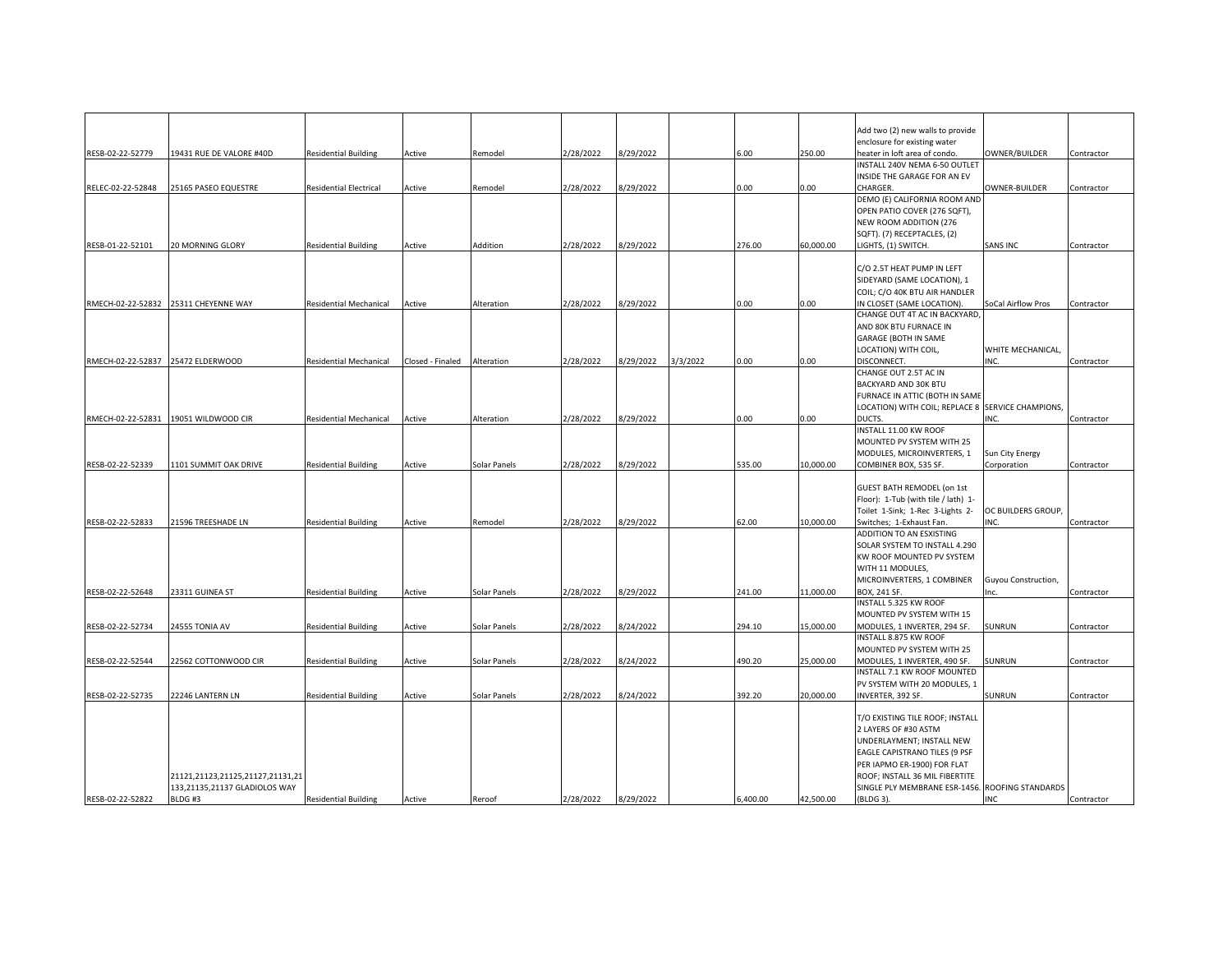|                   |                                      |                             |                             |              |           |           |          |          |           | Add two (2) new walls to provide                  |                     |            |
|-------------------|--------------------------------------|-----------------------------|-----------------------------|--------------|-----------|-----------|----------|----------|-----------|---------------------------------------------------|---------------------|------------|
|                   |                                      |                             |                             |              |           |           |          |          |           | enclosure for existing water                      |                     |            |
| RESB-02-22-52779  | 19431 RUE DE VALORE #40D             | <b>Residential Building</b> | Active                      | Remodel      | 2/28/2022 | 8/29/2022 |          | 6.00     | 250.00    | heater in loft area of condo.                     | OWNER/BUILDER       | Contractor |
|                   |                                      |                             |                             |              |           |           |          |          |           | NSTALL 240V NEMA 6-50 OUTLET                      |                     |            |
|                   |                                      |                             |                             |              |           |           |          |          |           | INSIDE THE GARAGE FOR AN EV                       |                     |            |
| RELEC-02-22-52848 | 25165 PASEO EQUESTRE                 | Residential Electrical      | Active                      | Remodel      | 2/28/2022 | 8/29/2022 |          | 0.00     | $0.00\,$  | <b>HARGER.</b>                                    | OWNER-BUILDER       | Contractor |
|                   |                                      |                             |                             |              |           |           |          |          |           | DEMO (E) CALIFORNIA ROOM AND                      |                     |            |
|                   |                                      |                             |                             |              |           |           |          |          |           | OPEN PATIO COVER (276 SQFT),                      |                     |            |
|                   |                                      |                             |                             |              |           |           |          |          |           | NEW ROOM ADDITION (276                            |                     |            |
|                   |                                      |                             |                             |              |           |           |          |          |           |                                                   |                     |            |
|                   |                                      |                             |                             |              |           |           |          |          |           | SQFT). (7) RECEPTACLES, (2)                       |                     |            |
| RESB-01-22-52101  | <b>20 MORNING GLORY</b>              | Residential Building        | Active                      | Addition     | 2/28/2022 | 8/29/2022 |          | 276.00   | 60,000.00 | LIGHTS, (1) SWITCH.                               | <b>SANS INC</b>     | Contractor |
|                   |                                      |                             |                             |              |           |           |          |          |           |                                                   |                     |            |
|                   |                                      |                             |                             |              |           |           |          |          |           | C/O 2.5T HEAT PUMP IN LEFT                        |                     |            |
|                   |                                      |                             |                             |              |           |           |          |          |           | SIDEYARD (SAME LOCATION), 1                       |                     |            |
|                   |                                      |                             |                             |              |           |           |          |          |           | COIL; C/O 40K BTU AIR HANDLER                     |                     |            |
|                   | RMECH-02-22-52832 25311 CHEYENNE WAY | Residential Mechanical      | Active                      | Alteration   | 2/28/2022 | 8/29/2022 |          | 0.00     | 0.00      | IN CLOSET (SAME LOCATION).                        | SoCal Airflow Pros  | Contractor |
|                   |                                      |                             |                             |              |           |           |          |          |           | CHANGE OUT 4T AC IN BACKYARD,                     |                     |            |
|                   |                                      |                             |                             |              |           |           |          |          |           | AND 80K BTU FURNACE IN                            |                     |            |
|                   |                                      |                             |                             |              |           |           |          |          |           | <b>GARAGE (BOTH IN SAME</b>                       |                     |            |
|                   |                                      |                             |                             |              |           |           |          |          |           |                                                   |                     |            |
|                   |                                      |                             |                             |              |           |           |          |          |           | LOCATION) WITH COIL,                              | WHITE MECHANICAL,   |            |
|                   | RMECH-02-22-52837 25472 ELDERWOOD    | Residential Mechanical      | Closed - Finaled Alteration |              | 2/28/2022 | 8/29/2022 | 3/3/2022 | 0.00     | 0.00      | DISCONNECT.                                       | INC.                | Contractor |
|                   |                                      |                             |                             |              |           |           |          |          |           | CHANGE OUT 2.5T AC IN                             |                     |            |
|                   |                                      |                             |                             |              |           |           |          |          |           | BACKYARD AND 30K BTU                              |                     |            |
|                   |                                      |                             |                             |              |           |           |          |          |           | FURNACE IN ATTIC (BOTH IN SAME                    |                     |            |
|                   |                                      |                             |                             |              |           |           |          |          |           | LOCATION) WITH COIL; REPLACE 8 SERVICE CHAMPIONS, |                     |            |
|                   | RMECH-02-22-52831 19051 WILDWOOD CIR | Residential Mechanical      | Active                      | Alteration   | 2/28/2022 | 8/29/2022 |          | 0.00     | 0.00      | DUCTS.                                            | INC.                | Contractor |
|                   |                                      |                             |                             |              |           |           |          |          |           | INSTALL 11.00 KW ROOF                             |                     |            |
|                   |                                      |                             |                             |              |           |           |          |          |           | MOUNTED PV SYSTEM WITH 25                         |                     |            |
|                   |                                      |                             |                             |              |           |           |          |          |           | MODULES, MICROINVERTERS, 1                        | Sun City Energy     |            |
|                   |                                      |                             |                             |              |           |           |          |          |           |                                                   |                     |            |
| RESB-02-22-52339  | 1101 SUMMIT OAK DRIVE                | <b>Residential Building</b> | Active                      | Solar Panels | 2/28/2022 | 8/29/2022 |          | 535.00   | 10,000.00 | COMBINER BOX, 535 SF.                             | Corporation         | Contractor |
|                   |                                      |                             |                             |              |           |           |          |          |           |                                                   |                     |            |
|                   |                                      |                             |                             |              |           |           |          |          |           | <b>GUEST BATH REMODEL (on 1st</b>                 |                     |            |
|                   |                                      |                             |                             |              |           |           |          |          |           | Floor): 1-Tub (with tile / lath) 1-               |                     |            |
|                   |                                      |                             |                             |              |           |           |          |          |           | Toilet 1-Sink; 1-Rec 3-Lights 2-                  | OC BUILDERS GROUP,  |            |
| RESB-02-22-52833  | 21596 TREESHADE LN                   | <b>Residential Building</b> | Active                      | Remodel      | 2/28/2022 | 8/29/2022 |          | 62.00    | 10,000.00 | Switches; 1-Exhaust Fan.                          | INC.                | Contractor |
|                   |                                      |                             |                             |              |           |           |          |          |           | ADDITION TO AN ESXISTING                          |                     |            |
|                   |                                      |                             |                             |              |           |           |          |          |           | SOLAR SYSTEM TO INSTALL 4.290                     |                     |            |
|                   |                                      |                             |                             |              |           |           |          |          |           | KW ROOF MOUNTED PV SYSTEM                         |                     |            |
|                   |                                      |                             |                             |              |           |           |          |          |           |                                                   |                     |            |
|                   |                                      |                             |                             |              |           |           |          |          |           | WITH 11 MODULES,                                  |                     |            |
|                   |                                      |                             |                             |              |           |           |          |          |           | MICROINVERTERS, 1 COMBINER                        | Guyou Construction, |            |
| RESB-02-22-52648  | 23311 GUINEA ST                      | Residential Building        | Active                      | Solar Panels | 2/28/2022 | 8/29/2022 |          | 241.00   | 11,000.00 | BOX, 241 SF.                                      | Inc.                | Contractor |
|                   |                                      |                             |                             |              |           |           |          |          |           | INSTALL 5.325 KW ROOF                             |                     |            |
|                   |                                      |                             |                             |              |           |           |          |          |           | MOUNTED PV SYSTEM WITH 15                         |                     |            |
| RESB-02-22-52734  | 24555 TONIA AV                       | Residential Building        | Active                      | Solar Panels | 2/28/2022 | 8/24/2022 |          | 294.10   | 15,000.00 | MODULES, 1 INVERTER, 294 SF.                      | SUNRUN              | Contractor |
|                   |                                      |                             |                             |              |           |           |          |          |           | INSTALL 8.875 KW ROOF                             |                     |            |
|                   |                                      |                             |                             |              |           |           |          |          |           | MOUNTED PV SYSTEM WITH 25                         |                     |            |
| RESB-02-22-52544  | 22562 COTTONWOOD CIR                 | <b>Residential Building</b> | Active                      | Solar Panels | 2/28/2022 | 8/24/2022 |          | 490.20   | 25,000.00 | MODULES, 1 INVERTER, 490 SF.                      | SUNRUN              | Contractor |
|                   |                                      |                             |                             |              |           |           |          |          |           | INSTALL 7.1 KW ROOF MOUNTED                       |                     |            |
|                   |                                      |                             |                             |              |           |           |          |          |           | PV SYSTEM WITH 20 MODULES, 1                      |                     |            |
|                   |                                      |                             |                             |              |           |           |          |          |           |                                                   |                     |            |
| RESB-02-22-52735  | 22246 LANTERN LN                     | <b>Residential Building</b> | Active                      | Solar Panels | 2/28/2022 | 8/24/2022 |          | 392.20   | 20,000.00 | INVERTER, 392 SF.                                 | SUNRUN              | Contractor |
|                   |                                      |                             |                             |              |           |           |          |          |           |                                                   |                     |            |
|                   |                                      |                             |                             |              |           |           |          |          |           | T/O EXISTING TILE ROOF; INSTALL                   |                     |            |
|                   |                                      |                             |                             |              |           |           |          |          |           | 2 LAYERS OF #30 ASTM                              |                     |            |
|                   |                                      |                             |                             |              |           |           |          |          |           | UNDERLAYMENT; INSTALL NEW                         |                     |            |
|                   |                                      |                             |                             |              |           |           |          |          |           | EAGLE CAPISTRANO TILES (9 PSF                     |                     |            |
|                   |                                      |                             |                             |              |           |           |          |          |           | PER IAPMO ER-1900) FOR FLAT                       |                     |            |
|                   | 21121,21123,21125,21127,21131,21     |                             |                             |              |           |           |          |          |           | ROOF; INSTALL 36 MIL FIBERTITE                    |                     |            |
|                   | 133,21135,21137 GLADIOLOS WAY        |                             |                             |              |           |           |          |          |           | SINGLE PLY MEMBRANE ESR-1456. ROOFING STANDARDS   |                     |            |
|                   |                                      |                             |                             |              |           |           |          |          |           |                                                   |                     |            |
| RESB-02-22-52822  | BLDG#3                               | <b>Residential Building</b> | Active                      | Reroof       | 2/28/2022 | 8/29/2022 |          | 5.400.00 | 42,500.00 | (BLDG 3).                                         | <b>INC</b>          | Contractor |